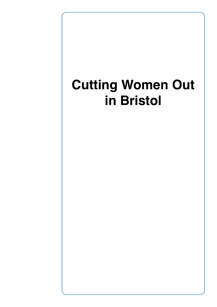# **Cutting Women Out in Bristol**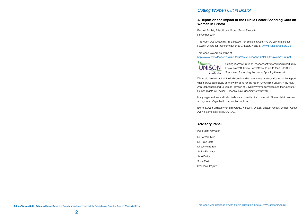# *Cutting Women Out in Bristol*

This report was written by Anna Mapson for Bristol Fawcett. We are very grateful for Fawcett Oxford for their contribution to Chapters 4 and 5. [www.bristolfawcett.org.uk](http://www.bristolfawcett.org.uk)

# **A Report on the Impact of the Public Sector Spending Cuts on**

# **Women in Bristol**

Fawcett Society Bristol Local Group (Bristol Fawcett) November 2014

This report is available online at



We would like to thank all the individuals and organisations who contributed to this report, which draws extensively on the work done for the report 'Unravelling Equality?" by Mary-Ann Stephenson and Dr James Harrison of Coventry Women's Voices and the Centre for Human Rights in Practice, School of Law, University of Warwick.

### <http://www.bristolfawcett.org.uk/Documents/Economy/BristolCuttingWomenOut.pdf>

Cutting Women Out is an independently researched report from Bristol Fawcett. Bristol Fawcett would like to thank UNISON South West for funding the costs of printing the report.

Many organisations and individuals were consulted for this report. Some wish to remain anonymous. Organisations consulted include:

Bristol & Avon Chinese Women's Group, NextLink, One25, Bristol Woman, Shelter, Voscur, Avon & Somerset Police, SARSAS.

### **Advisory Panel**

- *For Bristol Fawcett:*
- Dr Barbara Quin
- Dr Helen Mott
- Dr Jackie Barron
- Jackie Furneaux
- Jane Duffus
- Susie East
- Stephanie Poyntz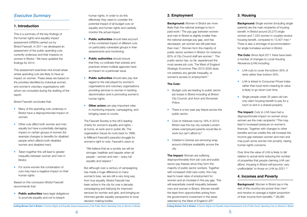# <span id="page-2-0"></span>*Executive Summary*

# **1. Introduction**

This is a summary of the key findings of the human rights and equality impact assessment (HREIA) carried out by Bristol Fawcett. In 2011 we developed an assessment of the public spending cuts currently underway and their impacts on women in Bristol.<sup>1</sup> We have updated the findings for 2014.

- Many of the spending cuts underway in Bristol have a disproportionate impact on women.
- Other cuts affect both women and men equally but have a potentially damaging impact on certain groups of women (for example changes to benefits for disabled people which affects both disabled women and disabled men).
- Taken together this will lead to greater inequality between women and men in Bristol.
- For some women the combination of cuts may have a negative impact on their human rights.

This assessment examines nine broad areas where spending cuts are likely to have an impact on women. These areas are based on the priorities identified by individual women and women's voluntary organisations with whom we consulted during the drafting of the report.

Bristol Fawcett concludes that:

Based on this conclusion Bristol Fawcett recommends that:

• **Public authorities** have legal obligations to promote equality and not to breach

**Background:** Women in Bristol are more likely than the national average to be in paid work.<sup>2</sup> The pay gap between women and men in Bristol is slightly smaller than the national average pay gap, and has decreased, yet women are still paid less than men.3 Women form the majority of public sector workers in Bristol; for instance, 62% of City Council staff are women.<sup>4</sup> The public sector has, so far, experienced the most severe job cuts. The West of England Strategic Economic Plan 2015-2030 does not address any gender inequality, or women's access to employment.<sup>5</sup>

human rights. In order to do this effectively they need to consider the potential impact of all budget cuts on equality and human rights and carefully monitor the actual impact.

- **Public authorities** should take account of the combined impact of different cuts on particularly vulnerable groups in their assessments and monitoring.
- **Public authorities** should ensure that they co-ordinate their policies and practices where multiple agencies have an impact on a particular issue.
- **Public authorities** should also pay due regard to the role played by women's organisations and voluntary organisations providing services to women in tackling discrimination and in promoting women's human rights.
- **Other actors** can play important roles in monitoring impacts, campaigning, and bringing cases to courts.

The Fawcett Society is the UK's leading charity for women's equality and rights – at home, at work and in public life. The organisation traces its roots back to 1866, to Millicent Fawcett's peaceful struggle for women's right to vote. Fawcett's vision is:

**The Cuts:** Since April 2011 there have been a number of changes to Local Housing Allowance (LHA) including:

- LHA cuts to cover the bottom 30% of rents rather than bottom 50%.
- LHA is linked to Consumer Prices Index rather than local rents meaning its value is likely to go down over time.
- Single people under 35 years old can only claim housing benefit to pay for a room to rent in a shared property

"We believe that as a society we will be stronger, healthier and happier when all people – women and men – enjoy full equality and respect."

**The Impact:** Cuts to LHA have had a disproportionate impact on women since women are the main recipients.<sup>9</sup> This may lead to increased pressure on women's finances. Together with changes to other benefits and tax credits this will increase the income gap between women and men and may push some women into poverty, raising human rights concerns.

Over time the value of LHA is likely to fall relative to actual rents reducing the number of properties that people claiming LHA can afford. Housing in Bristol will become 'very unaffordable' to those on LHA by 2021.<sup>10</sup>

But although over a century of campaigning has made a huge difference to many women's lives, we are still a very long way from true equality. Bristol Fawcett has been active in the city for over a decade, campaigning and lobbying for improved services for women and girls, and bringing an informed gender equality perspective to local decision making bodies.

# **2. Employment**

### **The Cuts:**

- Budget cuts are leading to public sector job losses in Bristol including at Bristol City Council, and Avon and Somerset Police.
- There is a two year pay freeze across the public sector.
- Cost of childcare rose by 19% in 2013; Bristol was the top city outside London where unemployed parents would like to work but can't afford to.<sup>6</sup>
- Children's Centres are removing wrap around childcare availability across the city.

**The Impact:** Women are suffering disproportionately from job cuts and public sector pay freezes since they form the majority of public sector workers. Together with increased child care costs, this may lead to lower rates of employment for women and an increase in the pay gap. This will exacerbate overall inequality between men and women in Bristol. Women benefit the least from opportunities arising from the government's investment in the areas selected by the West of England LEP.<sup>7</sup>

Cutting Women Out in Bristol: A Human Rights and Equality Impact Assessment of the Public Sector Spending Cuts on Women in Bristol Cutting Women Out in Bristol: A Human Rights and Equality Impact Assessment of the Public S

# **3. Housing**

**Background:** Single women (including single parents) are the main recipients of housing benefit. In Bristol around 20,270 single women and 7,222 women in couples receive housing benefit, compared to 13,407 men.<sup>8</sup> There is also a shortage of accommodation for single homeless women in Bristol.

# **4. Incomes and Poverty**

**Background:** Women in Bristol (as in the rest of the country) are poorer than men<sup>11</sup> and receive on average a higher proportion of their income from benefits.<sup>12</sup> 38,080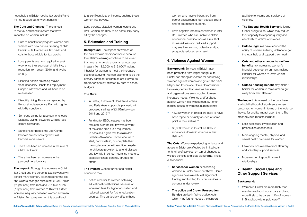<span id="page-3-0"></span>households in Bristol receive tax credits<sup>13</sup> and 44,460 receive out of work benefits.<sup>14</sup>

**The Cuts and Changes**: The changes to the tax and benefit system that have impacted on women include:

**The Impact:** Although the increase in Child Tax Credit and the personal tax allowance will benefit many women, taken together the tax and welfare changes raise a net £3.047 billion (21 per cent) from men and £11.628 billion (79 per cent) from women.15 This will further increase inequality between women and men in Bristol. For some women this could lead

- Cuts to benefits for pregnant women and families with new babies, freezing of child benefit, cuts to childcare tax credit and cuts to those eligible for tax credits.
- Lone parents are now required to seek work once their youngest child is five, a reduction from seven (2010) and twelve (2008).
- Disabled people are being moved from Incapacity Benefit to Employment Support Allowance and will have to be re-assessed.
- Disability Living Allowance replaced by Personal Independence Plan with tighter eligibility conditions.
- Someone caring for a person who loses Disability Living Allowance will also lose carer's allowance.
- Sanctions for people the Job Centre believes are not seeking work will become more severe.
- There has been an increase in the rate of Child Tax Credit.
- There has been an increase in the personal tax allowance.

**Background:** The impact on women of the cuts remains disproportionate because their lifetime earnings continue to be lower than men's. Analysis shows an annual gap in salary from £5,000 to £16,00016 making it harder for women to meet the increased costs of studying. Women also tend to be the primary carers for children so are likely to be disproportionately affected by cuts to school budgets.

**The Impact:** Cuts to further and higher education may:

• Act as a barrier to women obtaining educational qualifications because of increased fees for higher education and reduced support for further education courses. This particularly affects those

to a significant loss of income, pushing those women into poverty.

> • Have negative impacts on women in later life – women who are unable to obtain educational qualifications as a result of increased fees and reduced support may see their earning potential and job prospects reduced as a result.

Lone parents, disabled women, carers and BME women are likely to be particularly badly hit by the changes.

# **5. Education and Training**

**Background:** Services in Bristol have been protected from larger budget cuts. Bristol has strong advocates for addressing violence against women and girls in the city's Mayor and Police and Crime Commissioner. However, demand for services has risen and organisations are struggling to meet increased needs. Violence and/or abuse against women is a widespread, but often hidden, abuse of women's human rights:

- 43,340 women in Bristol are likely to have been raped or sexually abused at some point in their lifetime.18
- 68,800 women in Bristol are likely to experience domestic violence in their lifetime.<sup>19</sup>

**The Cuts:** Women experiencing violence and abuse in Bristol are affected by limited cuts to funding of services, on top of changes to welfare benefits and legal aid funding. These cuts include:

### **The Cuts:**

- In Bristol, a review of Children's Centres and Early Years support is planned, with proposed savings of £1.52m between 2014 and 2017.17
- Funding for ESOL classes has been reduced over the last few years whilst at the same time it is a requirement to pass an English test to claim Job Seekers Allowance. Those who fail to start, participate in, or complete their training face a benefit sanction despite no childcare provision to attend classes, and few within school hours, so mothers, especially single parents, struggle to attend.
- **The National Health Service** is facing further budget cuts, which may reduce their capacity to respond quickly and effectively to victims of violence.
- **• Cuts to legal aid** have reduced the ability of women suffering violence to get the legal help and support they need.
- **• Cuts and other changes to welfare benefits** risk increasing women's financial dependency on men, making it harder for women to leave violent relationships.
- **• Cuts to housing benefit** may make it harder for women to move area to get away from their attacker.

**The Impact:** As a result of the cuts there is a high likelihood of significantly worse outcomes for women in terms of the violence they suffer and its impact upon them. The most obvious impacts include:

- Less successful investigation and prosecution of offenders.
- More ongoing mental, physical and sexual health problems for women.
- Fewer options available from statutory and voluntary support services.
- More women trapped in violent relationships.

women who have children, are from poorer backgrounds, don't speak English and/or are mature students.

# **6. Violence Against Women**

- **• Services for women** experiencing violence in Bristol are under threat. Some agencies have already lost significant funding and funding for other services is currently under review.
- **• The police and Crown Prosecution Service** are both facing budget cuts which may further reduce the support

available to victims and survivors of violence.

# **7. Health, Social Care and Other Support Services**

### **Background:**

• Women in Bristol are more likely than men to need adult social care and also more likely to be carers. 11% of women in Bristol provide unpaid care.<sup>20</sup>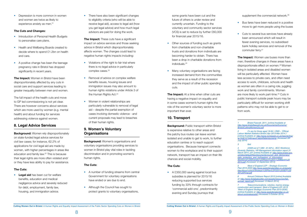supplement the commercial network.<sup>26</sup>

- Introduction of Personal Health Budgets to personalise care plans.
- Health and Wellbeing Boards created to decide where to spend £1.2bn on health and care.
- A positive change has been the teenage pregnancy rate in Bristol has dropped significantly in recent years.

<span id="page-4-0"></span>• Depression is more common in women and women are twice as likely to experience anxiety as men.<sup>21</sup>

### **The Cuts and Changes:**

**Background:** Women rely disproportionately on state-funded legal advice services for civil law cases; for instance, 62.2% of applications for civil legal aid are made by women, with higher percentages in areas like education and family law.<sup>22</sup> This is because their legal rights are more often violated and/ or they have less ability to pay for assistance.

**The Impact:** Women in Bristol have been disproportionately affected by any cuts in social care and support services leading to greater inequality between men and women. • There have also been significant changes to eligibility criteria (who will be able to receive legal aid), access to legal aid (how you get legal advice) and how much legal advisors are paid for doing the work.

The full impact of the health cuts and move to GP led commissioning is not yet clear. There are however concerns about services which are more used by women (e.g. mental health) and about funding for services addressing violence against women.

**The Impact:** These cuts have a significant impact on advice services and those seeking advice in Bristol which disproportionately affects women. The changes could lead to negative human rights impacts including:

# **8. Legal Advice Services**

- Violations of the right to fair trial where there is no legal advice in particularly complex cases.<sup>23</sup>
- Removal of advice on complex welfare benefits issues, housing issues and immigration issues may also amount to human rights violations under Article 3 of the Human Rights Act.<sup>24</sup>
- Women in violent relationships are particularly vulnerable to removal of legal aid – despite the partial exemption of cases involving domestic violence - and current proposals may lead to breaches of their human rights.

### **The Cuts:**

**• Legal aid** has been cut for welfare benefits, education and medical negligence advice and severely reduced for debt, employment, family law, housing, and immigration advice.

- Other sources of funding such as grants from charitable and non-charitable trusts and donations from individuals are becoming harder to obtain. There has been a drop in charitable donations from individuals.25
- Many voluntary organisations are facing increased demand from the communities they serve as a result of the recession and the impact of other public spending cuts.

**The Impact:** At a time when other cuts are having a negative impact on equality and in some cases women's human rights the role of the women's voluntary sector is more important than ever.

**Background:** Public transport within Bristol is expensive relative to other areas and the patchy bus routes can leave women isolated and unable to get to work, to further education centres or to reach support organisations. Because transport connects women to the workplace and to their support network, transport has an impact on their life chances and social mobility.

• A £350,000 saving against local bus subsidies is planned for 2015/16 reducing supported bus services funding by 33% through contracts for 'commercial add-ons', predominantly evening and Sunday journeys that

- Bus fares have been reduced in a positive move to get more people using the buses
- Cuts to several bus services have already been announced which will result in fewer evening services, no subsidised bank holiday services and removal of the commuter ferry.<sup>27</sup>

# **9. Women's Voluntary Organisations**

**The Impact:** Women use buses more than men; therefore changes in these areas have a disproportionate effect on women.28 Women living in isolated areas and disabled women will be particularly affected. Women have less access to private cars, and often need access to work, childcare, schools and health as women are often in a caring role, juggling work and family commitments. Women are more likely to work part-time.29 Cuts in public transport outside peak hours may be particularly difficult for women working shift patterns who may not be able to get to or from work.

**Background:** Women's organisations and voluntary organisations providing services to women in Bristol play vital roles in tackling discrimination and in promoting women's human rights.

### **The Cuts:**

- A number of funding streams from central Government for voluntary organisations have ended or are due to end.
- Although the Council has sought to protect grants to voluntary organisations,

some grants have been cut and the future of others is under review and currently uncertain. Funding to the voluntary and community sector services (VCS) is set to reduce by further £60,000 for financial year 2015/16.

# **10. Transport**

### **The Cuts:**

*3 Ibid*

*4 (4508 out of 7,280 - 61.92%) . BCC Workforce Diversity Statistics, HR Management information report 31 March 2014, p31 [online] Available at: http://www.bristol.gov.* uk/sites/default/files/documents/council\_and\_democracy/ data\_protection\_and\_foi/freedom\_of\_information/ *Workforce%20Diversity%20Report%2031%20March%20 2014.pdf (Accessed 12 September 2014)*

*5 West of England LEP – Strategic Economic Plan 2015-2030 http://www.westofenglandlep.co.uk/assets/* files/About%20Us/Strategic%20Plan/LEP225%20SEP%20 *All%20Final.pdf*

*6 Annual Childcare Report 2013 [online] Available at:* http://www.findababysitter.com/assets/resources/fab\_ annual\_report.pdf *[Accessed 13 March 2014]*

*7 Telecommunications, robotics, marine energy, construction and transport. West of England LEP, 2013,*  'West of England Strategic Economic Plan 2015-2030), *[online] Available at: http://www.westofenglandlep.co.uk/ about-us/strategicplan (Accessed 5 October 2014)*

<sup>(%</sup> are for those aged  $16-64$  ) ONS - 'Official Labour Market Statistics Bristol (Apr 2013-Mar 2014 )' *[online] Available at: http://www.nomisweb.co.uk/reports/lmp/ la/1946157348/report.aspx#tabempunemp (Accessed 29th July 2014)* 

*<sup>1</sup> Bristol Fawcett, 2011, [online] Available at http://www.bristolfawcett.org.uk/Documents/Economy/ BristolCuttingWomenOut.pdf*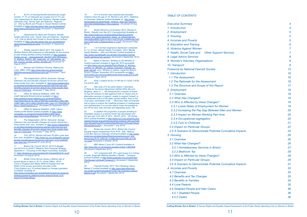8 50.5% of housing benefit claimants are sinale *women. 21.7% of claimants are couples and 27.2% are*  men. Department for Work and Pensions 'Gender (single *claimants only), Family Type and National - Regional -*  LA - OAs by Month and Private or Social Rented' [online] *Available at https://sw.stat-xplore.dwp.gov.uk/webapi/jsf/ dataCatalogueExplorer.xhtml (Accessed 12 September 2014)*

Department for Work and Pensions 'Gender *(single claimants only), Family Type and National - Regional*  - LA - OAs by Month and Private or Social Rented' [online] *Available at https://sw.stat-xplore.dwp.gov.uk/webapi/jsf/ dataCatalogueExplorer.xhtml (Accessed 12 September 2014)* 

11 Women and Children's Poverty: Making the Links, WBG, 2005 *http://www.wbg.org.uk/documents/* WBGWomensandchildrenspoverty.pdf *[Accessed 7 April, 2011]* 

12 The Independent, (2014), Exclusive: George Osborne's tax and benefits changes hit women almost four *times harder than men. Available at: http://www.independent. co.uk/news/uk/politics/exclusive-george-osbornes-tax-and*benefits-changes-hit-women-almost-four-times-harder-than*men-9177533.html, (Accessed 7th May 2014);* 

13 Office for National Statistics, 2008. Tax *credit claimants Bristol [online] available at http:// www.neighbourhood.statistics.gov.uk/dissemination/ LeadTableView.do?a=7&b=276834&c=bristol&d=13&e=4&g =398716&i=1001x1003x1004&m=0&r=1&s=1317322299516 &enc=1&dsFamilyId=2117 [Accessed 29 September 2011]*

*10 Shelter research March 2011 The Impact of Welfare Reform Bill measures on affordability for low income private renting families [online] Available at http://england.* shelter.org.uk/ data/assets/pdf\_file/0007/334726/Impact of Welfare Reform Bill measures on affordability for low\_income\_private\_renting\_families.pdf *[Accessed 23 August 2011]*

14 Office for National Statistics, 2009. Labour market profile Bristol [online] available at (*http://www. nomisweb.co.uk/reports/Imp/la/2038431894/report. aspx?town=bristol#tabwab) [Accessed 8th April 2011]*

The Independent, (2014), Exclusive: George Osborne's tax and benefits changes hit women almost four *times harder than men. Available at: http://www.independent. co.uk/news/uk/politics/exclusive-george-osbornes-tax-and*benefits-changes-hit-women-almost-four-times-harder-than*men-9177533.html, (Accessed 7th May 2014);*

22 **Rights of Women, 'Briefing on the Ministry of** Justice proposed changes to legal aid' 2010 accessible *via* http://www.row.org.uk/pdfs/Policy/Rights\_of\_Women\_ briefing\_on\_Ministry\_of\_Justice\_proposed\_changes\_to\_ legal\_aid.pdf *at p1. Ministry of Justice, Legal Aid Reform:*  Scope Changes' November 2010 accessible via *http:// www.justice.gov.uk/consultations/docs/eia-scope.pdf at p46 [Accessed 7 April, 2011]* 

16 TUC (2013), Women still earn £5,000 a year less *than men. Available at: http://www.tuc.org.uk/equality-issues/ gender-equality/equal-pay/women-still-earn-%C2%A35000 year-less-men [Accessed 5th June 2014]*

*17 Bristol City Council (2014), 2014/15 Budget and 2014/15 to 2016/17 Medium Term Financial Strategy,*  Appendix 3 – Focusing on the Mayor's priorities, Available *at:* https://bristol.gov.uk/committee/2014/ta/ta000/0218\_6.pdf *[Accessed 1st August 2014]*

*18 British Crime Survey shows a lifetime rate of*  sexual abuse or rape of 19.7%: Home Office., 2010. Crime in England and Wales 2009/10 findings from the *British crime survey and police recorded crime (Third Edition) at p.72 [online] Based on Female population of 220000. Available at:* 

Fawcett Society, 2014 'The Changing Labour Market 2' [online] Available at *http://www.fawcettsociety. org.uk/wp-content/uploads/2013/02/The-Changing-Labour-Market-2.pdf (Accessed 1 September 2014)*

http://www.homeoffice.gov.uk/publications/science-research*statistics/research-statistics/crime-research/hosb1210/ hosb1210?view=Binary*

*19 31% of women have experienced domestic*  violence since the age of 16. Women's aid, 2014, 'Statistics on Domestic Violence' [online] Available at: *http://www.* womensaid.org.uk/domestic\_violence\_topic.asp?section= *0001000100220036sionTitle=statistics (Accessed 23 Aug 2014)* 

20 Bristol Women's Commission 2013, Women in *Bristol : Results from the 2011 Census[online] Available at:*  http://www.bristol.gov.uk/sites/default/files/documents/ council and democracy/lord mayor of bristol/mayoral *information/BWC%2014%2011%2013%20-%20Minutes%20* plus%202%20x%20appendices\_0\_0.pdf *[Accessed 5 May 2014]*

*21 1 in 4 women experience depression compared*  to 1 in 10 men. Mental Health Foundation, 2014 'Mental health Statistics – Men and Women' [online] Available at *http://www.mentalhealth.org.uk/help-information/mentalhealth-statistics/men-women/ (Accessed 2 September 2014)* 

*23 Airey v Ireland 32 Eur Ct HR Ser A (1979): [1979] 2 E.H.R.R. 305.* 

*24 See case of R (ex parte Adam) v Secretary*  of State for the Home Department [2005] UKHL 66 Lord *Bingham (para 7) "… the threshold [for a breach of Article 3] may be crossed if a late applicant with no means and no alternative sources of support, unable to support himself, is, by deliberate action of the state, denied shelter, food or the most basic necessities of life …" Baroness Hale commented*  that to have to endure the indefinite prospect of rooflessness *and cashlessness in a country where it was not possible to live off the land, was inhuman and degrading (para. 78).*

*25 In addition the proportion of people donating to charitable causes in a typical month has decreased over*  the last year, from 58% to 55%. .NCVO, 2012. 'UK Giving 2012' [online] Available at *http://www.ncvo.org.uk/policy-andresearch/giving-and-philantropy/what-research-tells-us?highl* ight=WyJjaGFyaXRhYmxlIiwiZ2l2aW5nIiwiY2hhcml0YWJsZ SBnaXZpbmciXQ*== [Accessed 1 July 2014]* 

26 Bristol city council, 2013, 'Bristol City Council *Equality Impact Assessment Form R-PL- 028 - Reduce*  Local Bus Service (Subsidy)' [online] Available at *http://www.* bristol.gov.uk/sites/default/files/documents/council\_and\_ *democracy/R-PL-028%20-%20BusServices700k.pw%20* v3\_0.pdf *(Accessed 4 October 2014)* 

*27 BBC News 2 June 2011 [online] Available at: http://www.bbc.co.uk/news/uk-england-bristol-13625846 [Accessed 5 September 2011]*

*28 14% compared with 10% used buses 2 or 3 times a week. Engender Making Equality a Reality…Transport [online] Available at* http://www.engender.org.uk/UserFiles/ File/Gender%20Audit/Transport(1) *[Accessed 5 September 2011]*

### *TABLE OF CONTENTS*

*Executive Summary* 1. Introduction *[2. Employment](#page-2-0) 5 [3. Housing](#page-2-0) 5* **4. Incomes and Poverty** *[5. Education and Training](#page-3-0) 6 [6. Violence Against Women](#page-3-0) 7 [7. Health, Social Care and Other Support Services](#page-3-0) 7 [8. Legal Advice Services](#page-4-0) 8 [9. Women's Voluntary Organisations](#page-4-0) 8 [10. Transport](#page-4-0) 9 [Foreword by National Fawcett Society 15](#page-7-0)* 1. Introduction *[1.1 The Assessment](#page-8-0)* [1.2 The Rationale for the Assessment](#page-8-0) [1.3 The Structure and Scope of this Report](#page-8-0) 2. Employment *[2.1 Overview](#page-9-0) 18* **[2.2 What Has Changed?](#page-9-0)** 2.3 Who is Affected by these Changes? *[2.3.1 Lower Rates of Employment for Women](#page-9-0) 19* 2.3.2 Increasing the Pay Gap Between Men and *[2.3.3 Impact on Women Working Part-time](#page-10-0) 20* **[2.3.4 Occupational segregation](#page-10-0)** [2.3.5 Cuts to Childcare](#page-10-0) **[2.4 Impact on Particular Groups](#page-11-0)** 2.5 A Scenario to Demonstrate Potential Cumulati *[3. Housing 26](#page-13-0) [3.1 Overview](#page-13-0) 26* 3.2 What Has Changed? *[3.2.1 Homelessness Services in Bristol](#page-13-0) 27 [3.2.2 Bedroom Tax](#page-14-0) 28* 3.3 Who is Affected by these Changes? **3.4 Impact on Particular Groups** *[3.5 A Scenario to Demonstrate Potential Cumulative Impacts](#page-15-0) 31* **4. Incomes and Poverty** *[4.1 Overview](#page-16-0) 33 [4.2 Benefits and Tax Changes](#page-16-0) 33* **[4.3 Benefits to Families](#page-17-0) 4.4 Lone Parents** *[4.5 Disabled People and their Carers](#page-18-0) 36* **4.5.1 Disabled People** 

Cutting Women Out in Bristol: A Human Rights and Equality Impact Assessment of the Public Sector Spending Cuts on Women in Bristol Cutting Women Out in Bristol: A Human Rights and Equality Impact Assessment of the Public S

| cutive Summary                                           | 4                        |
|----------------------------------------------------------|--------------------------|
| <i>ntroduction</i>                                       | $\overline{\mathcal{A}}$ |
| mployment                                                | 5                        |
| łousing                                                  | 5                        |
| ncomes and Poverty                                       | 5                        |
| ducation and Training                                    | 6                        |
| <i>liolence Against Women</i>                            | 7                        |
| lealth, Social Care and<br><b>Other Support Services</b> | 7                        |
| egal Advice Services                                     | 8                        |
| <b>Vomen's Voluntary Organisations</b>                   | 8                        |
| <b>Transport</b>                                         | 9                        |
| eword by National Fawcett Society                        | 15                       |
| <i><b>ntroduction</b></i>                                | 16                       |
| 1 The Assessment                                         | 16                       |
| 2 The Rationale for the Assessment                       | 16                       |
| 3 The Structure and Scope of this Report                 | 17                       |
| mployment                                                | 18                       |
| 1 Overview                                               | 18                       |
| 2 What Has Changed?                                      | 18                       |
| 3 Who is Affected by these Changes?                      | 19                       |
| 2.3.1 Lower Rates of Employment for Women                | 19                       |
| 2.3.2 Increasing the Pay Gap Between Men and Women       | 20                       |
| 2.3.3 Impact on Women Working Part-time                  | 20                       |
| 2.3.4 Occupational segregation                           | 20                       |
| 2.3.5 Cuts to Childcare                                  | 21                       |
| 4 Impact on Particular Groups                            | 22                       |
| 5 A Scenario to Demonstrate Potential Cumulative Impacts | 23                       |
| lousing                                                  | 26                       |
| 1 Overview                                               | 26                       |
| 2 What Has Changed?                                      | 26                       |
| 3.2.1 Homelessness Services in Bristol                   | 27                       |
| 3.2.2 Bedroom Tax                                        | 28                       |
| 3 Who is Affected by these Changes?                      | 28                       |
| 4 Impact on Particular Groups                            | 29                       |
| 5 A Scenario to Demonstrate Potential Cumulative Impacts | 31                       |
| ncomes and Poverty                                       | 33                       |
| 1 Overview                                               | 33                       |
| 2 Benefits and Tax Changes                               | 33                       |
| <b>3 Benefits to Families</b>                            | 34                       |
| 4 Lone Parents                                           | 35                       |
| 5 Disabled People and their Carers                       | 36                       |
| 4.5.1 Disabled People                                    | 36                       |
| 4.5.2 Carers                                             | 36                       |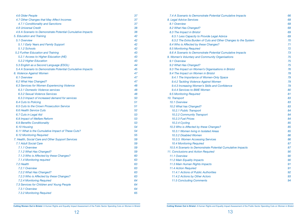| 4.6 Older People                                           | 37 |
|------------------------------------------------------------|----|
| 4.7 Other Changes that May Affect Incomes                  | 37 |
| 4.7.1 Conditionality and Sanctions                         | 37 |
| <b>4.8 Universal Credit</b>                                | 38 |
| 4.9 A Scenario to Demonstrate Potential Cumulative Impacts | 38 |
| 5. Education and Training                                  | 42 |
| 5.1 Overview                                               | 42 |
| 5.1.1 Early Years and Family Support                       | 42 |
| 5.1.2 Schools                                              | 42 |
| 5.2 Further Education and Training                         | 43 |
| 5.2.1 Access to Higher Education (HE)                      | 43 |
| 5.2.2 Higher Education                                     | 43 |
| 5.3 English as a Second Language (ESOL)                    | 44 |
| 5.4 A Scenario to Demonstrate Potential Cumulative Impacts | 45 |
| 6. Violence Against Women                                  | 47 |
| 6.1 Overview                                               | 47 |
| 6.2 What Has Changed?                                      | 47 |
| 6.3 Services for Women Experiencing Violence               | 48 |
| 6.3.1 Domestic Violence services                           | 48 |
| <b>6.3.2 Sexual Violence Services</b>                      | 48 |
| 6.3.3 Impact of increased demand for services              | 50 |
| <b>6.4 Cuts to Policing</b>                                | 51 |
| 6.5 Cuts to the Crown Prosecution Service                  | 51 |
| <b>6.6 Health Service Cuts</b>                             | 52 |
| 6.7 Cuts in Legal Aid                                      | 53 |
| 6.8 Impact of Welfare Reform                               | 53 |
| <b>6.9 Benefits Conditionality</b>                         | 53 |
| 6.10 Housing                                               | 54 |
| 6.11 What is the Cumulative Impact of These Cuts?          | 54 |
| <b>6.12 Monitoring Required</b>                            | 55 |
| 7. Health, Social Care and Other Support Services          | 59 |
| <b>7.1 Adult Social Care</b>                               | 59 |
| 7.1.1 Overview                                             | 59 |
| 7.1.2 What Has Changed?                                    | 59 |
| 7.1.3 Who is Affected by these Changes?                    | 60 |
| 7.1.4 Monitoring required                                  | 63 |
| 7.2 Health                                                 | 63 |
| 7.2.1 Overview                                             | 63 |
| 7.2.2 What Has Changed?                                    | 63 |
| 7.2.3 Who is Affected by these Changes?                    | 63 |
| <b>7.2.4 Monitoring Required</b>                           | 64 |
| 7.3 Services for Children and Young People                 | 64 |
| 7.3.1 Overview                                             | 64 |
| <b>7.3.2 Monitoring Required</b>                           | 65 |

| 8. Legal Advice Services                                       |    |
|----------------------------------------------------------------|----|
|                                                                | 68 |
| 8.1 Overview                                                   | 68 |
| 8.2 What Has Changed?                                          | 68 |
| 8.3 The Impact in Bristol                                      | 69 |
| 8.3.1 Less Capacity to Provide Legal Advice                    | 69 |
| 8.3.2 The Extra Burden of Cuts and Other Changes to the System | 70 |
| 8.4 Who is Affected by these Changes?                          | 71 |
| 8.5 Monitoring Required                                        | 72 |
| 8.6 A Scenario to Demonstrate Potential Cumulative Impacts     | 73 |
| 9. Women's Voluntary and Community Organisations               | 75 |
| 9.1 Overview                                                   | 75 |
| 9.2 What Has Changed?                                          | 75 |
| 9.3 The Impact on Women's Organisations in Bristol             | 76 |
| 9.4 The Impact on Women in Bristol                             | 78 |
| 9.4.1 The Importance of Women-Only Space                       | 79 |
| 9.4.2 Tackling Violence Against Women                          | 79 |
| 9.4.3 Increasing Women's Skills and Confidence                 | 79 |
| 9.4.4 Services to BME Women                                    | 80 |
| 9.5 Monitoring Required                                        | 81 |
| 10. Transport                                                  | 83 |
| 10.1 Overview                                                  | 83 |
| 10.2 What has Changed?                                         | 83 |
| 10.2.1 Public Transport                                        | 84 |
| 10.2.2 Community Transport                                     | 84 |
| 10.2.3 Fuel Prices                                             | 84 |
| 10.2.4 Cycling                                                 | 85 |
| 10.3 Who is Affected by these Changes?                         | 85 |
| 10.3.1 Women living in Isolated Areas                          | 85 |
| 10.3.2 Disabled Women                                          | 86 |
| 10.3.3. Women Accessing Services                               | 86 |
| <b>10.4 Monitoring Required</b>                                | 87 |
| 10.5 A Scenario to Demonstrate Potential Cumulative Impacts    | 87 |
| 11. Conclusions and Action Required                            | 90 |
| 11.1 Overview                                                  | 90 |
| 11.2 Main Equality Impacts                                     | 90 |
| 11.3 Main Human Rights Impacts                                 | 91 |
| 11.4 Action Required                                           | 91 |
| 11.4.1 Actions of Public Authorities                           | 92 |
| 11.4.2 Actions by Other Actors                                 | 93 |
| <b>11.5 Concluding Comments</b>                                | 94 |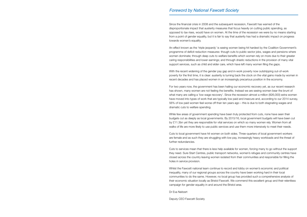<span id="page-7-0"></span>Since the financial crisis in 2008 and the subsequent recession, Fawcett has warned of the disproportionate impact that austerity measures that focus heavily on cutting public spending, as opposed to tax rises, would have on women. At the time of the recession we were by no means starting from a point of gender equality, but it is fair to say that austerity has had a dramatic impact on progress towards women's equality.

An effect known as the 'triple jeopardy' is seeing women being hit hardest by the Coalition Government's programme of deficit reduction measures: though cuts to public sector jobs, wages and pensions where women dominate; through deep cuts to welfare benefits which women rely on more due to their greater caring responsibilities and lower earnings; and through drastic reductions in the provision of many vital support services, such as child and elder care, which have left many women filing the gaps.

With the recent widening of the gender pay gap and in-work poverty now outstripping out-of-work poverty for the first time, it is clear: austerity is turning back the clock on the vital gains made by women in recent decades and has placed women in an increasingly precarious position in the economy.

For two years now, the government has been hailing our economic recovery yet, as our recent research has shown, many women are not feeling the benefits. Instead we are seeing women bear the brunt of what many are calling a 'low wage recovery'. Since the recession almost a million (826,000) extra women have moved into types of work that are typically low paid and insecure and, according to our 2014 survey, 56% of low paid women feel worse off than ten years ago – this is due to both stagnating wages and dramatic cuts to welfare spending.

While few areas of government spending have been truly protected from cuts, none have seen their budgets cut as deeply as local governments. By 2015/16, local government budgets will have been cut by £11.3bn yet they are responsible for vital services on which so many women rely. Women from all walks of life are more likely to use public services and use them more intensively to meet their needs.

Cuts to local government have hit women on both sides. Three-quarters of local government workers are female and as such they are struggling with low pay, increasingly heavy workloads and the threat of further redundancies.

Cuts to services mean that there is less help available for women, forcing many to go without the support they need. Sure Start Centres, public transport networks, women's refuges and community centres have closed across the country leaving women isolated from their communities and responsible for filling the holes in service provision.

Whilst the Fawcett national team continue to record and lobby on women's economic and political inequality, many of our regional groups across the country have been working hard in their local communities to do the same. However, no local group has provided such a comprehensive analysis of their economic situation locally as Bristol Fawcett. We commend this excellent group and their relentless campaign for gender equality in and around the Bristol area.

Dr Eva Neitzert

Deputy CEO Fawcett Society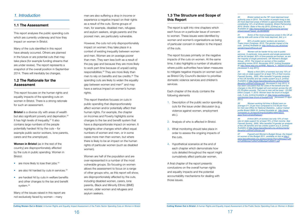# <span id="page-8-0"></span>*1. Introduction*

# **1.1 The Assessment**

This report analyses the public spending cuts which are currently underway and how they impact on women in Bristol.

Many of the cuts identified in this report have already occurred. Others are planned in the future or are potential cuts that may take place (for example funding streams that are under review). The report represents a snapshot of the overall position in September 2014. There will inevitably be changes.

**Bristol** is a diverse city with areas of wealth but also significant poverty and deprivation.<sup>30</sup> It has high levels of inequality.<sup>31</sup> It also contains large numbers of the people potentially hardest hit by the cuts – for example public sector workers, lone parents, carers and the unemployed.

# **1.2 The Rationale for the Assessment**

This report focuses on the human rights and equality impacts of the spending cuts on women in Bristol. There is a strong rationale for such an assessment.

**Women in Bristol** (as in the rest of the country) are disproportionately affected by the cuts in public spending. Women in Bristol:

- are more likely to lose their jobs.<sup>32</sup>
- $\bullet$  are also hit hardest by cuts in services.  $33$
- are hardest hit by cuts in welfare benefits and other changes to the tax and benefit system.<sup>34</sup>

Many of the issues raised in this report are not exclusively faced by women – many

men are also suffering a drop in income or experience a negative impact on their rights as a result of the cuts. Some groups of men, for example, disabled men, refugees and asylum seekers, single parents and the poorest men, are particularly vulnerable.

However, the cuts not only disproportionately impact on women; they take place in a context of existing inequality between women and men. Women are on average poorer than men. They earn less both as a result of the pay gap and because they are more likely to work part-time because of unpaid caring responsibilities.35 They are more likely than men to rely on benefits and tax credits.36 The spending cuts are likely to widen the equality gap between women and men $37$  and may have a serious impact on women's human rights.

*30 Bristol ranked as the 79th most deprived local authority area in 2010. The number of people living in the 32 most deprived areas of Bristol is approximately 60,655, constituting 14% of all Bristol residents. Bristol Partnership, 2010. Bristol: State of the city 2010. [Online] at p. 4. Available at: http://www.bristol.gov.uk/ccm/cms-service/* stream/asset/?asset\_id=36498092

31 Some of the most prosperous areas in the UK sit *side by side with some of the most deprived. Ibid. p.4.* 

This report therefore focuses on cuts in public spending that disproportionately affect women and/or potentially affect their human rights. For example, the chapter on Incomes and Poverty highlights some changes to the tax and benefit system that have a disproportionate impact on women. It highlights other changes which affect equal numbers of women and men, or in some cases more men than women, but where there is likely to be an impact on the human rights of particular women (such as disabled women).

Women are half of the population and are over-represented in a number of the most vulnerable groups. So focusing on women allows the assessment to focus on a range of other groups who, as this report will show, are disproportionately affected by the cuts, including disabled women, carers, lone parents, Black and Minority Ethnic (BME) women, older women and refugees and asylum seekers.

# **1.3 The Structure and Scope of this Report**

The report is split into nine chapters which each focus on a particular issue of concern to women. These issues were identified by women and women's organisations as being of particular concern in relation to the impact of the cuts.

The report focuses primarily on the negative impacts of the cuts on women. At the same time, it also highlights a number of situations where public authorities have taken measures to mitigate negative impacts on women such as Bristol City Council's decision to prioritise domestic violence services and children's services.

Each chapter of the study contains the following elements

- 1. Description of the public sector spending cuts for the issue under discussion (e.g. violence against women, employment etc.).
- 2. Analysis of who is affected in Bristol.
- 3. What monitoring should take place in order to assess the ongoing impacts of the cuts.
- 4. Hypothetical scenarios at the end of each chapter which demonstrate how cuts detailed throughout the report might cumulatively affect particular women.

A final chapter of the report presents conclusions on the overall human rights and equality impacts and the potential accountability mechanisms for dealing with those issues.

*32 65% of public sector workers are women –*  Trade Union Congress. 2010. The gender impact of the *cuts. [online] Available at: http://www.tuc.org.uk/extras/ genderimpactofthecuts.pdf*

*33 Women will be harder hit by cuts to public services. In particular, lone parents and single pensioners will be hit hardest. 92% of lone parents are women, as are*  the majority of single pensioners. UK Women's Budget Group., 2010. The impact on women of the coalition *spending review 2010. November 2010. [online] Available at:* http://www.wbg.org.uk/RRB\_Reports\_4\_1653541019.pdf*. [Accessed 5 July 2011].* 

*34 Nearly a third (30% of women) but only 15% of men rely on state support for at least 75% of their income.*  Fawcett Society., 2005. Who benefits? A gender analysis of the UK benefits and tax credits system at p.5. [online] *Available at http://www.fawcettsociety.org.uk/documents/* Benefits%20final%20copy.pdf *[Accessed 5 July 2011]. It*  has been calculated that the costs of the benefit and tax changes in the 2010 budget will cost women across the UK £5.76 billion pounds. The cost to men will be lower - £2.295 billion Cooper, Y. 2010. Women bear the brunt of budget *cuts. 5 July. [online] Available at: http://www.yvettecooper. com/women-bear-brunt-of-budget-cuts [Accessed 21 April 2011]*

*35 Women working full-time in Bristol earn on*  average £11.13 per hour compared to £12.93 per hour for men see Office for National Statistics., Labour market profile Bristol 2009-10. [online] Available at: *http://www. nomisweb.co.uk/reports/Imp/la/2038431894/report. aspx?town=bristol#tabearn*

*36 A third (30% of women) but only 15% of men rely on state support for at least 75% of their income. See*  Fawcett Society., 2005. Who benefits? A gender an analysis of the UK benefits and tax credits system at p.5. [online] *Available at http://www.fawcettsociety.org.uk/documents/* Benefits%20final%20copy.pdf

37 Fawcett and Women's Budget Group, the Impact *on women of the Budget 2011, available on line at http:// www.fawcettsociety.org.uk/documents/The%20Impact%20 on%20Women%20of%20Budget%202011.pdf*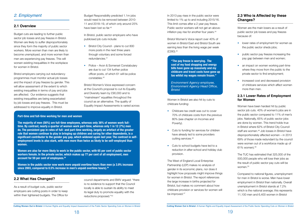In 2013 pay rises in the public sector were limited to 1% up to and including 2015/16. This limit comes after a 2 year pay freeze. Public sector workers will not get an aboveinflation pay rise for another four years.<sup>44</sup>

The West of England Local Enterprise Partnership (LEP) makes no analysis of gender in its economic plans, nor does it highlight how proposals might improve things for women in Bristol. The report references the large increase in births projected for Bristol, but makes no comment about how childcare provision or services for women will be improved.<sup>47</sup>

Bristol Women's Voice report over 40% of women in Bristol East and Bristol South are earning less than the living wage per week (£280).45

Women in Bristol are also hit by cuts to childcare funding:

- Childcare tax credit was cut to cover 70% of childcare costs from the previous 80% (see chapter on Incomes and Poverty).
- Cuts to funding for services for children have already led to some providers cutting services.46
- Cuts to school budgets have led to a reduction in after-school and holiday club provision.
- lower rates of employment for women as the public sector sheds jobs;
- public sector pay freezes increasing the pay gap between men and women;
- an impact on women working part-time where they move from the public to the private sector to find employment;
- increased cost and decreased provision of childcare services which affect women more than men.

The TUC has estimated that 325,000 of the 500,000 people who will lose their jobs as the result of public sector pay cuts will be women.<sup>50</sup>

# **2.3 Who is Affected by these Changes?**

Women are the main losers as a result of public sector job losses and pay freezes because of:

# **2.3.1 Lower Rates of Employment for Women**

Women have been hardest hit by public sector job cuts. 40% of women's jobs are in the public sector compared to 11% of men's jobs. Nationally, 65% of public sector jobs are done by women. This trend holds true in Bristol where 62% of Bristol City Council staff are women.48 Job losses in Bristol have disproportionately affected women – in 2013 69% of those made redundant by the council were women out of a workforce made up of 61% women).49

Budget Responsibility predicted 1.1m jobs would need to be removed between 2010- 11 and 2018–19, of which only around 25% have been lost so far.<sup>40</sup>

- Bristol City Council plans to cut 800 more posts in the next three years through voluntary and some forced redundancies.41
- Police Avon & Somerset Constabulary are due to cut 134 further police officer posts, of which 61 will be police constables.42

Compared to national figures, unemployment for men in Bristol is worse. Men have lower employment in Bristol than nationally. Overall unemployment in Bristol stands at 7.2% which is the national average; this represents 11,100 men and 6,400 women in Bristol

### **Part-time and full-time working for men and women**

**The majority of men (56%) are full-time employees, whereas only 36% of women work fulltime. By contrast, nearly a quarter of women work part-time, whereas only 1 in 12 (7%) men do. The persistent gap in rates of full- and part-time working, largely an artefact of the greater role that women continue to play in bringing up children and caring for other dependents, is a significant contributor to the gender pay gap, which widened again last year. The contrast in selfemployment levels is also stark, with men more than twice as likely to be self-employed than women.** 

**Women are also far more likely to work in the public sector, with 65 per cent of public sector workers female. In the private sector, which makes up 77 per cent of all employment, men account for 59 per cent of employees.38**

**Women in the public sector now work more unpaid overtime hours than men (a 3.9% increase since 2003, compared to 0.5% increase in men's unpaid overtime hours).39**

# <span id="page-9-0"></span>*2. Employment*

### **2.1 Overview**

Budget cuts are leading to further public sector job losses and pay freezes in Bristol. Women are likely to suffer disproportionately since they form the majority of public sector workers. More women than men are likely to become unemployed, and more women than men are experiencing pay freezes. This will worsen existing inequalities in the workplace for women in Bristol.

Bristol employers carrying out redundancy programmes must monitor actual job losses and the impact of pay freezes by gender. This will allow assessment of the extent to which existing inequalities in terms of pay and jobs are affected. Our evidence suggests that existing inequalities are being exacerbated by job losses and pay freezes. This must be addressed to improve equality in Bristol.

### **2.2 What Has Changed?**

As a result of budget cuts, public sector employers are cutting posts in order to keep within their tightened budgets. The Office for In Bristol, public sector employers who have publicised job cuts include:

Bristol Women's Voice expressed concern at the Council's proposal to cut its Equality and Diversity team by £90,000 and to "mainstream" equalities throughout the council as an alternative. The quality of Equality Impact Assessments is varied across

council departments and BWV argued: "there is no evidence to support that the Council locally is able to sustain its ability to meet its legal duty to promote equality with the reductions proposed."43

**"The pay freeze is worrying. The cost of my food shopping and energy bills have gone up massively and my childcare and travel costs have gone up too whilst my wages remain frozen."**

*Environment Agency employee, Environment Agency Head Office, Bristol*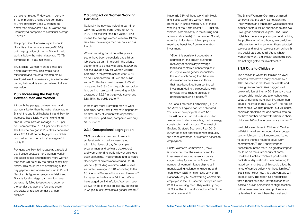<span id="page-10-0"></span>being unemployed.51 However, in our city 8.1% of men are unemployed compared to 7.6% nationally. Locally, women do better than elsewhere: 5.5% of women are unemployed compared to a national average of 6.7%.52

The proportion of women in paid work in Bristol is at the national average (66.8%) but the proportion of men in Bristol in paid work is below the national average (73.7% compared to 76.8% nationally).

Thus, Bristol women might feel they are doing relatively well. This would be to misunderstand the data. Women are still employed less than men and, as can be seen below, their work is also considered to be of less value.

### **2.3.2 Increasing the Pay Gap Between Men and Women**

Women working part-time in the private sector have been particularly badly hit as job losses as part-time jobs in the private sector tend to be less well paid. In 2009 the national average pay for women working part-time in the private sector was £6.78 an hour compared to £9.34 in the public sector.<sup>56</sup> This has now increased to £9.40 compared to £13.46 in the public sector, but lags behind male part-time working which averages at £9.57 in the private sector and £18.45 in the public sector. $57$ 

Although the pay gap between men and women is better than the national average in Bristol, the gap is still substantial and likely to increase. Specifically, women working fulltime in Bristol earn on average £12.18 per hour compared to £13.14 per hour for men.<sup>53</sup> The full-time pay gap in Bristol has decreased since 2011 to 8 percentage points which is now better than the national average of 11 points.54

ONS data shows men tend to work in professional occupations associated with higher levels of pay (for example programmers and software developers) and women tend to work in lower paid jobs such as nursing. Programmers and software development professionals earned £20.02 per hour (excluding overtime) while nurses earned on average £16.61 according to the 2012 Annual Survey of Hours and Earnings.<sup>59</sup> Increases to the National Minimum Wage have lagged behind inflation. Women make up two-thirds of those on low pay so this fall in wages in real terms has a gender impact. $60$ 

Pay gaps are likely to increase as a result of pay freezes because more women work in the public sector and therefore more women than men will be hit by the public sector pay freeze. This could lead to a widening of the pay gap between women and men in Bristol. Despite this figure, employers in Bristol and Bristol's local strategic partnerships have consistently failed to take strong action on the gender pay gap and few employers undertake or release gender pay gap analyses.

# **2.3.3 Impact on Women Working Part-time**

Nationally the pay gap including part-time work has widened from 19.6% to 19.7% in 2013 for the first time in 5 years. $55$  This means the average woman will earn 19.7% less than the average man per hour across the UK.

> Bristol Women's Commission (BWC) is concerned that the areas chosen for investment do not represent or create opportunities for women in Bristol. The number of women in leadership roles in manufacturing, science, engineering and technology (SET) firms remains very small. Nationally, only 5.3% of working women are employed in the SET sectors, compared with 31.3% of working men. They make up only 12.3% of the SET workforce, but 45% of the workforce overall.<sup>65</sup>

The Bristol Women's Commission raised concerns that the LEP has not identified "how women and others not well represented in these sectors will be supported to achieve GVA (gross added value) jobs". BWC also highlights the lack of planning around tackling the proliferation of zero hours, low paid, low skills employment in servicing these selected services and in other services such as health and social care and retail. Areas where women do work, e.g. Health and social care, are not highlighted for investment.<sup>66</sup>

Women are more likely than men to work part-time, particularly if they have dependent children. 37% of women with dependent children work part-time, compared with only 6% of men.58

The position is worse for families on lower incomes, who have already been hit by a 10% reduction in childcare tax credits and were given tax credit rises pegged well below inflation at 1%. A 2013 survey shows nursery, childminder and after-school club costs all rising at more than 6%, more than double the inflation rate  $(2.7\%)$ .<sup>67</sup> This has an impact on all working parents, but will cause particular problems for lone parents who do not have another parent with whom to share childcare. 92% of lone parents are women.<sup>68</sup>

# **2.3.4 Occupational segregation**

Nationally 78% of those working in Health and Social Care<sup>61</sup> are women (this is borne out in Bristol where 77% of those working at the North Bristol NHS Trust are women, predominantly in the nursing and administrative fields).<sup>62</sup> The Fawcett Society note that industries which employ more men have benefitted from regeneration investment:

"Given this persistent occupational segregation, the growth during the recovery of particularly low wage feminised sectors is concerning as it is likely to widen gender inequalities. It is also worth noting that the maledominated sectors are also those that have benefitted from continued investment during the recession, with physical infrastructure projects in particular receiving a boost."63

The Local Enterprise Partnership (LEP) in the West of England has been allocated £86.2m for new projects in 2014/15. This will be spent on industries including telecommunications, robotics, marine energy, construction and transport. The West of England Strategic Economic Plan 2015- 2030<sup>64</sup> does not address gender inequality, the needs of women, or women's access to employment.

# **2.3.5 Cuts to Childcare**

Paid childcare places in Childrens' Centres in Bristol have been reduced due to budget cuts which can make it more complicated to extend the free hours to cover work commitments.69 The Equality Impact Assessment notes that "The greatest impact could be on the sustainability of some Children's Centres which are positioned in pockets of deprivation but are delivering to mixed communities and this could affect the range of service delivery for these families." But it is not clear how this disadvantage will be dealt with. The report also recognises that a reduction in the universal offer could lead to a public perception of stigmatisation with a lower voluntary take up of services by families that need them the most and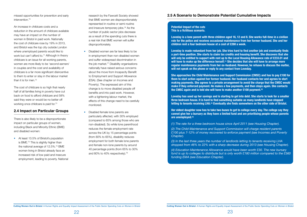

<span id="page-11-0"></span>missed opportunities for prevention and early  $intervention<sup>70</sup>$ 

An increase in childcare costs and a reduction in the amount of childcare available may have an impact on the number of women in Bristol in paid work. Nationally the cost of childcare rose by 19% in 2013, and Bristol was the top city outside London where unemployed parents would like to work but can't afford to.<sup>71</sup> Although in theory childcare is an issue for all working parents, women are more likely to be 'second earners' in couples and the cost and availability of childcare is a far more significant disincentive to them to enter or stay in the labour market than it is for men.<sup>72</sup>

The cost of childcare is so high that nearly half of all families living in poverty have cut back on food to afford childcare and 58% said they were or would be no better off working once childcare is paid for.<sup>73</sup>

# **2.4 Impact on Particular Groups**

There is also likely to be a disproportionate impact on particular groups of women, including Black and Minority Ethnic (BME) and disabled women:

• At least 13.5% of Bristol's population is BME.74 This is slightly higher than the national average of 12.5%.<sup>75</sup> BME women living in Bristol already face an increased risk of low paid and insecure employment, leading to poverty. National

research by the Fawcett Society showed that BME women are disproportionately represented in routine or semi routine and insecure temporary jobs.76 As the number of public sector jobs decrease as a result of the spending cuts there is a real risk that BME women will suffer disproportionately.

- Disabled women are far less likely to be in employment than non-disabled women and suffer widespread discrimination in the job market.<sup>77</sup> Disability organisations nationally have raised serious concerns about the move from Incapacity Benefit to Employment and Support Allowance (ESA). (See chapter on Incomes and Poverty). The expressed aim of this change is to move disabled people off benefits and into paid work. However, with a tightening labour market, the effects of this change need to be carefully monitored.
- Disabled female lone parents are particularly affected, with 30% employed (compared to 65% among those who are non-disabled). So while lone parenthood reduces the female employment rate across the UK by 15 percentage points (from 80% to 65%), disability reduces employment for both female lone parents and female non-lone parents by around 40 percentage points (from 65% to 30% and 80% to 40% respectively).<sup>78</sup>

### **Potential Impact of the cuts This is a fictitious scenario.**

**Loveday is a lone parent with three children aged 16, 12 and 8. She works full-time in a civilian role for the police and receives occasional maintenance from her former husband. She and her children rent a four bedroom house at a cost of £280 a week.**

**Loveday is made redundant from her job. She tries hard to find another job and eventually finds a part-time position. She starts to claim tax credits and housing benefit. She discovers that she will only be entitled to support with rent up to the Local Housing Allowance rate of £233.01 and will have to make up the difference herself.(1) She decides that she will have to arrange more regular maintenance payments from her ex-husband. However, he refuses to discuss the matter, will not speak on the phone or reply to any contact from Loveday.** 

**She approaches the Child Maintenance and Support Commission (CMSC) and has to pay £100 for them to start action against her former husband. Her husband contacts her and agrees to start making payments. She agrees to a private arrangement to avoid the charge that the CMSC would make if they enforced payment. He makes a few payments, and then stops again. She contacts the CMSC again and is told she will have to make another £100 payment.(2)**

**Loveday has used up her savings and is starting to get into debt. She starts to look for a smaller three bedroom house. It is hard to find something suitable as many landlords have stopped letting to tenants receiving LHA.(3) Eventually she finds somewhere on the other side of Bristol.**

**Her eldest daughter now has to take two buses to get to college every day. The college say they cannot give her a bursary as they have a limited fund and are prioritising people whose parents are unemployed.(4)**

*(1) The rate for a three bedroom house since April 2011 (see Housing Chapter). (2) The Child Maintenance and Support Commission will charge resident parents* 

*£100 plus 7-12% of money recovered to enforce payment (see Incomes and Poverty Chapter).*

*(3) In the last three years the number of landlords letting to tenants receiving LHA dropped from 46% to 22% with a sharp decrease during 2013 (see Housing Chapter).*

*(4) Education Maintenance Allowance would have been worth £30. The new bursary fund is up to colleges to distribute but is only worth £180 million compared to the £560 funding EMA (see Education Chapter).* 

# **2.5 A Scenario to Demonstrate Potential Cumulative Impacts**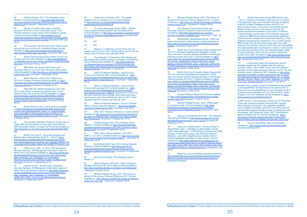38 Fawcett Society, 2014 'The Changing Labour Market 2' [online] Available at *http://www.fawcettsociety. org.uk/wp-content/uploads/2013/02/The-Changing-Labour-Market-2.pdf (Accessed 1 September 2014)*

*39 (28.3% of women work unpaid overtime*  compared to 25.9% of men in the public sector. TUC 'Women workers in public sector drive increase in unpaid overtime' [online] Available at *http://www.tuc.org.uk/ workplace-issues/work-life-balance/women-workers-publicsector-drive-increase-unpaid-overtime (Accessed 29th July 2014)*

40 The Guardian 14th February 2014 'Public sector jobs are set to be cut by 40% throughout Britain' [online] *Available at http://www.theguardian.com/society/2014/ feb/14/public-sector-jobs-cuts-britain (Accessed 28th July)*

41 Bristol Evening Post [online] 'Bristol council cuts involve more than jobs' Available at: *http://www.bristolpost. co.uk/Bristol-council-cuts-involve-jobs/story-21003409-detail/ story.html (Accessed 26 Aug. 2014)*

42 BBC News, 29 January 2014 'Avon and Somerset Police to cut more than 134 police officer posts' *[online] Available at http://www.bbc.co.uk/news/uk-englandbristol-25941763 (Accessed 1 September 2014)*

43 Bristol Women's Voice, 2013, Response to *2014-2017 Budget Proposals [online] Available at: http:// www.wbg.org.uk/wp-content/uploads/2013/10/BWV-Budgetresponse-2014.pdf (Accessed 2 October 2014)*

44 Daily Mail 'No inflation-busting pay rises until *2018, public sector is warned as teachers and council*  workers strike over austerity' [online] Available at: *http://* www.dailymail.co.uk/news/article-2682329/No-inflation*busting-pay-rises-2018-public-sector-warned-teacherscouncil-workers-strike-austerity.html (Accessed 26 Aug 2014)*

45 Bristol Women's Voice, 2013, [online] Available *at* http://www.bristol.gov.uk/sites/default/files/documents/ council\_and\_democracy/lord\_mayor\_of\_bristol/mayoral *information/BWC%20Comments%20on%20WoE%20* Strategic%20Economic%20Plan%20Final\_0.pdf *(Accessed 4 October 2014)*

56 Office for National Statistics. Annual survey *of hours and earnings 2009. [online] Available at: [http://](http://www.ons.gov.uk/ons/rel/ashe/annual-survey-of-hours-and-earnings/2009-revised/index.html) [www.ons.gov.uk/ons/rel/ashe/annual-survey-of-hours-and](http://www.ons.gov.uk/ons/rel/ashe/annual-survey-of-hours-and-earnings/2009-revised/index.html)[earnings/2009-revised/index.html](http://www.ons.gov.uk/ons/rel/ashe/annual-survey-of-hours-and-earnings/2009-revised/index.html) [Accessed 1 September 2014]* 

46 For example Hartcliffe's Children's Centre can no *longer offer day care places to those who cannot afford it. BBC Newsnight website 16 August 2010 [online] Available at http://news.bbc.co.uk/1/hi/programmes/newsnight/8912594. stm*

57 Office for National Statistics., Annual survey *of hours and earnings 2013. [online] Available at: http:// www.ons.gov.uk/ons/publications/re-reference-tables. html?edition=tcm%3A77-328216 [Accessed 21 Feb 2014]*  We have used the mean average. Men's part-time gross *hourly pay for part-time working has risen by 3.6%, whilst*  the same figure for women has risen by 2.9%.

**Office for National Statistics, Focus on Gender:** *Work & Family, [online] Available at: http://www.statistics. gov.uk/cci/nugget.asp?id=1655 [Accessed 5 July 2011]* 

*47 Bristol City Council - Corporate Priorities and Medium Term Financial Plan 2012/13 – 2014/15 http://* www.bristol.gov.uk/sites/default/files/documents/council\_ and\_democracy/council\_budgets\_and\_spending/FINAL%20 Corporate%20Priorities%20and%20%20MTFP%20v8.6\_.pdf

*48 (4508 out of 7,280 - 61.92%) BCC Workforce Diversity Statistics, HR Management information report 31 March 2014, p31 [online] Available at: http://www.bristol.gov.* uk/sites/default/files/documents/council\_and\_democracy/ data protection and foi/freedom of information/ *Workforce%20Diversity%20Report%2031%20March%20 2014.pdf (Accessed 12 September 2014)*

*49 (162 out of 234 – 69.23%) BCC Workforce Diversity Statistics, HR Management information report 31 March 2013, p31 [online] Available at: http://www.bristol.gov.* uk/sites/default/files/documents/council\_and\_democracy/ data protection and foi/freedom of information/ HRMI\_BCC\_WDS\_310313%20%28web%20ver%29.pdf *(Accessed 12 September 2014)*

Gingerbread. Gingerbread fact file: myths and *labels abound about single parents. [online] Available at:*  http://www.gingerbread.org.uk/content/365/Gingerbread-Factfile *[Accessed 21 April 2011]* 

50 Trade Union Congress. 2011. The gender *impact of the cut revisited. at p.9 [online] Available at:* http://www.tuc.org.uk/sites/default/files/tucfiles/ *genderimpactofcutsrevisited.pdf*

51 (% are for those aged 16-64 ) ONS – 'Official Labour Market Statistics Bristol (Apr 2013-Mar 2014 )' *[online] Available at: http://www.nomisweb.co.uk/reports/lmp/ la/1946157348/report.aspx#tabempunemp (Accessed 29th July 2014)*

*52 Ibid*

*53 Ibid*

54 Based on % difference of £12.18 per hour for women and £13.14 for men in Bristol (92%), and £12.26 for women and £13.68 for men nationally (89%)

> 72 Women's Budget Group., 2010. 'White paper on universal credit'. [online] Available at: *http://www. publications.parliament.uk/pa/cm201011/cmselect/ cmworpen/writev/whitepap/uc40.htm [Accessed 21 April 2011]*

55 The Telegraph 12 December 2013 Gender pay gap widens with women earning an average of £5,000 less, *reports ONS [online] Available at: [http://www.telegraph.](http://www.telegraph.co.uk/women/womens-business/10513636/Gender-pay-gap-widens-with-women-earning-an-average-of-5000-less-reports-ONS.html)* [co.uk/women/womens-business/10513636/Gender-pay](http://www.telegraph.co.uk/women/womens-business/10513636/Gender-pay-gap-widens-with-women-earning-an-average-of-5000-less-reports-ONS.html)*[gap-widens-with-women-earning-an-average-of-5000-less](http://www.telegraph.co.uk/women/womens-business/10513636/Gender-pay-gap-widens-with-women-earning-an-average-of-5000-less-reports-ONS.html)[reports-ONS.html](http://www.telegraph.co.uk/women/womens-business/10513636/Gender-pay-gap-widens-with-women-earning-an-average-of-5000-less-reports-ONS.html) [Accessed 11 Feb 2014]* 

59 ONS, 2013 'Women in the labour market' [online] *Available at; http://www.ons.gov.uk/ons/rel/lmac/women-inthe-labour-market/2013/rpt---women-in-the-labour-market. html?format=print (Accessed 15 September 2014)*

60 Fawcett Society, 2014 'The Changing Labour Market -2', [online] Available at *http://www.fawcettsociety. org.uk/wp-content/uploads/2013/02/The-Changing-Labour-Market-2.pdf (Accessed 15 September 2014)*

*61 ONS, Labour Market Statistics June 2014, EMP13, June 2014, [online] Available at: http://www.ons.gov. uk/ons/search/index.html?newquery=EMP13 (Accessed 16 September 2014)*

62 North Bristol NHS Trust, 2013 'Annual Equality Statistics' [online] Available at *http://www.nbt.nhs.uk/* sites/default/files/attachments/Annual%20Equality%20 *Statistics%20Report%202013.pdf (Accessed 16 September 2014)*

63 Ibid Fawcett Society 'The Changing Labour Market -2'

64 West of England LEP, 2013, 'West of England *Strategic Economic Plan 2015-2030), [online] Available at: http://www.westofenglandlep.co.uk/about-us/strategicplan (Accessed 5 October 2014)*

65 Women's Budget Group, 2012,'The impact on women of the Autumn Financial Statement 2011', [online] *Available at: http://wbg.org.uk/pdfs/The-Impact-on-Womenof-the-AFS-2011.pdf (Accessed 4 October 2014)* 

66 Women's Budget Group, 2012,'The impact on women of the Autumn Financial Statement 2011',[online] *Available at: http://wbg.org.uk/pdfs/The-Impact-on-Womenof-the-AFS-2011.pdf (Accessed 4 October 2014)*

*67 The Daycare Trust and the Family and*  Parenting Institute's Childcare Costs Survey 2013 [online] *Available at: http://www.daycaretrust.org.uk/news.* php?id=77#sthash.3rUxBkMU.dpuf *[Accessed 11 Feb. 14]*

*69 Bristol City Council Equality Impact Assessment*  18/11/13 'Increased Targeting and Integration of Early Years Services to achieve savings identified in the Budget Planning process 2014-2017' [online] Available at: *http://* www.bristol.gov.uk/sites/default/files/documents/children\_ and young people/about bristol child and young people\_service/information\_about\_cyps/cyps\_services/R-PP-003%20Children's%20Centres%20and%20Early%20 Years.pdf *[Accessed 14 May 2014]*

*70 Bristol City Council Equality Impact Assessment*  18/11/13 'Increased Targeting and Integration of Early Years Services to achieve savings identified in the Budget Planning process 2014-2017' [online] Available at: *http://* www.bristol.gov.uk/sites/default/files/documents/children and young people/about bristol child and young people\_service/information\_about\_cyps/cyps\_services/R-PP-003%20Children's%20Centres%20and%20Early%20 Years.pdf *[Accessed 14 May 2014]*

*71 Annual Childcare Report 2013 [online] Available at:* http://www.findababysitter.com/assets/resources/fab\_ annual\_report.pdf *[Accessed 13 March 2014]*

*73 Daycare Trust Making Work Pay - The Childcare Trap [online] Available at http://www.daycaretrust.org.uk/* data/files/Research/making\_work\_pay.pdf *Accessed 20 September 2011]*

*74 There are 10,600 women in Bristol of Asian or Asian British origin, 7,100 Black or Black British women, 5,200 mixed parentage, 12,800 White non British and 2,300*  Chinese or other ethnic group. See Office for National *Statistics, June 2009. Neighbourhood statistics Bristol: resident population estimates by ethnic group. [Online] Available at: http://www.neighbourhood.statistics.gov.uk/ dissemination/LeadTableView.do?a=3&b=276834&c=bristol &d=13&e=13&g=398712&i=1001x1003x1004&m=0&r=1&s= 1310046794740&enc=1&dsFamilyId=1811 [Accessed 5 July 2011]*

*75 Bristol City Council Statistics [online] Available at http://www.bristol.gov.uk/ccm/content/Council-Democracy/ Statistics-Census-Information/key-facts-about-bristol.en [Accessed 9 August]*

*76 Employment rates among BME women vary – 25.4% of women of Pakistani origin and 28.1% women of Bangladeshi origin are employed nationally compared to 66.9% of Black Caribbean women and 50.2% of Black African women. According to the Fawcett Society Muslim women are one of two groups that face the highest employment penalties in the country. Evidence of discrimination can be seen at the interview stage with a quarter of BME women being asked (illegal) questions about what their families think about them working, or their childcare arrangements compared to 14% of white women. BME women are also four times more likely than white*  women to be working in jobs for which they are overqualified *and disproportionately represented in routine or semi routine and insecure temporary jobs. See Fawcett Society, 2009.*  Poverty pathways: ethnic minority women's livelihoods. *[online] June 2009. Available at: http://www.womens.cusu.* cam.ac.uk/campaigns/bem/fawcett\_ethnicminoritywomen. *pdf [Accessed 5 July 2011]*

*77 In the South West the employment rate for disabled people was 55% (higher than the national average of 50%). See: EHRC. 2010. How fair is Britain?*  Equality, human rights and good relations in 2010. The first *triennial review. [online] at p.397, Available at: http://www. equalityhumanrights.com/key-projects/how-fair-is-britain/* full-report-and-evidence-downloads/#How\_fair\_is\_Britain\_ Equality\_Human\_Rights\_and\_Good\_Relations\_in\_2010\_ The\_First\_Triennial\_Review *[Accessed 5 July 2011]* 

*Disability has a greater impact on employment than gender or lone parenthood. Among female lone parents 65% of those who are non-disabled are in work compared to 30%*  of those who are disabled. See The Poverty Site., United Kingdom, work and disability. [online] Available at: *http:// www.poverty.org.uk/45/index.shtml?2 .* 

*A 2007 survey of 700 employers carried out by Personnel Today with Leonard Cheshire found that 86% agreed that employers would pick a non-disabled candidate over a disabled candidate, while 92% said there was still discrimination against disabled people in employment and recruitment. See Personnel Today. 2007. Discrimination against disabled still rife. [online] Available at: http:// www.personneltoday.com/articles/2007/12/03/43501/ discrimination-against-disabled-still-rife-says-report.html*

78 Poverty Site [online] 'Work and Disability' *Available at: http://www.poverty.org.uk/45/index.shtml (Accessed 26 Aug 2014)*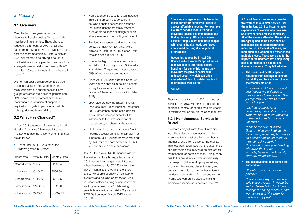There are plans to build 2,500 new houses in Bristol by 2018, with 465 of these to be affordable homes for people who are unable to afford to rent or buy on the open market.<sup>89</sup>

# **3.2.1 Homelessness Services in Bristol**

Over the last three years a number of changes to Local Housing Allowance (LHA) have been implemented. These changes reduced the amount of LHA that tenants can claim on average by  $£14$  a week.<sup>79</sup> The cost of accommodation in Bristol is high at £909 per month $80$  and buying a house is unaffordable for many people. The cost of the average house in Bristol has risen by 39%<sup>81</sup> in the last 10 years, far outstripping the rise in wages.<sup>82</sup>

> A research project from Bristol University found homeless women were struggling to survive the impact of a large number of traumatic, and often gendered, life events. This research recognises that the experience of being 'homeless' may well be different for women than for homeless men. This is partly due to the 'invisibility' of women who may not sleep rough but end up in precarious, and often dangerous, places instead, and because the notion of 'home' has different gendered connotations for men and women. "Homeless women are used to making themselves invisible in order to survive."90

# <span id="page-13-0"></span>*3. Housing*

# **3.1 Overview**

Women will bear a disproportionate burden of these changes since women are the main recipients of housing benefit. Some groups of women such as lone parents and BME women will be hardest hit.<sup>83</sup> Careful monitoring and provision of support is required to mitigate impacts incompatible with equality and human rights.

- Non-dependent deductions will increase. This is the amount deducted from housing benefit because it is assumed that a non-dependent family member such as an adult son or daughter or an elderly relative is contributing to the rent.
- Previously if a tenant paid rent that was below the maximum LHA they were allowed to keep up to £15 excess – this was abolished in April 2011.
- Due to the high cost of accommodation in Bristol LHA will only cover 33% of what is available. The previous rates covered 55% of available accommodation.
- Since April 2012 single people under 35 years old can only claim housing benefit to pay for a room to rent in a shared property (Shared Accommodation Rate, SAR)
- LHA rates are now up-rated in line with the Consumer Prices Index of September 2012, rather than on the basis of local rents. Rates increase either by CPI inflation or to the 30th percentile of market rents, whichever is the lower.<sup>85</sup>
- Limits introduced to the amount of rent housing association tenants can claim for (Bedroom tax). Housing benefits reduced by 14% for one spare bedroom, or 25% for two or more spare bedrooms.

# **3.2 What Has Changed?**

In April 2011 a number of changes to Local Housing Allowance (LHA) were introduced. The key changes that affect women in Bristol are as follows:

• From April 2014 LHA is set at the following rates in Bristol:<sup>84</sup>

| <b>Bedrooms</b> | Weekly Rate | <b>Monthly Rate</b> |
|-----------------|-------------|---------------------|
| Shared room     | £66.70      | £289.04             |
| 1 bedroom       | £116.53     | £504.98             |
| 2 bedrooms      | £145.67     | £631.25             |
| 3 bedrooms      | £168.98     | £732.26             |
| 4 bedrooms      | £233.01     | £1,009.72           |

In 2013 there were 14,360 households on the waiting list for a home, a large rise from 2011 before the changes were introduced when there were 11,167.<sup>86</sup> Data from the government also shows in Bristol there are 2,170 people occupying insanitary or overcrowded housing or otherwise living in unsatisfactory housing conditions whilst waiting for a new home.<sup>87</sup> Rehousing people temporarily cost Bristol City Council £431,584 between March 2013 and Feb 2014.88

**"Housing changes mean it is becoming much harder for our service users to access affordable housing. For example, a current service user is trying to move into shared accommodation, but finding this very difficult as demand exceeds supply. More and more people with mental health needs are forced into shared housing due to general affordability.**

**Quotas introduced by Bristol City Council reduce women's opportunities to move on into affordable secure housing – for some this means they move into the private sector with reduced security which can often exacerbate & lead to a deterioration in their mental well-being"**

*Nextlink*

**A Bristol Fawcett volunteer spoke to five women in a Shelter Service User Group in June 2014 to listen to recent experiences of women who have used Shelter's services for the homeless. All of the women attending the service user group had some experience of homelessness or being required to move house in the last 2-3 years, and more than one woman had experienced multiple moves. These were due to the impact of the bedroom tax, compulsory moves for demolition and fleeing domestic violence. They talked about:**

**• The stress and health impacts resulting from feelings of constant instability and lack of control over their family situation:** 

*"my eldest child will move out and I guess we will have to move across town, again. The youngsters will have to move school, again."*

*"we had to move for a compulsory demolition notice. Then we had to move because of the bedroom tax. It's very unstable."*

*"I check the HomeChoice (Bristol's Housing Register site for finding properties) but there's no smaller houses on there, or they go really quickly." "It's take it or lose your banding, whatever the impact…….on schools, travel to work, family support, friendships…."*

**• The negative impact on family life and children:**

*"there's no right to our own privacy"*

*"I won't make my two teenage girls share a room - it would be awful. Those MPs don't have teenagers sharing rooms." [This woman loses £14 a week for 'under-occupying'].*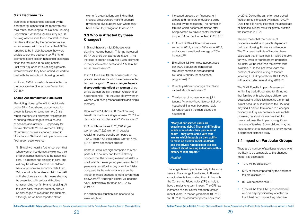### <span id="page-14-0"></span>**3.2.2 Bedroom Tax**

Two thirds of households affected by the bedroom tax cannot find the money to pay their rents, according to the National Housing Federation.91 An Ipsos MORI survey of 183 housing associations found that 66% of their residents affected by the bedroom tax are in rent arrears, with more than a third (38%) reported to be in debt because they were unable to pay the bedroom tax. $92$  57% of claimants spent less on household essentials since the reduction in housing benefit. Just over a quarter (26%) of single parents interviewed said they have looked for work to deal with the reduction in housing benefit.

In Bristol, 2,682 households are affected by the bedroom tax (figures from December 2013).93

### **Shared Accommodation Rate (SAR)**

In Bristol there are 43,120 households claiming housing benefit. This has increased by 4,490 since our last report in 2011. The increase is broken down into 3,350 claimants in the private rented sector and 1,560 in the social rented sector.<sup>96</sup>

Restricting Housing Benefit for individuals under 35 to fund shared accommodation presents issues for some women. Crisis report that for SAR claimants 'the prospect of sharing with strangers was a source of considerable anxiety……especially for female claimants.'94 The Women's Safety Commission quotes a concern raised in Bristol about SAR and the impact on women fleeing domestic violence:

Data from 2014 shows 50.5% of housing benefit claimants are single women. 21.7% of claimants are couples and 27.2% are men.<sup>98</sup>

"In Bristol we heard a further concern that when women flee domestic violence, their children sometimes have to be taken into care. If a mother has children in care, she will only be allowed to have her children back when she can accommodate them. Yet, she will only be able to claim the SAR until she does so and this means she may be presented with serious difficulties in re-assembling her family and resettling. At the very least, the local authority should be challenged to overcome this dilemma, although, as we have reported above,

women's organisations are finding that financial pressures are making councils unwilling to give support even where they have a statutory obligation to do so."95

- Increased pressure on finances, rent arrears and numbers of evictions being caused by the recession. The number of families which became homeless after being evicted by private sector landlords jumped 34 per cent in England in 2011.<sup>102</sup>
- In Bristol 1229 eviction notices were served in 2012, a rise of 39% since 2012, and above the national average of 26% increase.103
- Bristol has 1.8 Homeless acceptances per 1000 population (considered statutorily homeless and accepted by Local Authority for assistance programme).104
- Bristol's particular shortage of 2, 3 and 4+ bed affordable homes.105
- The danger of women who are joint tenants (who may have little control over household finances) becoming liable for rent arrears if the man leaves the household.

# **3.3 Who is Affected by these Changes?**

This will mean that the number of properties available to people dependant on Local Housing Allowance will reduce. The Chartered Institute of Housing have calculated that in less than 17 years the LHA for two, three or four bedroom properties in Bristol will be less than the lowest rent available.107 In the last three years the number of landlords letting to tenants receiving LHA dropped from 46% to 22% with a sharp decrease during 2013.<sup>108</sup>

In 2014 there are 13,392 households in the private rented sector who have been affected by the changes.97 **These changes have a disproportionate effect on women** since single women are still the main recipients of housing benefit. This includes elderly women, women with caring responsibilities and single mothers.

In Bristol this equates to 20,270 single women and 7,222 women in couples receiving housing benefit, compared to 13,407 men.<sup>99</sup> Of these single women 47% (9,457) have dependent children.

- $\bullet$  19% will be disabled.<sup>109</sup>
- 63% of those impacted by the bedroom tax are disabled.<sup>110</sup>
- $\bullet$  8% will be pensioners:<sup>111</sup>
- 13% will be from BME groups who will also be disproportionately affected by the 4 bedroom cap as they often live

Rents in Bristol are high compared to other parts of the country and there is already concern that the housing market in Bristol is unaffordable. Fewer young people (under 35 years old) can afford to buy or rent in Bristol compared to the national average so the impact of these changes is more severe than elsewhere.100 Housing in Bristol will become 'very unaffordable' to those on LHA by 2021.101

In addition this situation also needs to be seen in light of:

The longer term impacts are likely to be more severe. The change from basing LHA rates on actual rents to up-rating them in line with the Consumer Prices Index (CPI) is likely to have a major long term impact. The CPI has increased at a far slower rate than rents in recent years. In the ten years from 1997/98 to 2007/08 the consumer prices index rose

by 20%. During the same ten year period median rents increased by almost 70%.106 Over time it is highly likely that the actual rate of increase in local rents will greatly outstrip the increase in LHA.

The DWP Equality Impact Assessment for limiting the LHA uprating to 1% notes that families with school age children are experiencing difficulties meeting a shortfall in rent because of restrictions to LHA, and may find it difficult to relocate to a cheaper property as they are potentially less mobile. However, no solutions are provided for how to address this impact on significant numbers of families. Some children may be required to change schools if a family moves a significant distance away.

# **3.4 Impact on Particular Groups**

There are a number of particular groups who are likely to be vulnerable to the changes made. It is estimated:

**"Many of our service users are experiencing debt & financial difficulties which exacerbates their poor mental health – they often come with rent arrears which impacts on their ability to move on as both social landlords and the private rented sector are less tolerant about housing individuals with a history of rent arrears."**

*Nextlink*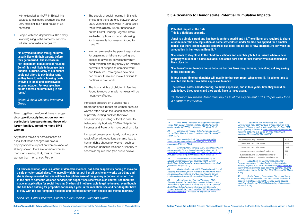<span id="page-15-0"></span>with extended family.<sup>112</sup> In Bristol this equates to estimated average loss per LHA recipient in a 4 bed house of £67 per week.<sup>113</sup>

• People with non-dependents (like elderly relatives) living in the same households will also incur extra charges.<sup>114</sup>

Taken together therefore all these changes **disproportionately impact on women, particularly lone parents and those with larger families, including many BME women**.

Any forced moves or homelessness as a result of these changes will have a disproportionate impact on women since, as already shown, there are far more women than men claiming LHA, thus far more women than men at risk. Further:

- The supply of social housing in Bristol is limited and there are only between 2300- 2600 vacancies each year. In June 2014, there were already 13,590 households on the Bristol Housing Register. There are limited options for good rehousing for those made homeless or forced to move.<sup>115</sup>
- Women are usually the parent responsible for organising children's schooling and access to any local services they may need. Women also rely heavily on informal networks of support to combine work and family life - moving to a new area can disrupt these and make it difficult to continue in paid work.
- The human rights of children in families forced to move or made homeless will be negatively affected.

Increased pressure on budgets has a disproportionate impact on women because women often act as the 'shock absorbers' of poverty, cutting back on their own consumption (including of food) in order to balance family budgets.116 (See chapter on Incomes and Poverty for more detail on this)

Increased pressures on family budgets as a result of benefit reductions can also lead to human rights abuses for women, such as increases in domestic violence or inability to access adequate food (see quote below).

79 BBC News. Impact of housing benefit changes 'worse than feared'. [online] Available at *http://www.bbc. co.uk/news/uk-23122369 [Accessed 28 March 2014]*

**"In a typical Chinese family, children usually live with their parents before they get married. The increase in non-dependant deductions of Housing Benefit is most likely to increase their financial burdens. Many of our clients could not afford to pay higher rents so they have to reduce housing costs by living in small and overcrowded accommodation. For example, two adults and two children living in one room."**

> 82 Evening Post 7 January 2014, 'Bristol sees house prices go up by 39% in the last decade' [online] *http:// www.bristolpost.co.uk/BoomHouse-prices-39-decade/story-20408006-detail/story.html [Accessed 5th March 2014]*

*Bristol & Avon Chinese Women's Group*

> 84 Bristol city Council, 2013, Housing benefit (Local Housing Allowance)' [online] Available at: *http://www.bristol.* gov.uk/page/financial-help-and-benefits/housing-benefit*local-housing-allowance (Accessed 30 September 2014)*

**"A Chinese woman, who is a victim of domestic violence, has been desperately hoping to move to a safe private-rented place. The incredibly high rent put her off as she only works part-time and she is always worried that she will lose her job because of the gloomy economic situation. Due to the cuts to domestic violence services, the support she receives is also limited. She therefore made an application for social housing. She has still not been able to get re-housed, even though she has been bidding for properties for nearly a year. In the meantime she and her daughter have to stay with the bad-tempered husband and therefore suffer from anxiety and mental distress."** 

*Rosa Hui, Chief Executive, Bristol & Avon Chinese Women's Group*

# **3.5 A Scenario to Demonstrate Potential Cumulative Impacts**

### **Potential Impact of the Cuts This is a fictitious scenario.**

**Janet is a single parent and has two daughters aged 5 and 13. The children are required to share a room under the new legislation as same sex children under 16. She has applied for a smaller house, but there are no suitable properties available and so she is now charged £16 per week as a reduction in her Housing Benefit.(1)**

**She wants to stay close to the children's schools and near her job, but is unsure where a new property would be if it came available. She cares part-time for her mother who is disabled and lives close by.**

**She doesn't want to move house because her bus fares may increase, cancelling out any saving in the bedroom tax.**

**In four years' time her daughter will qualify for her own room, when she's 16. It's a long time to wait but she feels it would be expensive to move.** 

**The removal costs, and decorating, could be expensive, and in four years' time they would be able to have three rooms and they would have to move again.** 

*1) Bedroom tax means Janet must pay 14% of the eligible rent (£114.15 per week for a 3 bedroom in Horfield)*

*80 Home.co.uk [ online] http://www.home.co.uk/* for\_rent/bristol/current\_rents?location=bristol *[Accessed 5th March 2014]*

*81 Nationwide [online] http://www.nationwide.* co.uk/~/media/nationwide.co.uk/pdf/hpi/Q4\_2013.pdf *[Accessed 5th March 2014]*

*83 Department of Work and Pensions. 2010.*  Equality impact assessment housing benefit. [online] *Available at: http://www.dwp.gov.uk/docs/lha-eia-nov10.pdf [Accessed 21 April 2011]*

*85 Department for Work and Pensions, 2013,*  'Equality Analysis for restricting increases in Local Housing Allowance to 1 per cent in 2014-15 and 2015-16', [online] *Available at: https://www.gov.uk/government/uploads/* system/uploads/attachment\_data/file/262034/lha-uprating*equality-analysis.pdf (Accessed 18 September 2014)*

*86 Department of Communities and Local*  Governments Table 600 numbers of households on local authorities' housing waiting lists, by district: England 1997 *to 2013[online] Available at https://www.gov.uk/government/ statistical-data-sets/live-tables-on-rents-lettings-andtenancies [Accessed 28 March 2014]*

| Households requiring 1 bedroom                                                                    | 8,221 |
|---------------------------------------------------------------------------------------------------|-------|
| Households requiring 2 bedrooms                                                                   | 3,882 |
| Households requiring 3 bedrooms                                                                   | 1.447 |
| Households requiring more than 3 bedrooms                                                         | 395   |
| Households requiring an unspecified number of<br>bedrooms or those on the register more than once | 415   |

*87 Department for Communities and Local*  Government [online] Local authority housing statistics *dataset, England 2012 to 2013 Available at https://www.gov. uk/government/statistical-data-sets/local-authority-housingstatistics-data-returns-for-2012-to-2013 [Accessed 28 March 2014]*

*88 Bristol Evening Post [online] City council facing housing crisis as homeless numbers increase Available at http://www.bristolpost.co.uk/City-council-facing-housingcrisis-homeless/story-20619558-detail/story.html Accessed 28 March 2014]*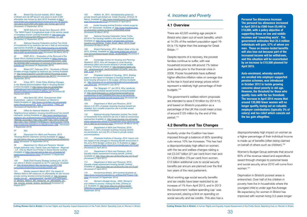<span id="page-16-0"></span>89 Bristol City Council website, 2013, 'Mayor *of Bristol and city MP launch new plans to build 2,500*  affordable new homes by April 2018' Available at *http:// www.bristol.gov.uk/press/mayor-bristol-and-city-mp-launchnew-plans-build-2500-affordable-new-homes-april-2018 (Accessed 12 September 2014)*

92 DWP, 2014 – 'Evaluation of the Removal of the Spare Room Subsidy'[online] Available at *https://www.gov.* uk/government/uploads/system/uploads/attachment\_data/ file/329948/rr882-evaluation-of-removal-of-the-spare-room*subsidy.pdf (Accessed 24 September 2014)*

*90 NIHR School for Social Care Research, 2013*  'The TARA Project: A longitudinal study of the service needs of homeless women' [online] Available at: *http://sscr.nihr.* ac.uk/PDF/Findings/SSCRResearchFindings\_13\_.pdf *(Accessed 12 September 2014)*

93 Bristol 247, February 2014, 'Hundreds of Bristol families wrongly targeted by bedroom tax' [online] Available *at: http://www.bristol247.com/2014/02/27/hundreds-bristolfamilies-wrongly-targeted-bedroom-tax-96101/ (Accessed 22 September 2014)*

94 Crisis, 2011, 'Crisis Policy Briefing Changes to the Shared Accommodation Rate in Housing Benefit' *[online] Available at* http://www.crisis.org.uk/data/files/ publications/Crisis%20briefing%20on%20the%20 *Shared%20Accommodation%20Rate.pdf (Accessed 28 September 2014)*

*91 National Housing Federation [online] Two thirds of households hit by bedroom tax are in debt as anniversary approaches Available at: http://www.housing.org.uk/media/ press-releases/two-thirds-of-households-hit-by-bedroom-taxare-in-debt-as-anniversary-appr [Accessed 28 March 2014]*

Office for National Statistics. 2014. Neighbourhood statistics: housing benefit/council tax benefit *claimants. [online] Available at: http://www.neighbourhood. statistics.gov.uk/dissemination/LeadTableView.do?a=3&b=2 76834&c=bristol&d=13&e=4&g=398712&i=1001x1003x100 4&m=0&r=1&s=1395352174760&enc=1&dsFamilyId=1037& nsjs=true&nsck=false&nssvg=false&nswid=1366 (Accessed 5 September 2014)*

99 Department for Work and Pensions 'Gender *(single claimants only), Family Type and National - Regional*  - LA - OAs by Month and Private or Social Rented' [online] *Available at https://sw.stat-xplore.dwp.gov.uk/webapi/jsf/ dataCatalogueExplorer.xhtml (Accessed 12 September 2014)*

95 Vera Baird QC, 2012, 'Everywoman Safe Everywhere - Labour's Commission on Women's Safety'Available at: *http://www.yourbritain.org.uk/uploads/* editor/files/Everywoman\_Safe\_Everywhere\_FINAL.pdf *(Accessed 28 September 2014)*

107 Chartered Institute of Housing., 2010. Briefing paper on the impact of changes to housing benefit and *local housing allowance in the budget. [Online] Available at:* http://housing.cih.co.uk/memberbriefing/housingbenefit-*July-2010.htm [Accessed 5 July 2011]*

### *97 Ibid.*

*98 Department for Work and Pensions, 2014,*  'Housing Benefit Claimants' [online] Available at: *https:// sw.stat-xplore.dwp.gov.uk/webapi/jsf/dataCatalogueExplorer. xhtml (Accessed 12 September 2014)*

*100 Draft Child Poverty Strategy [online] p14. 34.2% can afford in Bristol compared to 43.1% nationally. Available at:* http://bristolchildren.files.wordpress.com/2011/08/ *consultationdraftchildpovertystrategy02081.pdf*

*101 Shelter research March 2011 The Impact of Welfare Reform Bill measures on affordability for low income private renting families [online] Available at: http://england.* shelter.org.uk/ data/assets/pdf\_file/0007/334726/Impact of\_Welfare\_Reform\_Bill\_measures\_on\_affordability\_for\_ low\_income\_private\_renting\_families.pdf *Accessed 23 August 2011*

116 Women's Budget Group., 2005. Women's and children's poverty: making the links. [Online] at *p.5. Available at: http://www.wbg.org.uk/documents/* WBGWomensandchildrenspoverty.pdf *[Accessed 24 September 2014]*

*102 Hilditch, M., 2011. Homelessness grows as private tenants get kicked out. Inside Housing. [Online] 18 March. Available at: http://www.insidehousing.co.uk/ihstory. aspx?storycode=6514124 [Accessed 21 April 2011]*

*103 Inside Housing [online] Eviction notices surge by 26% 13th December. Available at: http://www.insidehousing. co.uk/eviction-notices-surge-by-26/6529938.article [Accessed 28 March 2014]*

*104 National Housing Federation Home Truths 2013/14 The housing market in the south west [online] Available at: http://s3-eu-west-1.amazonaws.com/pub.* housing.org.uk/Home\_Truths\_South\_West\_2013-14.pdf *[Accessed 28 March 2014]*

*105 Bristol Partnership. 2011. Bristol: State of the city 2010. [Online]. Available at: http://www.bristol.gov.uk/ccm/* cms-service/stream/asset/?asset\_id=36498092 *[Accessed 5 July 2011]*

*106 Cambridge Centre for Housing and Planning Research. 2010. How will changes to Local Housing Allowance affect low-income tenants in private rented housing? [Online] Available at: http://england.shelter.org.* uk/ data/assets/pdf\_file/0016/290041/CCHPR\_final\_for web\_2.pdf *at p.30*

*108 The Telegraph 11th Jan 2014, Why Landlords*  are shunning profitable benefit tenants [online] Available *at:* [http://www.telegraph.co.uk/finance/personalfinance/](http://www.telegraph.co.uk/finance/personalfinance/investing/buy-to-let/10563064/Why-buy-to-let-landlords-are-shunning-profitable-benefit-tenants.html) *[investing/buy-to-let/10563064/Why-buy-to-let-landlords](http://www.telegraph.co.uk/finance/personalfinance/investing/buy-to-let/10563064/Why-buy-to-let-landlords-are-shunning-profitable-benefit-tenants.html)*[are-shunning-profitable-benefit-tenants.html](http://www.telegraph.co.uk/finance/personalfinance/investing/buy-to-let/10563064/Why-buy-to-let-landlords-are-shunning-profitable-benefit-tenants.html) *[Accessed 28 March]*

*109 Department of Work and Pensions, 2010*  Above (n.5) 26% of people receiving housing benefit are *disabled, but a smaller proportion are in private rented accommodation* 

*110 National Housing Federation [online] Two thirds of households hit by bedroom tax are in debt as anniversary approaches Available at: http://www.housing.org.uk/media/ press-releases/two-thirds-of-households-hit-by-bedroom-taxare-in-debt-as-anniversary-appr [Accessed 28 March 2014]*

*111 Department of Work and Pensions, 2010.*  Above (n.1). (34% of people receiving housing benefit *are pensioners, but only 8% of those in private rented accommodation)* 

*112 Chartered Institute of Housing. 2010. Inquiry into*  the impact of the changes to Housing Benefit announced in *the June 2010 Budget. [online] at p.14 Available at: http:// www.cih.org/policy/Resp-SelectCommiteeBudget-Oct10.pdf [Accessed 21 April 2011]* 

*113 Department of Work and Pensions. 2010.*  Equality impact assessment housing benefit. [online] *Available at: http://www.dwp.gov.uk/docs/lha-eia-nov10.pdf [Accessed 21 April 2011]*

*114 Department of Work and Pensions. 2010.*  Equality impact assessment housing benefit. [online] *Available at: http://www.dwp.gov.uk/docs/lha-eia-nov10.pdf [Accessed 21 April 2011]*

*115 Homechoice Bristol, 2014 [online] Available at: https://www.homechoicebristol.co.uk/Data/ASPPages/1/30. aspx (Accessed 24 September 2014)*

# *4. Incomes and Poverty*

### **4.1 Overview**

There are 42,020 working-age people in Bristol who claim out-of-work benefits, which at 14.3% of the resident population aged 16- 64 is 1% higher than the average for Great Britain.117

Despite reports of a recovery, the poorest families continue to suffer, with real household incomes still around 7% below peak levels prior to the financial crisis in 2008. Poorer households have suffered higher effective inflation rates on average due to the rise in food and energy prices which represent a relatively high percentage of their budgets.118

The government's welfare reform proposals are intended to save £18 billion by 2014/15, and based on Bristol's population as a percentage of the UK this could mean a loss of around £125 million by the end of this period.119

### **4.2 Benefits and Tax Changes**

Austerity under the Coalition has been imposed through a balance of 90% spending cuts versus 10% tax increases. This has had a disproportionately high effect on women, with the tax and welfare changes raising a net £3.047 billion (21 per cent) from men and £11.628 billion (79 per cent) from women. £12 billion additional cuts to social security benefits per annum are planned over the first two years of the next parliament.

Most working age social security benefits and tax credits have been restricted to an increase of 1% from April 2013, and in 2013 the Government 'welfare spending cap' was announced, placing a limit on spending on social security and tax credits. This also has a

disproportionately high impact on women as a higher percentage of their individual income is made up of benefits (often being claimed on behalf of others such as children).120

Women's Budget Group estimate that around 80% of the revenue raised and expenditure saved through changes to personal taxes and social security since 2010 will come from women.121

Deprivation in Bristol's poorest areas is entrenched. Over half of the children in poverty here live in households where the youngest child is under age<five.Average> life expectancy for women in Bristol has improved with women living 3.3 years longer

**Personal Tax Allowance Increase The personal tax allowance increased in April 2014 by £560 from £9,440 to £10,000, with a policy objective of supporting those on low and middle incomes and 'rewarding work'. The government estimates that 25.4 million individuals will gain, 57% of whom are men. Those on means-tested benefits will also lose out because part of the increased income will be withdrawn, and this situation will be exacerbated by an increase to £10,500 planned for April 2015.** 

**Auto-enrolment, whereby workers are enrolled into employer-supported pension schemes, was introduced in October 2012 to tackle growing concerns about poverty in old age. However, the threshold for those who qualify rises with the tax threshold. The increase in April 2014 means that around 120,000 fewer women will no longer qualify, losing out on valuable employer contributions (typically 3% of salary) and tax relief which cancels out the tax gain altogether.**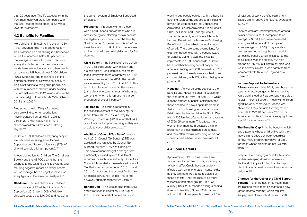<span id="page-17-0"></span>than 20 years ago. The life expectancy in the 10% most deprived areas (compared with the 10% least deprived areas) is 5.8 years lower for women.<sup>122</sup>

# **4.3 Benefits to Families**

Free school meals (FSM), often used as a proxy indicator for deprivation, have increased from 21.5% in 2008 to 24% in 2012 with nearly half (47%) of all schoolchildren in Lawrence Hill being eligible.<sup>126</sup>

In Bristol 16,900 children and young people live in families receiving either Income Support or Job Seekers Allowance (77% of all 0-19 year-olds living in poverty).<sup>127</sup>

More children in Bristol live in poverty – 25% - than anywhere else in the South West.<sup>123</sup> This is defined as a child living in a household where the income is below 60 per cent of the average household income. This is not evenly distributed across the city – some wards have low incidences and others, such as Lawrence Hill, have almost 2,300 children (60%) living in poverty meaning it is in the bottom percentile of all wards nationally.<sup>124</sup> This is set against a rising child population, with the numbers of children under 5 rising by 34% between 2002-12 (almost double the rise nationally), with a birth rate 22% higher in 2012 than 2005.125

**Pregnancy** – Pregnant women, those with a child under 4 and/or those who are breastfeeding and claiming certain benefits are eligible for vouchers under the Healthy Start Scheme.130 The maximum is £6.20 per week to spend on milk, fruit and vegetables and formula, with some eligibility also for free vitamins.

**Child Benefit** – the freezing of child benefit in 2010 for three years, with inflation and a steep cost of living increase, has meant that a family with three children will be £285 worse off per annum by 2014. The benefit was increased by just 1% in April 2014. This restriction hits low-income families hardest (particularly lone parents, most of whom are women) for whom this represents a larger proportion of overall income.<sup>131</sup>

**Tax credits** – following a reduction in the childcare element of the Working Tax Credit from 80% to 70%, a survey by <Workingmums.co.uk>(2011) found that 24% of mothers had stopped working as they are unable to cover childcare costs.<sup>132</sup>

**Abolition of Council Tax Benefit** – from April 2013, Council Tax Benefit (CTB) was abolished and replaced by Council Tax Support, but with 10% less funding.<sup>133</sup> This development brought a change from a nationally devised system to different schemes for each local authority. Bristol City Council fully funded a means-tested Council Tax Reduction scheme during 2013/14 and 2014/15, protecting the poorest families from an increased Council Tax Bill. This is not, however, quaranteed for future years.<sup>134</sup>

A report by Action for Children, The Children's Society and the NSPCC claims that the changes to the tax and benefits systems and resulting negative impact on family income will, on average, have a negative impact on every type of vulnerable child analysed.128

**Childcare** - Tax-free childcare for children under the age of 12 will be introduced from September 2015, worth 20% of eligible childcare costs up to £10,000 and replacing the current system of Employer Supported childcare.129

> Approximately 92% of lone parents are women, and a number of cuts, for example, to Working Tax Credit, have particularly affected women in lone parent households, as they are more likely to be recipients of these benefits. They are likely to be more vulnerable than other groups - in a DWP survey (2013), 28% reported a long-standing illness or disability (LSI) and 30% had a child with an LSI.<sup>137</sup> Lone parents make up 1.5%

Lone parents are underrepresented among owner occupiers (29% compared to an average of 65.3%) and overrepresented among social renters (41% compared to an average of 17.3%). They are also overrepresented among those in receipt of housing benefit, which is subject to the social security spending cap.<sup>139</sup> A high proportion (75.5%) of Bristol's children who live in poverty live are in lone parent families (compared with 67.4% in England as a whole).<sup>140</sup>

**Allowance** – from May 2012, only those lone parents whose youngest child is under five years old (instead of 7 as previously) are able to claim Income Support. Those with children aged five or over moved to Jobseekers Allowance if they are able to work).<sup>141</sup> This amounts to £72.40 per week (£57.35 for those aged under 25; these rates apply from age 18 for lone parents).<sup>142</sup>

**The Benefits Cap** limits the benefits which single parents whose children live with them may claim to £500 per week regardless of how many children they have (or £350 for those whose children do not live with them). $143$ 

**Benefit Cap** – This was applied from 2013, and introduced in Bristol on 12th August 2013. Limits the total of benefit that most

working age people can get, with the benefits counting towards the capped total including key out-of-work benefits (eg, Jobseeker's Allowance), Carer's Allowance, Child Benefit, Child Tax Credit, and Housing Benefit. The cap is currently administered through Housing Benefit, with a household's Housing Benefit reduced to adjust the total amount of benefit. There are some exemptions, for example, households with a current award of Disability Living Allowance. Since its implementation, 298 households in Bristol have had their housing benefit capped on amounts ranging from £50 per week to £250 per week. All of these households had three or more children, with 172 of them being lone parents.135

**Housing** – As well as being subject to the benefits cap, Housing Benefit is subject to the 'bedroom tax' from 1st April 2013 which cuts the amount of benefit entitlement for those deemed to have a spare bedroom in their council or housing association home. Bristol was the hardest hit in the South West with 3,939 families affected losing an average of £768.95 per annum. This affects more women than men, both because a higher proportion of these claimants are female, and they often remain in housing which has 'spare' rooms when children have moved on.136

# **4.4 Lone Parents**

of total out-of-work benefits claimants in Bristol, slightly above the national average of 1.2%.138

### **Income Support to Jobseekers**

Despite CPAG bringing a case for two lone mothers escaping domestic abuse and the Court of Appeal finding that the cap discriminates against women it was found to be lawful.144

**Charges for the Use of the Child Support Scheme** – over the next three years there are plans to move most claimants to a new, 'gross income scheme' which requires the payment of an application fee of £20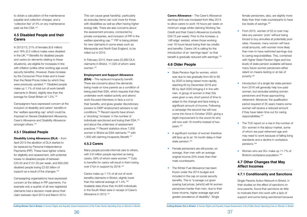<span id="page-18-0"></span>to obtain a calculation of the maintenance payable and collection charges, and a 'collection fee' of 4% on any maintenance paid via the CSA.145

# **4.5 Disabled People and their Carers**

Campaigners have expressed concern at the inclusion of disability and carers' benefits in the 'welfare spending cap' which could be imposed on Severe Disablement Allowance, Carer's Allowance and Disability Allowance amongst others.<sup>149</sup>

In 2012/13, 21% of females (6.6 million) and 18% (5.5 million) males were disabled in the UK.146 Benefits for disabled people and carers (or elements relating to these situations), are eligible for increases in line with inflation (unlike other working age social security benefits). However, these increase by the Consumer Price Index and is lower than the Retail Prices Index by which they were previously uprated.<sup>147</sup> Disabled people make up 1.1% of total out-of work benefit claimants in Bristol, slightly less than the average for Great Britain of 1.2%.148

**(ESA)** – This replaced incapacity benefit. There are concerns about the demands being made on lone parents as a condition of being paid their ESA, which requires that they undertake work-related activity and attend work-focused interviews or face a cut to their benefits, and gives greater discretionary powers to DWP employment advisers to set conditions.153 Recent reports have shown a 'shocking' increase' in the number of individuals sanctioned and losing their ESA,154 and about the unfairness of assessment practices.155 Recent statistics show 7,000 women in Bristol as ESA claimants,<sup>156</sup> with 1,930 still claiming Incapacity Benefit.<sup>157</sup>

# **4.5.1 Disabled People**

**Disability Living Allowance (DLA)** – from April 2013 the abolition of DLA started to be replaced by Personal Independence Payments (PIP). These have tighter criteria for eligibility and assessment, with potential losses to disabled people of between £20.55 and £131.50 per week, and 600,000 disabled people losing £2.62 billion of support as a result of the changes.<sup>150</sup>

Many people provide informal care to others, with 5.6 million people reported as being carers, 59% of whom were women.158 Cuts to benefits for carers will result in them losing over £1bn in support by 2018.<sup>159</sup>

Campaigning organisations have expressed concern at the delays in PIP payments. For example only a quarter of all new registered claimants had a decision made about their claim between April 2013 and March 2014.

This can cause great hardship, particularly as everyday items can cost more for those with disabilities as well as often having higher energy bills. There are also concerns about the assessment process, conducted by private companies, and inclusion of PIP in the welfare spending cap.<sup>151</sup> PIP is being piloted for new claimants in some areas such as Merseyside and North East England, to be rolled out in 2015.

In February 2014, there were 22,660 DLA claimants in Bristol, 11,020 of whom were women.152

### **Employment and Support Allowance**

- State Pension Age for women, which was due to rise gradually from 60 to 65 by 2020 is being raised more rapidly, reaching 65 by December 2018 and 66 by April 2020 bringing it in line with men. A group of women in their 50s were given a very short period of time to adapt to the change and face losing a significant amount of income. Following a campaign the second rise will now come into force in October 2020; giving a slight improvement to the worst-hit who will now wait 18 months instead of two years.163
- A significant number of women therefore still face up to an 18 month delay in their state pension.<sup>164</sup>
- Female pensioners are still poorer, on average, than men with an average original income 20% lower than their male counterparts.
- The Winter Fuel Allowance has been frozen under the 2014 budget and included in the cap on social security benefits. This is "a savage cut given soaring fuel prices, [which] will hit women pensioners harder than men, due to their lower income, higher average age and greater prevalence of disability". Single

female pensioners, also, are slightly more likely than their male counterparts to have low levels of savings.<sup>165</sup>

### **4.5.2 Carers**

- From 2015, women of 55 or over may take any pension 'pots' without being forced to buy annuities at potentially poor rates. However, many women will have small amounts, with women more likely than men to have restricted earnings due to caring responsibilities. This, combined with higher State Pension Ages and low levels of state pension available will leave many future women pensioners either reliant on means-testing or at risk of poverty.166
- Introduction of a single tier state pension from 2016 will generally help low-paid women, but excludes existing women pensioners and those approaching retirement. Moreover, the qualification period required of 35 years means some women will receive a reduced amount if they have taken time out for caring responsibilities.167
- The TUC report on a rise in the number of 50+ women in the labour market, some of whom are past retirement age and may need to work because of falling living standards and a decline in workplace pensions.168
- Women who are 50+ make up 11.7% of Bristol's workplace population.169

Carers make up 1.1% of all out-of-work benefits claimants in Bristol, slightly lower than the national average of 1.4%.<sup>160</sup> Available data show that 44,930 individuals in the South West were in receipt of Carer's Allowance in 2012.151

**Carers Allowance** – The Carer's Allowance earnings limit was increased from May 2014 to allow carers to work 16 hours per week on minimum wage whilst claiming Working Tax Credit and their Carer's Allowance (currently £59.75 per week). Prior to the increase, a 'cliff edge' existed, where those working over 16 hours faced losing their tax credits and benefits. Carers UK is calling for the introduction of an 'earnings taper' so that benefit is gradually reduced with earnings.<sup>152</sup>

# **4.6 Older People**

# **4.7 Other Changes that May Affect Incomes**

# **4.7.1 Conditionality and Sanctions**

Single Parents Action Network in Bristol, in their studies on the effect of sanctions on lone parents, found that sanctions do little to motivate them into work with a lack of support and some being sanctioned because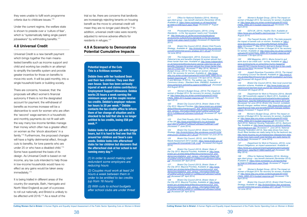<span id="page-19-0"></span>they were unable to fulfil work programme criteria due to childcare issues.<sup>170</sup>

Under the current regime, the welfare state is shown to preside over a 'culture of fear', which is "systematically failing single parent jobseekers" by withholding benefits.<sup>171</sup>

# **4.8 Universal Credit**

Universal Credit is a new benefit payment which brings together the main meanstested benefits such as income support and child and working tax credits in an attempt to simplify the benefits system and provide greater incentive for those on benefits to move into work. It will be paid monthly, into a single household bank or building society.

There are concerns, however, that: the proposals will affect women's financial autonomy if theirs is not the designated account for payment; the withdrawal of benefits as incomes increase will be a disincentive to work for women who are often the 'second' wage-earners in a household; and monthly payments do not fit well with the way many low-income families manage their money which often has a greater effect on women as the 'shock absorbers' in a family.172 Furthermore, the proposed changes will have a highly detrimental effect, through cuts to benefits, for lone parents who are under 25 or who have a disabled child.173 Some have questioned the basis of its design. As Universal Credit is based on net income, any tax cuts intended to help those in low-income households would have no effect as any gains would be taken away immediately.174

117 Office for National Statistics (2014), Workingage client group – key benefit claimants (November 2013), *Available at: https://www.nomisweb.co.uk/reports/lmp/ la/1946157348/report.aspx?#wab (Accessed 2nd August 2014)*

It is being trialled in different areas of the country (for example, Bath, Harrogate and North West England) as part of a process to roll out nationally, and Bristol is unlikely to be affected until 2016.175 As a result of the

trial so far, there are concerns that landlords are increasingly rejecting tenants on housing benefit as the move to universal credit will mean they are no longer paid directly.176 In addition, universal credit rules were recently adjusted to remove adverse effects for residents in refuges.177

> 120 The Independent, (2014), Exclusive: George Osborne's tax and benefits changes hit women almost four *times harder than men. Available at: http://www.independent. co.uk/news/uk/politics/exclusive-george-osbornes-tax-and*benefits-changes-hit-women-almost-four-times-harder-than*men-9177533.html, (Accessed 7th* May 2014); Women's

# **4.9 A Scenario to Demonstrate Potential Cumulative Impacts**

### **Potential Impact of the Cuts This is a fictitious scenario.**

121 Women's Budget Group, (2014) The impact on *women of Budget 2014: No recovery for women, Available at: http://www.wbg.org.uk/wp-content/uploads/2014/03/* FINAL-WBG-2014-budget-response.pdf *(Accessed 17th April 2014)*

**Debbie lives with her husband Sean and their two children. They own their own house. Sean has been seriously injured at work and claims contributory Employment Support Allowance. Debbie works 25 hours a week earning the minimum wage and the couple receive tax credits. Debbie's employer reduces her hours to 20 per week.(1) Debbie contacts the tax credits office to inform them of her change of situation and is shocked to be told that she is no longer entitled to tax credits, losing £58 per week.(2)**

**Debbie looks for another job with longer hours, but it is hard to find one that fits around her children and Sean's care needs. Debbie looks into afterschool clubs for her children but discovers that the afterschool club at her school is not running every day.(3)**

*(1) In order to avoid making staff redundant some employers are reducing hours*

*(2) Couples must work at least 24 hours a week between them in order to be entitled to tax credits (up from 16 hours)*

*(3) With cuts to school budgets after school clubs are under threat* 129 Women's Budget Group, (2014) The impact on *women of Budget 2014: No recovery for women, Available at: http://www.wbg.org.uk/wp-content/uploads/2014/03/* FINAL-WBG-2014-budget-response.pdf *(Accessed 17th April 2014)*

130 [GOV.UK,](GOV.UK) (2014), Healthy Start, Available at: *https://www.gov.uk/healthy-start/overview (Accessed 1st August 2014)*

*118 PricewaterhouseCoopers, (2014), Living*  Standards – is the 'big squeeze' nearly over? Available *at: http://www.pwc.co.uk/the-economy/publications/ uk-economic-outlook/living-standards-is-the-big-squeezenearly-over-ukeo-march14.jhtml (Accessed 24 September 2014)*

*119 Bristol City Council (2012). Bristol Child Poverty Strategy, Available at:* http://bristolchildren.files.wordpress. *com/2012/04/child-povery-strategy-2011-20.pdf (Accessed 1st June 2014)*

> 135 Department for Work & Pensions (2014), Benefit Cap: GB households capped to March 2014, Available at: *https://www.gov.uk/government/uploads/system/uploads/* attachment\_data/file/308526/benefit-cap-march-2014.pdf *[Accessed 1st June 2014]; Bristol City Council, (undated),*  Benefit changes: welfare reform, *http://www.bristol.gov.uk/* page/financial-help-and-benefits/benefit-changes-welfare*reform (Accessed 1st August 2014)*

> 136 Women's Budget Group, (2014) The impact on *women of Budget 2014: No recovery for women, Available at: http://www.wbg.org.uk/wp-content/uploads/2014/03/* FINAL-WBG-2014-budget-response.pdf *(Accessed 17th April 2014); National Housing Federation (2014), Bedroom Tax, Available at: http://www.housing.org.uk/policy/welfarereform/bedroom-tax/ (Accessed 1st June 2014); National Housing Federation (2013), New data shows how many South West families are really being hit by the bedroom tax, http://www.housing.org.uk/media/press-releases/new-datashows-how-many-south-west-families-are-really-being-hitby-the-bed/ (Accessed 2nd June 2014)*

Budget Group, (2014) The impact on women of Budget *2014: No recovery for women, Available at: http://www.* wbg.org.uk/wp-content/uploads/2014/03/FINAL-WBG-2014 *budget-response.pdf (Accessed 17th April 2014); Rhodes, C and McInnes, R (2014), The welfare cap, House of Commons Library - Standard Note: SN06852, Available at:*  www.parliament.uk/briefing-papers/sn06852.pdf *(Accessed 2nd August 2014)*

> 138 Office for National Statistics (2014), Workingage client group – key benefit claimants (November 2013), *Available at: https://www.nomisweb.co.uk/reports/lmp/ la/1946157348/report.aspx?#wab (Accessed 2nd August 2014)*

> 139 Women's Budget Group, (2014) The impact on *women of Budget 2014: No recovery for women, Available at: http://www.wbg.org.uk/wp-content/uploads/2014/03/* FINAL-WBG-2014-budget-response.pdf *(Accessed 17th April 2014)*

*122 Bristol City Council (2013), Bristol: State of the City 2013. Mayoral Priorities, http://www.bristol.gov.uk/sites/* default/files/documents/council\_and\_democracy/statistics and census information/State%20of%20the%20City%20 *2013-%20Mayoral%20vision%20v8.pdf (Accessed 20th April 2014)*

*123 End Child Poverty (2013), Child Poverty Map*  of the UK *http://www.endchildpoverty.org.uk/images/* ecp/130212%20ECP%20local%20report%20final(1).pdf *(Accessed 1st June 2014).*

*124 Bristol City Council (2012). Bristol Child Poverty Strategy,* http://bristolchildren.files.wordpress.com/2012/04/ *child-povery-strategy-2011-20.pdf (Accessed 1st June 2014)*

*125 Bristol City Council, (2013), Joint Strategic*  Needs Assessment 2013 Update, *https://www.bristol.gov.uk/* committee/2013/ot/ot049/1128\_9.pdf *(Accessed 2nd August 2014)*

*126 Bristol City Council (2013), Bristol: State of the City 2013. Mayoral Priorities, Available at: http://www.* bristol.gov.uk/sites/default/files/documents/council\_and democracy/statistics\_and\_census\_information/State%20 *of%20the%20City%202013-%20Mayoral%20vision%20v8. pdf (Accessed 20th April 2014)*

*127 Bristol City Council (2013), Bristol: State of the City 2013. Mayoral Priorities, Available at: http://www.* bristol.gov.uk/sites/default/files/documents/council\_and\_ democracy/statistics\_and\_census\_information/State%20 *of%20the%20City%202013-%20Mayoral%20vision%20v8. pdf (Accessed 20th April 2014)*

*128 Bristol City Council (2013), Bristol: State of the City 2013. Mayoral Priorities, Available at: http://www.* bristol.gov.uk/sites/default/files/documents/council\_and democracy/statistics\_and\_census\_information/State%20 *of%20the%20City%202013-%20Mayoral%20vision%20v8. pdf (Accessed 20th April 2014)*

*131 The Fawcett Society, (2013). The triple jeopardy:*  the impact of benefit cuts on women. Available at: *http://* www.fawcettsociety.org.uk/benefits/#sthash.S23w284d. *dpbs (Accessed 7th* May 2014); Women's Budget Group, *(2014) The impact on women of Budget 2014: No recovery for women, Available at: http://www.wbg.org.uk/wp-content/* uploads/2014/03/FINAL-WBG-2014-budget-response.pdf *(Accessed 17th April 2014)*

*132 WM Magazine, (2011), Mums forced to quit work due to tax credit cuts – survey. Available at: http:// www.workingmums.co.uk/working-mums-magazine/ news/2574511/mums-forced-to-quit-work-due-to-tax-creditcuts-survey.thtml (Accessed 7th May, 2014)*

*133 Joseph Rowntree Foundation (2013), The impact*  of localising Council Tax Benefit, Available at: *http://www.jrf.* org.uk/sites/files/jrf/council-tax-benefit-localisation-summary. *pdf [Accessed 4th August 2014]*

*134 Bristol City Council (2014), New local council tax reduction scheme, Available at: http://www.bristol.gov.uk/ page/council-tax/new-local-council-tax-reduction-scheme (Accessed 4th August 2014)*

*137 Department for Work & Pensions, (2013), Lone Parent Obligations: an impact assessment. Available at: https://www.gov.uk/government/uploads/system/uploads/* attachment\_data/file/211688/rrep845.pdf *(Accessed 13th May 2014).*

*140 Bristol City Council (2012). Bristol Child Poverty Strategy, Available at:* http://bristolchildren.files.wordpress. *com/2012/04/child-povery-strategy-2011-20.pdf (Accessed 1st June 2014)*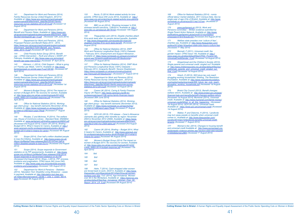*Department for Work and Pensions (2014),* Family Resources Survey United Kingdom, 2012/13. *Available at: https://www.gov.uk/government/uploads/* system/uploads/attachment\_data/file/325491/family*resources-survey-statistics-2012-2013.pdf (Accessed 1st August 2014)*

144 Child Poverty Action Group (2014), Benefit cap – CPAG intervention – R(JS and others) v SSWP, 21*st February, Available at: http://www.cpag.org.uk/content/* benefit-cap-cpag-intervention *(Accessed 6th April 2014)*

*142 Department for Work and Pensions (2014),*  Benefit and Pension Rates, Available at: *https://www.gov.* uk/government/uploads/system/uploads/attachment\_data/ file/302150/dwp035-apr-14.pdf *(Accessed 12th June 2014)*

*143 Department for Work and Pensions, (2014),*  Proposed Pension and Benefit Rates 2014 – 2015, *https://www.gov.uk/government/uploads/system/uploads/* attachment\_data/file/275291/Benefit\_and\_Pension rates\_2014-15.pdf *(Accessed 29th April 2014)*

147 Women's Budget Group, (2014) The impact on *women of Budget 2014: No recovery for women, Available at: http://www.wbg.org.uk/wp-content/uploads/2014/03/* FINAL-WBG-2014-budget-response.pdf *(Accessed 17th April 2014)*

148 Office for National Statistics (2014), Workingage client group – key benefit claimants (November 2013), *Available at: https://www.nomisweb.co.uk/reports/lmp/ la/1946157348/report.aspx?#wab (Accessed 2nd August 2014)*

*145 Atkinson, J, (2014), Child Support – What is going on? Family Law Week, 12/3/14, Available at: http://www. familylawweek.co.uk/site.aspx?i=ed128189, (Accessed 29th April 2014)*

*146 Department for Work and Pensions (2014),*  Family Resources Survey United Kingdom, 2012/13. *Available at: https://www.gov.uk/government/uploads/* system/uploads/attachment\_data/file/325491/family*resources-survey-statistics-2012-2013.pdf (Accessed 1st August 2014)*

151 Scope (2014), Scope responds to Government *statistics on its PIP assessments, Available at: http://www.* scope.org.uk/About-Us/Media/Press-releases/June-2014/ Scope-responds-to-Government-statistics-on-its-PIP *(Accessed 2nd August 2014); Shaw, J (2014), PIP: process,*  problems and pragmatism, CPAG Issue 240 (June 240), *Available at: http://www.cpag.org.uk/content/pip-processproblems-and-pragmatism (Accessed 14th August 2014)*

154 <BBC.co.uk> (2014), 'Shocking increase' in ESA sickness benefit sanctions, 13/8/2014, Available at: *http:// www.bbc.co.uk/news/uk-28776102 (Accessed 14th August 2014)*

156 Office for National Statistics (2014), DWP *Work and Pensions Longitudinal Study (100%) Datasets – February 2014, Employment and Support Allowance , Available at: https://www.nomisweb.co.uk/query/construct/ submit.asp?forward=yes&menuopt=201&subcomp= (Accessed 2nd August 2014)*

157 Office for National Statistics (2014), DWP Work *and Pensions Longitudinal Study (100%) Datasets –*  February 2014, Incapacity Benefit / Severe Disablement, *https://www.nomisweb.co.uk/query/construct/submit. asp?menuopt=201&subcomp= (Accessed 2nd August 2014)*

*149 Rhodes, C and McInnes, R (2014), The welfare cap, House of Commons Library - Standard Note: SN06852, Available at:* www.parliament.uk/briefing-papers/sn06852.pdf [Accessed 2nd August 2014]; Carers UK (2014), Briefing – *Budget 2014, What it means for Carers, Available at: http:// www.carersuk.org/for-professionals/policy/policy-library/ budget-2014-what-it-means-for-carers (Accessed 4th August 2014)*

159 Carers UK (2014), Caring & Family Finances Inquiry UK Report, *http://www.carersuk.org/36-for*professionals/report/138-caring-family-finances-inquiry *[Accessed 30th June 2014]*

160 Office for National Statistics (2014), Workingage client group – key benefit claimants (November 2013), *Available at: https://www.nomisweb.co.uk/reports/lmp/ la/1946157348/report.aspx?#wab (Accessed 2nd August 2014)*

*150 Scope (2014), Over half a million disabled people to lose DLA lifeline, Available at: http://www.scope.org.uk/* About-Us/Media/Press-releases/April-2013/Over-half-a*million-disabled-people-to-lose-DLA-li (Accessed 2nd August 2014)*

161 <GOV.UK> (2013), FOI release – Carer's Allowance claimants also getting other benefits by region: November *2003 to November 2012 (2569), Available at: https://www.* gov.uk/government/uploads/system/uploads/attachment\_ data/file/210401/foi-2569-table.pdf *(Accessed 2nd August 2014)*

*152 Department for Work & Pensions – Statistics (2014), Tabulation Tool: Disability Living Allowance – cases in payment, Available at: http://tabulation-tool.dwp.gov.* uk/100pc/dla/ccla/ccsex/a\_carate\_r\_ccla\_c\_ccsex\_feb14. *html [Accessed 4th August 2014]*

169 Office for National Statistics (2014) - nomis official labour market statistics, 2011 Census Data, Sex by *single year of age (City of Bristol), Available at: http://www. nomisweb.co.uk/census/2011/wp1101ew (Accessed 5th August 2014)*

*153 Norris, D (2014) Work-related activity for lone*  parents. CPAG Issue 240 (June 2014), Available at: *http:// www.cpag.org.uk/content/work-related-activity-lone-parents [Accessed 4th August 2014)*

> 171 Welfare state presides over 'culture of fear', *charities say. Available at: http://www.theguardian.com/ politics/2014/feb/18/welfare-state-jobs-inquiry-culture-fear, (Accessed 7th May 2014)*

> 172 Bennett, F (2011), Universal credit: the gender impact. CPAG Issue 140, Available at: *http://* www.cpag.org.uk/sites/default/files/CPAG\_Poverty140 UniversalCreditGender\_0.pdf *(Accessed 1st August 2014)*

> 173 Gingerbread and the Children's Society (2013), *Single parents and universal credit: singled out? Available at:* http://www.childrenssociety.org.uk/sites/default/files/tcs/ u56/single\_parents\_and\_universal\_credit\_singled\_out final\_0.pdf *(Accessed 1st August 2014)*

*155<Theguardian.com> (2014), Disable charities attach*  fit-to-work tests after 1m people denied benefits, Available *at: http://www.theguardian.com/society/2014/jan/25/* disabled-charities-fit-to-work-tests-benefit*, [Accessed 14th August 2014]*

> 175 Bristol City Council (2013), Benefit changes: *welfare reform, Available at: http://www.bristol.gov.uk/page/* financial-help-and-benefits/benefit-changes-welfare-reform [Accessed 1st August 2014]; Mumsnet (2014), Universal *credit, Available at: http://www.mumsnet.com/family-money/* universal-credit#When\_is\_all\_this\_happening\_ *(Accessed*  1st August 2014); <GOV.UK> (2014), Universal credit, *Available at: https://www.gov.uk/universal-credit (Accessed 1st August 2014)*

176 Walker, P, and Osborne, H (2014), 'Landlords may turn away people on benefits when universal credit comes in', Available at: *http://www.theguardian.com/* society/2014/jan/10/landlords-benefits-universal-credit*tenants (Accessed 1st August 2014)*

177 Women's Aid, (2014), Changes to housing benefit *and universal credit Available at: http://www.womensaid.org. uk/domestic-violence-articles.asp?section=00010001002200 210002&itemid=2864 (Accessed 1st August 2014)*

*158 Department for Work and Pensions (2014),*  Family Resources Survey United Kingdom , 2012/13. *https://www.gov.uk/government/uploads/system/uploads/* attachment\_data/file/325491/family-resources-survey*statistics-2012-2013.pdf (Accessed 1st August 2014)*

162 Carers UK (2014), Briefing – Budget 2014, What *it means for Carers, Available at: http://www.carersuk.org/ for-professionals/policy/policy-library/budget-2014-what-itmeans-for-carers [Accessed 4th August 2014]*

163 Women's Budget Group (2014) The impact on *women of Budget 2014. No recovery for women, Available at: http://www.wbg.org.uk/wp-content/uploads/2014/03/* FINAL-WBG-2014-budget-response.pdf *(Accessed 17th April 2014)*

| 164 | <b>Ibid</b> |
|-----|-------------|
|     |             |

| 165 | Ibia |
|-----|------|
|     |      |

- *166 Ibid*
- *167 Ibid*

*168 Helm, T (2014), Cash-strapped older women are forced back to work, 23/2/14, Available at: http://www. theguardian.com/lifeandstyle/2014/feb/23/surge-womenworkers-over-50s*; TUC (2014), Age Immaterial. Women *over 50 in the Workplace, Available at: https://www.tuc.org.* uk/sites/default/files/Age\_Immaterial\_Women\_Over\_50\_ Report\_2014\_LR\_0.pdf *(Accessed 5th August 2014)*

*170 www.parliament.uk (2013), Work and Pensions Committee – Written evidence submitted by Single Parent Action Network, Available at: http://www. publications.parliament.uk/pa/cm201314/cmselect/ cmworpen/479/479vw30.htm [Accessed 2nd August 2014]*

*174 Hirsch, D (2013), Will future tax cuts reach*  struggling working households? Briefing, The Resolution *Foundation, Available at: http://www.resolutionfoundation.* org/media/media/downloads/Will\_future\_tax\_cuts\_reach struggling\_working\_households.pdf *(Accessed 1st August 2014)*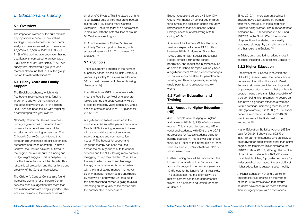

Budget reductions agreed by Bristol City Council will impact on school-age children, for example, the cessation of non-statutory library services that includes the School Library Service at a total saving of £30k during 2014/15.

Further funding cuts will be imposed on the FE sector nationally, with 40% cuts to the adult skills budget in the next four years and 17.5% cuts to the funding for 18-year-olds. The expectation that this shortfall will be met by learners has raised concerns that this will be a barrier to education for some students.<sup>191</sup>

A review of the Home-to-School transport service is expected to save £1.28 million between 2014-17. However, Bristol has 10,000 children with Special Educational Needs, almost a fifth of the school population, and reductions in services such as home-to-school transport will likely have a significant effect.<sup>189</sup> The proposed changes will have a knock on effect for parent/carers working and life arrangements, especially single parents, who are predominately women.

# **5.2 Further Education and Training**

# **5.2.1 Access to Higher Education (HE)**

Department for Business, Innovation and Skills (BIS) research used the Labour Force Survey and the British Household Panel Survey to simulate predicted earnings and employment status, showing that a university degree means there is a higher probability of a person being in employment. A degree can also have a significant effect on a woman's lifetime earnings, increasing these by up to 53% (approximately £252,000).194 The social benefit is also demonstrated as £318,000 - far in excess of the likely cost to the exchequer.<sup>195</sup>

43,155 people were studying in England and Wales in 2012-13, 73% of whom were women. This is a popular route into HE for vocational students, with 50% of the UCAS applications for Access students being for nursing courses.<sup>190</sup> This is lower than those for 2010/11 prior to the introduction of loans, which totalled 45,000 applications, 72% of whom were women.

The impact on women of the cuts remains disproportionate because their lifetime earnings continue to be lower than men's: analysis shows an annual gap in salary from £5,000 to £16,000 in 2012.178 In Bristol, 7.1% of the working age population has no qualifications, compared to an average of 9.3% across all of Great Britain.179 A DWP survey that interviewed a group of lone mothers also found that 31% of the group had no formal qualifications.<sup>180</sup>

Since 2010/11, more apprenticeships in England have been started by women than men, with 55% of those starting in 2012/13 being women. The number of these increased by 2,780 between 2011/12 and 2012/13. In the South West, the number of apprenticeships started has steadily increased, although by a smaller amount than all other regions in England.192

The BookTrust scheme, which funds free books, received cuts to its funding in 2011/12 and will be maintained at the reduced level until 2015. In addition, BookTrust has been tasked with targeting disadvantaged two-year-olds.<sup>181</sup>

In Bristol, cuts have led to redundancies in colleges, including City of Bristol College.193

# **5.2.2 Higher Education**

A significant increase is expected in the number of children with Special Educational Needs (SEN), including increases in those with a medical diagnosis of autism and severe language and communication needs.186 The budget for speech and language therapy has been reduced across the country due to cuts to council services and the NHS, leaving many parents struggling to help their children.<sup>187</sup> In Bristol the way in which speech and language therapy is commissioned is under review with the aim of saving money. It is not yet clear what headline savings are anticipated by reviewing it or how the unit rate cut in this commissioned service is going to avoid impacting on the quality of the service and the number able to access it.<sup>188</sup>

Higher Education Statistics Agency (HESA) data for 2012/13 shows that 60.5% of 658,130 part-time students who are likely to be studying for qualifications other than a first degree, are female.196 This is similar to the 2010/11 rate of 61.1%, although the number of part-time HE students - 823,955 - was considerably higher,<sup>197</sup> providing evidence for widespread concern about the availability of higher education to support social mobility.

A Higher Education Funding Council for England (HEFCE) briefing on the impact of the 2012 reforms shows that mature students have been much more affected than younger people, with acceptances

# <span id="page-21-0"></span>*5. Education and Training*

# **5.1 Overview**

# **5.1.1 Early Years and Family Support**

Nationally, Children's Centres have been undergoing reform with movement from universal to targeted services and the introduction of charging for services. The Children's Centre Census<sup>182</sup> found that although circumstances are difficult for local authorities and those operating Children's Centres, the Centres have not suffered to the degree that overall cuts to funding and budget might suggest. This is despite cuts of a third since the start of the decade. This reflects local protection and the resilience and creativity of the Centres themselves.

The Children's Centres Census also found increasing demand for Children's Centre services, with a suggestion that more than one million families are being supported. This includes the most vulnerable families with

children of 0-5 years. This increased demand is set against cuts of 15% that are expected during 2014-15, leaving many Centres vulnerable. There are fears of an acceleration in closures, with the potential loss of around 60 Centres across England.

In Bristol, a review of Children's Centres and Early Years support is planned, with proposed savings of £1.52m between 2014 and 2017.183

# **5.1.2 Schools**

There is currently a shortfall in the number of primary school places in Bristol, with 631 places required by 2017 (plus an additional 841 to meet the needs of planned housing developments).184

In addition, from 2013 two-year-olds who meet the Free School Meal criteria or are looked after by the Local Authority will be eligible for free early years education, with a need to create an additional 370 places for 2014/15.185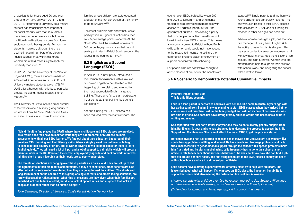<span id="page-22-0"></span>of applicants for those aged 20 and over dropping by 7.1% between 2011-12 and 2012-13. Returning to university as a mature student has traditionally been important for social mobility, with mature students more likely to be female and/or hold nontraditional qualifications or come from lower socio-economic backgrounds. For younger students, however, although there is a decline in overall numbers of applicants, figures suggest that, within this group, women are a third more likely to apply for university than men.<sup>198</sup>

The latest available data show that, whilst participation in Higher Education has risen by 2.5 percentage points since 98-99, the South West had the smallest increase of 0.8 percentage points across that period: participant rates in Bristol South amongst the lowest in the country at 18%.<sup>202</sup>

In April 2014, a new policy introduced a requirement for claimants with a low level of spoken English to be identified at the beginning of their claim, and referred to the most appropriate English language training. Those who fail to start, participate in, or complete their training face benefit sanctions.<sup>203</sup>

In 2012/13 sat the University of the West of England (UWE), mature students made up 26% of full time degree entrants; in Bristol University mature students were 4/7%.<sup>199</sup> UWE offer a bursary with priority to particular groups, including Access students (often mature).200

The University of Bristol offers a small number of fee waivers and a bursary giving priority to individuals from the 'Low Participation Areas' in Bristol. These are for those low-income

families whose children are state educated and part of the first generation of their family to go to university.201

stopped.<sup>205</sup> Single parents and mothers with young children are particularly hard hit. The only venue in Bristol to offer ESOL classes with childcare is SPAN, and all funding for crèches in other colleges has been cut.

# **5.3 English as a Second Language (ESOL)**

Yet, the funding for ESOL classes has been reduced over the last few years. The

spending on ESOL trebled between 2001 and 2008 to £300m,204 and enrolments trebled as well, providing more people with access to English support. In 2011 the government cut back, developing a policy that only people on 'active' benefits would be eligible for free ESOL classes. This means any woman coming to Bristol without English skills with her family would not have access to the means to integrate herself into the community, find and obtain employment or support her children with schooling.

For people who are not flexible enough to attend classes at any hours, the benefits are When a woman does get a job, one that she can manage with very basic English skills, the ability to learn English is stopped. This creates a barrier to career development, and with low paid, manual jobs there is lack of job security and high turnover. Women who are mothers need help to support their children with school work, and navigating the school administrative forms.

**"It is difficult to find places like SPAN, where there is childcare and ESOL classes are provided. As a result, once they have to look for work, they are not prepared. At SPAN, we do initial assessments with all our ESOL learners. We find out about their education background, their previous ESOL learning and their literacy skills. When a single parent has not been able to go to school in their country of origin, due to war or poverty, it will be impossible for them to learn English quickly. They will need a lot of input and a lot of support to gain skills which will prepare them for work in the UK. However, the current employability agenda and back to work initiatives fail this client group miserably as their needs are so poorly understood.**

**The threats of sanctions are hanging over these parents as a dark cloud. They are set up to fail the agreements in their claimant's commitments. If they are sanctioned, other benefits are also affected and parents are left wondering how they are going to feed the children. The short- and long-term impact on the children of this group of single parents, and others facing sanctions, are rarely discussed or reflected upon. What kind of message are they given when their families are punished, not due to lack of effort, but due to lack of opportunities and a system that looks at people as numbers rather than as human beings?"**

*Tove Samelius, Director of Services, Single Parent Action Network UK*

### **Potential Impact of the Cuts This is a fictitious scenario.**

**Leila is a lone parent in her forties and lives with her son. She came to Bristol 6 years ago with her ex-husband from Sudan. She was planning to start ESOL classes when they arrived but her classes were not prioritised within the family budget and with no income of her own she was not able to attend. She does not have strong literacy skills in Arabic and needs basic skills in writing and reading.** 

**She separated from her son's father last year and they do not currently get any support from him. Her English is poor and she has struggled to understand the process to access the Child Support and Maintenance. She cannot afford the fee of £100 to get the process started.** 

**Her son is five and has just started school so she is moved onto Job Seekers Allowance.(1) Her son is having problems settling in at school. He has speech and language problems and Leila tries unsuccessfully to get additional support through the school.(2) His speech problems make him frustrated and he starts misbehaving. Leila frequently has to go to the school at short notice to talk to teachers about her son's behaviour. She does not know how she can find a job that fits around her care needs, and she struggles to get to the ESOL classes as they do not fit with school hours and are in a different part of Bristol.** 

**Leila doesn't have a strong support network of family close by to help with childcare. She is worried about what will happen if she misses an ESOL class, the impact on her ability to support her son whilst also meeting the criteria for Job Seekers' Allowance.**

*(1) Lone parents with children over five have been moved to Job Seekers Allowance and therefore be actively seeking work (see Incomes and Poverty Chapter)*

*(2) Funding for speech and language support in schools has been cut*

# **5.4 A Scenario to Demonstrate Potential Cumulative Impacts**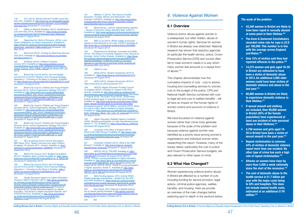# *6. Violence Against Women*

# **6.1 Overview**

Violence and/or abuse against women is a widespread, but often hidden, abuse of women's human rights. Services for women in Bristol are already over-stretched. National research has shown that statutory agencies (in particular the health service, police, Crown Prosecution Service (CPS) and courts) often fail to meet women's needs in a way which many women feel amounts to a repeat form of abuse.206

This chapter demonstrates how the cumulative impacts of cuts - cuts to advice, housing and counselling services to women, cuts to the budget of the police, CPS and National Health Service combined with cuts to legal aid and cuts to welfare benefits - will all have an impact on the human rights of women victims and survivors of violence in Bristol.

179 Office for National Statistics (2014), Qualifications *(Jan 2013-Dec 2013), Available at: https://www.nomisweb. co.uk/reports/lmp/la/1946157348/report.aspx?#tabquals [Accessed 2nd August 2014]*

> We have focussed on violence against women rather than crime more generally because of the scale of the problem and because violence against women was identified as a priority issue among women's organisations and individual women when researching this report. However, many of the issues raised, particularly the cuts to police and Crown Prosecution Service budgets, are also relevant to other types of crime.

# **6.2 What Has Changed?**

Women experiencing violence and/or abuse in Bristol are affected by a number of cuts including funding for service provision, legal advice, criminal justice agencies, welfare benefits, and housing. Here we provide an overview of the main changes before exploring each in depth in the sections below.

184 Bristol City Council, Children and Young People's *Services (2014), School Organisation Strategy 2013-2017, Available at:* http://www.bristol.gov.uk/sites/default/files/ documents/children\_and\_young\_people/schools/school\_ *admissions/School%20Organisation%20Strategy%20* 2013%20-%202017%20Final%20%282%29\_0\_0.pdf*, [Accessed 4th August 2014]*

185 Bristol City Council, Children and Young People's *Services (2014), School Organisation Strategy 2013-2017, Available at:* http://www.bristol.gov.uk/sites/default/files/ documents/children\_and\_young\_people/schools/school *admissions/School%20Organisation%20Strategy%20* 2013%20-%202017%20Final%20%282%29\_0\_0.pdf*, [Accessed 4th August 2014]*

<span id="page-23-0"></span>178 TUC (2013), Women still earn £5,000 a year less *than men. Available at: http://www.tuc.org.uk/equality-issues/ gender-equality/equal-pay/women-still-earn-%C2%A35000 year-less-men [Accessed 5th June 2014]*

186 Bristol City Council, Children and Young People's *Services (2014), School Organisation Strategy 2013-2017, Available at:* http://www.bristol.gov.uk/sites/default/files/ documents/children\_and\_young\_people/schools/school\_ *admissions/School%20Organisation%20Strategy%20* 2013%20-%202017%20Final%20%282%29\_0\_0.pdf*, [Accessed 4th August 2014]*

187 28% of parents found it hard to find support. BBC News, 2012, 'Speech services cuts 'leave children struggling' 16 January 2012 , [online], Available at: *http:// www.bbc.co.uk/news/education-16548559 (Accessed 27 September 2014)*

188 Bristol City Council, 2014 'Budget Consultation 2014/17' feedback report, [online] Available at: *https://www.* bristol.gov.uk/committee/2014/ua/ua000/0116\_5\_App2b.pdf *(Accessed 27 September 2014)*

*180 Department for Work & Pensions, (2013), Lone Parent Obligations: an impact assessment. Available at: https://www.gov.uk/government/uploads/system/uploads/* attachment\_data/file/211688/rrep845.pdf *[Accessed 13th May 2014]*

*181 BookTrust (2012), Funding for BookTrust Secured*  Until 2015, Available at: *http://www.booktrust.org.uk/newsand-blogs/news/171*

190 Quality Assurance Agency for Higher Education -*Access to Higher Education (2014), http://www.accesstohe. ac.uk/HowCourses/Statistics/Documents/The%20 Access%20to%20Higher%20Education%20Diploma%20 infographic%20text%20only%20version.pdf [Accessed 4th* August 2014]; Quality Assurance Agency for Higher Education, The Access to Higher Education Diploma. KEY *STATISTICS 2014, Available at: http://www.accesstohe.* ac.uk/AboutUs/Publications/Documents/AHE-Key-*Statistics-14.pdf [Accessed 4th August 2014]*

182 4Children (2013), Children's Centres *Census 2013, Available at: http://www.4children.org.uk/* Files/8dd559e9-acc8-4030-a787-a28800f72e3d/Children\_ Centre\_Census\_2013\_FINAL\_AM.pdf *[Accessed 20th July 2014]*

*183 Bristol City Council (2014), 2014/15 Budget and 2014/15 to 2016/17 Medium Term Financial Strategy,*  Appendix 3 – Focusing on the Mayor's priorities, Available *at:* https://bristol.gov.uk/committee/2014/ta/ta000/0218\_6.pdf *[Accessed 1st August 2014]*

> 200 University of the West of England (2014), What is the UWE Bursary? Available at: *http://www1.uwe. ac.uk/students/feesandfunding/fundingandscholarships/ uwebursary/whatistheuwebursary.aspx [Accessed 4th August 2014]*

201 University of Bristol (2014), What is the UWE *Bursary?, Available at: http://www.bristol.ac.uk/study/ teachers/post-16/access/ [Accessed 4th August 2014]*

*189 Bristol City Council (2014), 2014/15 Budget and 2014/15 to 2016/17 Medium Term Financial Strategy,*  Appendix 3 – Focusing on the Mayor's Priorities, *https://* bristol.gov.uk/committee/2014/ta/ta000/0218\_6.pdf *[Accessed 1st August 2014]*

*191 Welham, H (2014), The Future of Further Education: Funding, Reform and Reinvention. The*  Guardian 13/3/2014, Available at: *http://www.theguardian. com/education/2014/mar/13/further-education-collegeapprenticeship-future-roundtable*

*192 Mirza-Davies, J (2014), Apprenticeship statistics – House of Commons Library Standard Note: sn06113, Available at: http://www.parliament.uk/business/publications/* research/briefing-papers/SN06113/apprenticeship-statistics *[Accessed 4th August 2014]*

*193<BBC.co.uk> (2014), Bristol college announces dozens of redundancies to cut costs, 5/2/2014 Available at: http://www.bbc.co.uk/news/uk-england-bristol-26046086 [Accessed 4th August 2014]*

*194 Department for Business, Innovation and Skills,*  (2013), The Impact of University Degrees on the Lifecycle of *Earnings: Some Further Analysis. Available at: https://www.* gov.uk/government/uploads/system/uploads/attachment\_ data/file/229498/bis-13-899-the-impact-of-university*degrees-on-the-lifecycle-of-earnings-further-analysis.pdf [Accessed 30th June 2014]*

195 **£264k for men** 

*196 HESA (2014), Student Introduction 2012/13, Available at: https://www.hesa.ac.uk/intros/stuintro1213 [Accessed 4th August 2014]*

*197 HESA (2012), Student Introduction 2010/11, <https://www.hesa.ac.uk/intros/stuintro1011>*

*198 HEFCE (Higher Education Funding Council*  for England (2013), A briefing on: Impact of the 2012 *reforms, Available at: http://www.hefce.ac.uk/about/intro/ abouthighereducationinengland/impact/students/ [Accessed 3rd August 2014]; The Sutton Trust (2013), 18,000 fewer mature students apply to university since fees increase, Available at: http://www.suttontrust.com/news/news/18000 fewer-mature-students-apply-to-university-since-fees/ [Accessed August 3rd* 2014]; Million+ and NUS (2012), Never *too Late to Learn. Mature students in higher education, Available at: (*http://www.nus.org.uk/PageFiles/12238/2012\_ NUS\_millionplus\_Never\_Too\_Late\_To\_Learn.pdf *[Accessed 3rd August 2014]*

*199 Higher Education Statistics Agency (undated),*  UKPIs: Widening participation of under-represented groups *(tables T1, T2), Available at: https://www.hesa.ac.uk/pis/urg [Accessed 4th August 2014]*

*202 HEFCE (2012), POLAR3, Available at: http:// www.hefce.ac.uk/media/hefce/content/pubs/2012/201226/ POLAR3.pdf [Accessed 4th August 2014]; HEFCE (2013), Trends in young participation in higher education, Available at: http://www.hefce.ac.uk/media/hefce/content/* pubs/2013/201328/HEFCE\_2013\_28.pdf *[Accessed 4th August 2014], HEFCE (2013), Trends in young participation in higher education, Annex A , Available at: http://www. hefce.ac.uk/media/hefce/content/pubs/2013/201328/* HEFCE\_2013\_28a.pdf *[Accessed 4th August 2014]*

*203* Skills Funding Agency, 2014, [online] 'ESOL: *English language requirements - update from the SFA*  and DWP' Available at: *https://www.gov.uk/government/ publications/esol-english-language-requirements-updatefrom-the-sfa-and-dwp (Accessed 25 September 2014)* 

204 Fact Check, 2013 'Osborne's English lessons are no threat' [online] Available at *http://blogs.channel4. com/factcheck/factcheck-osbornes-english-lessons-are-nothreat/13776 (Accessed 4 October 2014)*

*205 Ibid*

### **The scale of the problem**

- **• 43,340 women in Bristol are likely to have been raped or sexually abused at some point in their lifetime.207**
- **• The Avon & Somerset Constabulary recorded crime rate for rape is 22.9 per 100,000. This number is in line with the average across England and Wales.208**
- **• Only 15% of victims said they had reported offences to the police.209**
- **• 14,273 women and girls aged 16-59 in Bristol are estimated to have been a victim of domestic abuse in 2013. An additional 2,905 older women could have been victims of domestic violence and abuse in the**  last vear.<sup>210</sup>
- **• 68,800 women in Bristol are likely to experience domestic violence in their lifetime.211**
- **• If sexual assault and stalking are included, then 99,000 women in Bristol (45% of the female population) have experienced at least one incident of inter-personal abuse in their lifetimes.212**
- **• 4,758 women and girls aged 16- 59 in Bristol have been a victim of sexual assault in the past year.213**
- **• Repeat victimisation is common. 44% of victims of domestic violence report more than one incident. No other type of crime has such a high rate of repeat victimisation.214**
- **• Attacks on women have risen by more than 2,000 a week nationally since the start of the recession.215**
- **• The cost of domestic abuse to the health service is £1.7 billion per year with the major costs being to GPs and hospitals. This does not include mental health costs, estimated at an additional £176 million.216**

Cutting Women Out in Bristol: A Human Rights and Equality Impact Assessment of the Public Sector Spending Cuts on Women in Bristol Cutting Women Out in Bristol: A Human Rights and Equality Impact Assessment of the Public S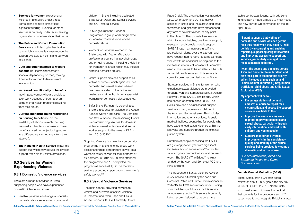- <span id="page-24-0"></span>• **Services for women** experiencing violence in Bristol are under threat. Some agencies have already lost significant funding. Funding for other services is currently under review leaving organisations uncertain about their future.
- **The Police and Crown Prosecution Service** are both facing further budget cuts which agencies fear may reduce the support available to victims and survivors of violence.
- **Cuts and other changes to welfare benefits** risk increasing women's financial dependency on men, making it harder for women to leave violent relationships.
- • **Increased conditionality of benefits** may impact women who are unable to seek work because of trauma or ongoing mental health problems resulting from their abuse.
- **Current and forthcoming restrictions on housing benefit** and on the availability of affordable rental housing may make it harder for women to move out of a shared home, (including moving to a different area to get away from their attacker).
- **The National Health Service** is facing a budget cut which may reduce the level of support available to victims of violence.

• Nextlink provides a full range of specialist domestic abuse services for women and

- St Mungo's runs the Freedom Programme, a group work programme for women who have experienced domestic abuse.
- Womankind provides women in the Bristol area with free or affordable professional counselling, psychotherapy and on-going support including a Helpline for women in distress (which may include suffering domestic abuse).
- Victim Support provides support to all victims of crime – which again includes domestic and sexual assault when it has been reported to the police and treated as a crime, but is not a specialist women's or domestic violence agency.
- Safer Bristol Partnership co-ordinates Bristol's response to Violence and Abuse Against Women and Girls. The Domestic and Sexual Abuse Commissioning Board is commissioning services for domestic violence, sexual violence and street sex worker support to the value of £1.2m from 2015-2020.217

Stopping Violence is a voluntary perpetrator programme in Bristol offering group work sessions for male perpetrators as well as a women's safety service for their partners or ex-partners. In 2012-13, 28 men attended the programme and 19 completed the programme successfully. 20 partners/expartners accepted support from the women's safety worker.<sup>218</sup>

# **6.3 Services for Women Experiencing Violence**

# **6.3.1 Domestic Violence services**

There are a range of services in Bristol supporting people who have experienced domestic violence and abuse.

children in Bristol including dedicated BME, South Asian and Somali services and a GP referral service.

# **6.3.2 Sexual Violence Services**

The main agency providing services to victims and survivors of sexual violence is Somerset and Avon Rape and Sexual Abuse Support (SARSAS, formerly Bristol

Rape Crisis). The organisation was awarded £60,000 for 2014 and 2015 to deliver services in Bristol and the surrounding areas for women and girls who have experienced any form of sexual violence, at any point in their lives.<sup>219</sup> They provide free services which include a helpline, one to one support, e-support, and complex needs support. SARSAS report an increase in self and professional referral over the last year, and have recently had to recruit a complex needs worker with no additional funding due to the increase in referrals of women with complex needs. This seems to be an effect of the cuts to mental health services. This service is currently being recommissioned in Bristol.

Statutory services in Bristol for women who experience sexual violence are provided through Avon and Somerset's Sexual Assault Referral Centre (SARC), The Bridge, which has been in operation since 2008. The SARC provides a sexual assault support service for men, women and children in the Avon and Somerset area. This includes information and referral services, forensic medical facilities, counselling for people who have experienced sexual violence within the last year, and support through the criminal justice system.

Numbers of people accessing the SARC are growing year on year with significant increases around self-referrals<sup>220</sup> attributed to funding for communications and outreach work. The SARC ("The Bridge") is jointly funded by the Avon and Somerset PCC and NHS England.

The Independent Sexual Violence Advisor (ISVA) service is funded by the Avon and Somerset Police and Crime Commissioner. In 2014/15 the PCC secured additional funding from the Ministry of Justice for this service to increase capacity. This service is currently being recommissioned to be on a more

Cutting Women Out in Bristol: A Human Rights and Equality Impact Assessment of the Public Sector Spending Cuts on Women in Bristol Cutting Women Out in Bristol: A Human Rights and Equality Impact Assessment of the Public S

stable contractual footing, with additional funding being made available to meet need. The new service will commence on the 1st April 2015.

### **Female Genital Mutilation (FGM)**

Bristol Safeguarding Children board estimates about 2,000 girls in the city are at risk of FGM.221 In 2013, North Bristol NHS Trust asked midwives to check all their patients for the procedure and 117 cases were found. Integrate Bristol is a local

**"I want to ensure that victims of domestic and sexual violence get the help they need when they need it. I will do this by encouraging and enabling reporting, supporting early intervention and improving access to support and services, particularly amongst those most vulnerable to harm".** 

**I want the people and agencies across Avon and Somerset to understand and play their part in tackling this priority which includes crimes such as and Female Genital Mutilation (FGM), human trafficking, child abuse and Child Sexual Explotation (CSE).**

**My approach will be to:-**

- **• Encourage victims of domestic and sexual abuse to report their victimisation, and access the support services available to them**
- **• Improve the way agencies work together to prevent domestic and sexual abuse, particularly through early intervention, and work with children and young people**
- **• Support, monitor and oversee improvements in the consistency, quality and stability of the critical services being provided to victims of domestic and sexual abuse. "**

*Sue Mountstevens, Avon and Somerset Police and Crime Commissioner*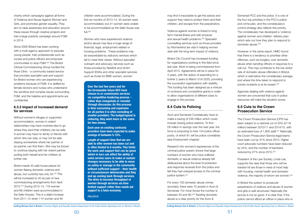<span id="page-25-0"></span>charity which campaigns against all forms of Violence and Abuse Against Women and Girls, and promotes gender equality. They aim to raise awareness and education around these issues through creative projects and had a large publicity campaign around FGM in 2014.

Since 2000 Bristol has been working with a multi-agency approach to educate young people, train professionals such as nurses and police officers and empower communities to stop FGM.222 The Bristol Clinical Commissioning Group funded the Rose Clinic - a community-based service that provides specialist care and support for Bristol women who are experiencing problems because of FGM. It is staffed by female doctors and nurses who understand the sensitive and complex issues surrounding FGM, and the helpline and appointments are confidential.

children were accommodated. During the first six months of 2013-14, 30 women were accommodated, but 21 women were unable to be accommodated as the Safe House was full  $225$ 

### **6.3.3 Impact of increased demand for services**

Without women's refuges or supported accommodation, women in violent relationships may have nowhere else to go where they (and their children) can be safe. A woman may have no family or friends with whom she can stay, or may not be safe staying somewhere where her partner or ex-partner can find them. She may be forced to continue staying with her violent partner, putting both herself and her children at further risk.

Bristol needs 43 safe house places for women fleeing domestic violence and abuse, but currently has only 33.223 This will be increased to 40 as part of new commissioning arrangements from April 2015.224 During 2012-13, 119 women and 88 children were accommodated in the Safe Houses. This is a slight increase from 2011-12 when 114 women and 94

Research into women's experiences of the criminal justice system shows that large numbers of women who have suffered domestic or sexual violence already felt disillusioned about the level of protection and response received from the police and felt they had unequal access to the criminal justice system.<sup>227</sup>

Women who have experienced violence and/or abuse may face a huge range of financial, legal, employment related or housing problems. These problems may be exacerbated by statutory services which fail to meet their needs. Without specialist outreach and advocacy services such as those provided by Nextlink and Victim Support IDVAs and other specialist services such as those for BME women, women

may find it impossible to get the advice and support they need to protect them and their children, and escape from the perpetrators.

> President of the Law Society, Linda Lee, supports the view that those who will be hardest hit are those in need of most help with housing, mental health and domestic violence, the majority of whom are women.<sup>233</sup>

Violence against women is linked to long term mental illness and with physical and sexual health problems.226 Specialist counselling services such as those provided by Womankind are vital in helping women deal with the long term impact of violence.

Bristol City Council has increased funding for organisations working in this field since last year. Work is being commissioned from April 2015. Agreements will be in place for 3 years, with the option of extending for a further 2 years to March 31st 2020, providing the successful organisations with stability. This funding has been designed as a mixture of contracts and competitive grants in order to allow organisations of different sizes to engage in the process.

### **6.4 Cuts to Policing**

Avon and Somerset Constabulary have to make a saving of £46 million which could include closing police stations. To find £8 million in savings over the next year, the force is proposing to lose 134 police officer posts, of which 61 will be police constables (see Employment chapter)

For every 100 domestic abuse crimes recorded, there were 70 arrests in Avon & Somerset. For most forces the number is between 45 and 90.<sup>228</sup> Tackling domestic abuse is a clear priority for the Avon &

Somerset PCC and the police. It is one of the four top priorities in the PCC's police and crime plan, and the constabulary's control strategy also reflects this priority. The constabulary has developed a 'violence against women and children' delivery plan which sets out how they plan to respond to domestic abuse.229

However, in the same report, HMIC found that there is a tendency to prioritise other offences, such as burglary, over domestic abuse when sending officers in response to a call out. This may contribute to the low arrest rate of domestic abuse offenders in Bristol, which is well below the constabulary average, and where the time taken to respond to priority incidents is at its lowest.230

Agencies dealing with violence against women are concerned that cuts in police resources will make the situation worse.

# **6.5 Cuts to the Crown Prosecution Service**

The Crown Prosecution Service (CPS has been subject to a national cut of 25% (£118 million) between 2010/11 and 2014/15, with an estimated loss of 1,800 staff.231 Nationally the Crown Prosecution Service legal teams have been cut by 31% since 2010. Higher court advocate numbers have been reduced by 44%, and the number of barristers reduced by 27% since 2010.232

In Bristol the system to prosecute perpetrators of violence and abuse of women and girls is well structured. Nationally the picture is not so good. It is clear that, if the police cannot afford an officer in place who is

**Over the last few years and for the foreseeable future BCC have chosen to re-commission services via competitive tendering process – rather than renegotiate or remodel through discussion. As this process is time consuming and expensive for all parties it is often excluding of smaller providers. The budget/spend is reducing, they want more or the same for less money.**

**Each year on existing contracts providers have been expected to make savings of between 5-15%.**

**Length of support time that we are able to offer women has been cut and is often limited to 6 months. This limits the work and support that can be given which in turn can affect the ability of some service users to make or sustain changes necessary to be able to move on safely or manage in the community without sufficient support – their health or circumstances deteriorates and they end up coming back through services. The drive to increase throughput of women through services via time limited support rather than needs led support is a false economy.** 

*Nextlink*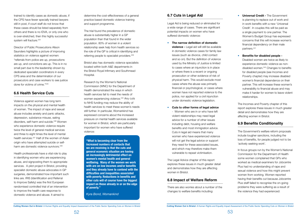<span id="page-26-0"></span>trained to identify cases as domestic abuse, if the CPS have fewer specially trained lawyers still in post, if court staff do not know that these cases should be listed separately from others and there is no IDVA, or only one who is over-stretched, then this highly successful system will fracture.<sup>234</sup>

Violence against women has long term impacts on the physical and mental health of women. The impact of rape and sexual abuse includes anxiety and panic attacks, depression, substance misuse, eating disorders, self-harm and suicide.<sup>236</sup> Women who experience domestic violence require twice the level of general medical services and three to eight times the level of mental health services.<sup>237</sup> Half of the women of Asian origin who have attempted suicide or selfharm are domestic violence survivors.<sup>238</sup>

Director of Public Prosecutions Alison Saunders highlights a picture of improving statistics on violence against women: "referrals from police are up, prosecutions are up, and convictions are up. This is in no small part due to the leadership shown by dedicated specialist coordinators in every CPS area and the determination of our prosecutors and case workers to see justice done for victims of crime."235

# **6.6 Health Service Cuts**

The trial found the prevalence of domestic abuse is substantially higher in a GP population than that found in the wider population. 80% of women in a violent relationship seek help from health services so the role of the GP is critical in identifying and referring people to specialist providers.<sup>239</sup>

Health professionals have a vital role to play in identifying women who are experiencing abuse, and signposting them to appropriate services. A pilot project in Bristol, providing specialist domestic abuse advocates in GP surgeries, demonstrated how important such links are. IRIS (Identification and Referral to Improve Safety) was the first European randomised controlled trial of an intervention to improve the health care response to domestic violence and abuse. It aimed to

determine the cost-effectiveness of a general practice based domestic violence training and support programme.

Bristol also has domestic violence specialists located within both A&E departments in the Bristol Royal Infirmary and Southmead Hospital.

Research by the Women's National Commission (WNC) for the Department of Health demonstrated the ways in which health services fail to meet the needs of women experiencing violence.<sup>240</sup> Any cuts to NHS funding may reduce the ability of health services to meet these women's needs still further. In particular, Womankind has expressed concerns about the increased pressure on mental health services available for women in Bristol, which are particularly important for women who have suffered violence:

# **6.7 Cuts in Legal Aid**

Legal Aid is being reduced or eliminated for a wide range of cases. There are significant potential impacts on women who have suffered domestic violence:

- • **The narrow definition of domestic violence -** Legal aid will still be available in domestic violence cases for family law issues (such as divorce, child contact and so on). But the definition of violence used by the Ministry of Justice is limited to cases where an injunction is in place or where there is a recent or ongoing prosecution or other evidence of risk of physical harm. This would exclude most cases where the abuse was primarily financial or psychological, or cases where women have not reported violence to the police, nor applied for a civil injunction under domestic violence legislation.
- **Cuts to other forms of legal advice**

- Women who are in or who have left violent relationships may need legal advice for a number of other issues including debt, housing and welfare benefits and most immigration advice. Cuts in legal aid means that many women who have experienced violence will not get the legal advice or support they need for these associated issues, and which may therefore make them vulnerable to repeat victimisation.

The Legal Advice chapter of this report explores these issues in much greater detail and demonstrates how they are affecting women in Bristol.

# **6.8 Impact of Welfare Reform**

There are also worries about a number of the changes to welfare benefits including:

• **Universal Credit -** The Government is planning to replace out of work and in work benefits with a new 'Universal Credit'. In couples this will be paid as a single payment to one partner. The Women's Budget Group has expressed concerns that this will increase women's financial dependency on their male partners.241

• **Benefits for disabled people -** Disabled women are twice as likely to experience domestic violence as nondisabled women.<sup>242</sup> Changes to benefits for disabled people (see Incomes and Poverty chapter) may increase disabled women's financial dependence on their partner. This will increase these women's vulnerability to financial abuse and may make it harder for women to leave violent relationships.

The Incomes and Poverty chapter of this report explores these issues in much greater detail and demonstrates how they are affecting women in Bristol.

# **6.9 Benefits Conditionality**

The Government's welfare reform proposals include tougher sanctions, including the loss of benefits, for people judged not to be 'actively seeking work'.

In focus groups run by the Women's National Commission for the Department of Health some women complained that GPs who worked as medical examiners for Jobcentre Plus had no understanding of rape and sexual violence and how this might prevent women from working. Women reported having their benefits cut because Jobcentre Plus staff failed to recognise the on-going problems they were suffering as a result of the violence they had experienced:

**"What is becoming clear from the increased numbers of contacts that we are receiving is that the cuts and general economic situation are having an increasingly detrimental effect on women's mental health and general wellbeing. Many of the women we work with are on low incomes and/or benefits and they already have to contend with the difficulties and inequalities associated with poverty. Reductions in benefits and other cuts will of course have the biggest impact on those already in or on the edge of poverty."**

*Kyra Bond, Womankind*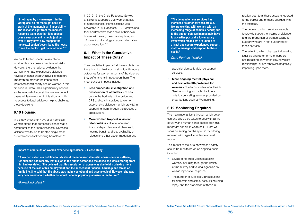In a study by Shelter, 40% of all homeless women stated that domestic violence was a contributor to their homelessness. Domestic violence was found to be "the single most quoted reason for becoming homeless".<sup>244</sup>

In 2012-13, the Crisis Response Service at Nextlink supported 295 women at risk of homelessness. Homelessness was prevented in 96% of cases – 270 victims and their children were made safe in their own homes with safety measures in place, and 14 were found a refuge space or alternative accommodation<sup>246</sup>

We could find no specific research on whether this has been a problem in Bristol. However, there is national evidence that women who have experienced violence have been sanctioned unfairly; it is therefore important to monitor the impact that increased conditionality has on women in this situation in Bristol. This is particularly serious as the removal of legal aid for welfare benefit cases will leave women in this situation with no access to legal advice or help to challenge these decisions.

# **6.10 Housing**

# **6.11 What is the Cumulative Impact of These Cuts?**

The cumulative impact of all these cuts is that there is a high likelihood of significantly worse outcomes for women in terms of the violence they suffer and its impact upon them. The most obvious impacts include:

- **Less successful investigation and prosecution of offenders –** due to cuts in the budgets of the police and CPS and cuts in services to women experiencing violence – which are vital in supporting them through the process of prosecutions.
- **More women trapped in violent relationships –** due to increased financial dependence and changes to housing benefit and less availability of refuges and other accommodation and
- The degree to which services are able to provide support to victims of violence and the proportion of women asking for support who are in fact supported by those services.
- The extent to which changes to benefits, legal aid and other forms of support are impacting on women leaving violent relationships, or are otherwise negatively impacting upon them.

### **Impact of other cuts on women experiencing violence - A case study**

 **"A woman called our helpline to talk about the increased domestic abuse she was suffering. Her husband had recently lost his job in the public sector and the abuse she was suffering from him had escalated. She believed that this escalation of abuse was due to him drinking more because of the loss of his employment and the subsequent financial hardship and stress on family life. She said that the abuse was mainly emotional and psychological. However, she was very concerned about whether he would become physically abusive in the future."** 

### *Womankind client* **<sup>245</sup>**

specialist domestic violence support services.

• **More ongoing mental, physical and sexual health problems for women –** due to cuts in National Health Service funding and potential future cuts to counselling services provided by organisations such as Womankind.

### **6.12 Monitoring Required**

The main mechanisms through which action can and should be taken to deal with all the equality and human rights described in this report are set out in Chapter 11. Here we focus on setting out the specific monitoring required with regard to violence against women.

The impact of the cuts on women's safety should be monitored on an ongoing basis including:

- Levels of reported violence against women, including through the British Crime Survey and to local agencies as well as reports to the police.
- The number of successful prosecutions for domestic and sexual assault (including rape), and the proportion of these in

relation both to a) those assaults reported to the police; and b) those charged with the offences.

<span id="page-27-0"></span>**"I got raped by my manager…in the workplace, so for me to get back to work at the moment is an impossibility. The response I got from the medical response team was that it happened over a year ago and I should just get over it. They have now stopped the money…I couldn't even leave the house to see the doctor. I get panic attacks."243** **"The demand on our services has increased as other services are cut. We are working with women with an increasing range of complex needs; due to the budget cuts we increasingly have to advertise posts at a lower salary level which means we are unable to attract and secure experienced support staff to manage and respond to these needs."**

*Clare Perriton, Nextlink*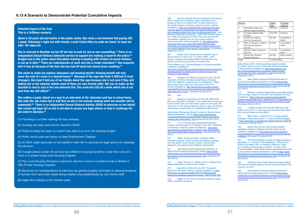

### **Potential Impact of the Cuts This is a fictitious scenario.**

**Maria is 30 years old and works in the public sector. She rents a one bedroom flat paying £95 a week. Following a night out with friends a male friend offers to walk her home 'to keep her safe.' He rapes her.** 

**She is referred to Nextlink via her GP but has to wait for one to one counselling.(1) There is no Independent Sexual Violence Advocate service to support her making a report to the police.(2) Budget cuts in the police mean that police training in dealing with victims of sexual violence is not up to date.(3) There are redundancies at work and she is made redundant.(4) She suspects that it may be because of the time she has had off work but cannot prove anything.(5)** 

**She starts to claim job seekers allowance and housing benefit. Housing benefit will only cover the cost of a room in a shared house.(6) Because of the rape she finds it difficult to trust strangers. She hasn't told any of her friends about the rape because she is not sure if they will believe her or her attacker (whom most of them are also friends with). She has to make up the shortfall in rent to stay in her one bedroom flat. This costs her £28.30 a week which she is not sure how she will afford.(7)**

**She suffers a panic attack on a way to an interview at the Jobcentre and has to return home. She calls the Job Centre but is told that as she is not actively seeking work her benefits will be suspended.(8) There is no Independent Sexual Violence Advisor (ISVA) to advocate on her behalf. She cannot get legal aid so she is not able to access any legal advice or help to challenge the job centre's decision.(9)**

*(1) If funding is cut their waiting list may increase*

*(2) Funding has been reduced for Nexlink's ISVAs*

*(3) Police funding has been cut which may lead to a cut in the training budget*

*(4) Public sector jobs are being cut (see Employment Chapter)*

*(5) An ISVA might advocate on her behalf or refer her to services for legal advice to challenge the decision*

*(6) A single person under 35 will only be entitled to housing benefit to cover the costs of a room in a shared house (see Housing chapter)*

*(7) The Local Housing Allowance maximum rate for a room in a shared house in Bristol is £66.70 (see Housing Chapter)* 

*(8) Sanctions for nonattendance at interview are getting tougher and there is national evidence of women who have been raped being treated unsympathetically by Job Centre staff*

*(9) Legal Aid is being cut for benefit cases*

206 See for example Women's National Commission.. *2010. A Bitter Pill to Swallow: report from WNC focus groups to inform the Department of health taskforce on the Health Aspects of Violence Against women. [online] Available at: http://wnc.equalities.gov.uk/work-of-the-wnc/ violence-against-women/news-and-updates/309-a-bitterpill-to-swallow-report-from-the-wnc-focus-groups.html and*  Women's National Commission., 2009. Still we rise: Report *from WNC focus groups to inform the cross government*  consultation 'together we can end violence against *women and girls. [online] Available at: http://webarchive. nationalarchives.gov.uk/20100418065544/http:/www.* homeoffice.gov.uk/documents/vawg-womens-commissi

### *wnc-report-strategy-focus-groups?view=Binary (Accessed 5 September 2014)*

*207 British Crime Survey shows a lifetime rate of*  sexual abuse or rape of 19.7%: Home Office., 2010. Crime in England and Wales 2009/10 findings from the *British crime survey and police recorded crime*

> 221 BBC News, 13 March 2013, 'Female genital mutilation: Bristol study finds 117 cases' [online] Available *at http://www.bbc.co.uk/news/uk-england-bristol-21766729 (Accessed 4 October 2014)*

*(Third Edition) at p.72 [online] Based on Female population of 220000. Available at:* 

http://www.homeoffice.gov.uk/publications/science-research*statistics/research-statistics/crime-research/hosb1210/ hosb1210?view=Binary*

*208 (England and Wales average is 22 per 100,000 population. Number includes all adult rapes including*  men) Her Majesty"s Inspectorate of Constabulary, 'Rape Monitoring Group, Adult and child rape for 2012/13' *[online] Available at: http://www.hmic.gov.uk/wp-content/ uploads/2014/01/avon-and-somerset-rmg-adult-and-childrape-data-2012-13.pdf (Accessed 23 Aug 2014)*

> 224 Comment from Crime Reduction Project Officer (Violence and Abuse Against Women and Girls) Bristol City *Council, Oct 2014*

*209 Ibid*

*210 Based on a population of 432,500 (ONS 2012*  Mid-Year Population Estimate). This model does not account *for the victims who are male and/or aged over 59 years old. There are 41,500 women aged 60 years or older are living in Bristol which would result in an additional 2,905 women.* 

*Safer Bristol Partnership Bristol Domestic & Sexual Abuse Needs Assessment [online] https://www.citizenspace. com/bristol/neighbourhoods/domestic-abuse-and-sexual*violence-services/consult\_view *[Accessed 28 April 2014]*

*211 31% of women have experienced domestic*  violence since the age of 16. Women's aid, 2014, 'Statistics on Domestic Violence' [online] Available at: *http://www.* womensaid.org.uk/domestic\_violence\_topic.asp?section= *0001000100220036sionTitle=statistics (Accessed 23 Aug 2014)* 

*212 Walby, Sylvia and Allen, Jonathan (2004) Domestic violence, sexual assault and stalking: Findings*  from the British Crime Survey (London: Home Office *Research, Development and Statistics Directorate)*

*213 Safer Bristol Partnership Bristol Domestic & Sexual Abuse Needs Assessment [online] https://www. citizenspace.com/bristol/neighbourhoods/domestic-abuse*and-sexual-violence-services/consult\_view *[Accessed 28 April 2014]*

*214 Dodd, Tricia et al., (2004) Crime in England and*  Wales 2003-2004 (London: Home Office).

*215 Daily Mirror Online 28 July 2011 Recession blamed for domestic violence increase Available at: http:// www.mirror.co.uk/news/politics/2011/07/28/recessionblamed-for-domestic-violence-increase-115875-23301704/*

*216 Walby S. The cost of domestic violence: update*  2009, Lancaster University

### *217*

| Service |                           | Value        | <b>Funding</b> |
|---------|---------------------------|--------------|----------------|
|         |                           | £pa          | method         |
|         | Domestic Violence &       | 790,000      | Contract       |
|         | Abuse Support Service     |              |                |
| 2       | <b>Complex Needs Safe</b> | 100,000      | Contract       |
|         | House*                    |              |                |
| З       | Adult and children        | 85,000       | Competitive    |
|         | survivor groupwork        |              | Grant          |
| 4       | Men's Domestic Violence   | 80.000       | Competitive    |
|         | and abuse Support         |              | Grant          |
|         | Service                   |              |                |
| 5       | Sexual Violence Support   | 115,000      | Competitive    |
|         | Service                   |              | Grant          |
| 6       | <b>Street Sex Workers</b> | 38,000       | Direct Award   |
|         | <b>Support Service</b>    |              |                |
| Total:  |                           | £1,208,000pa |                |

Safer Bristol, 2014, 'Commissioning support services *for victims and survivors of Domestic and Sexual Abuse*  in Bristol'[online] Available at: *http://www.bava.org.uk/ wp-content/uploads/Bristol-Domestic-Sexual-Abuse-Commissioning-Plan-June-2014-1.pdf (Accessed 29 September 2014)*

*218 Safer Bristol Partnership Bristol Domestic & Sexual Abuse Needs Assessment [online] https://www. citizenspace.com/bristol/neighbourhoods/domestic-abuse*and-sexual-violence-services/consult\_view *[Accessed 28 April 2014]*

*219 Ministry of Justice Organisations awarded funding from the Rape Support Fund 2014–16 Published 7[online] Available at: https://www.gov.uk/government/uploads/* system/uploads/attachment\_data/file/301701/organisations*awarded-funding-from-the-rape-support-fund-2014-16.pdf [Accessed 28 April 2014]*

*220 In 2009-10 there were 50 self-referrals to the SARC and in 2010-11 there were 65 [interview with Eithne Burt: Annual Report for the SARC]*

222 Bristol City Council, 2014 [online] 'Bristol *highlights change in attitudes towards female genital*  mutilation' Available at: *http://www.bristol.gov.uk/press/ bristol-highlights-change-attitudes-towards-female-genitalmutilation (Accessed 5 October 2014)*

*223 The recommended number of refuge spaces by*  population is 1 unit per 10,000 population (Government *Select Committee 1997 on domestic violence). There are currently 33 bed spaces in Bristol, 10 short of this recommendation. Safer Bristol Partnership Bristol Domestic & Sexual Abuse Needs Assessment [online] https://www. citizenspace.com/bristol/neighbourhoods/domestic-abuse*and-sexual-violence-services/consult\_view *[Accessed 28 April 2014]*

*225 Safer Bristol Partnership Bristol Domestic & Sexual Abuse Needs Assessment [online] https://www. citizenspace.com/bristol/neighbourhoods/domestic-abuse*and-sexual-violence-services/consult\_view *[Accessed 28 April 2014]*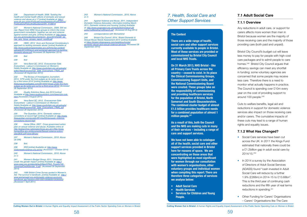<span id="page-29-0"></span>*226 Department of Health, 2006. Tackling the health and mental health effects of domestic and sexual violence and abuse at p.17 [online] Available at: http:// www.dh.gov.uk/en/Publicationsandstatistics/Publications/* PublicationsPolicyAndGuidance/DH\_4136610

227 Women's National Commission., 2009. Still we *rise: Report from WNC focus groups to inform the cross*  government consultation 'together we can end violence *against women and girls. [online] Available at: http://www.* wrc.org.uk/includes/documents/cm\_docs/2010/s/still\_we rise\_wnc\_focus\_groups\_report\_nov09.pdf

231 Vera Baird QC, 2012, 'Everywoman Safe Everywhere - Labour's Commission on Women's Safety'Available at: *http://www.yourbritain.org.uk/uploads/* editor/files/Everywoman\_Safe\_Everywhere\_FINAL.pdf *(Accessed 28 September 2014)*

233 **Quality Solicitors News July 2010 [online]** *Available at http://www.qualitysolicitors.com/news/cps-cuts. html [Accessed 2 August 2011]*

228 HMIC, 2014 ' Avon and Somerset Constabulary's approach to tackling domestic abuse' [online] Available at *http://www.justiceinspectorates.gov.uk/hmic/wp-content/ uploads/2014/03/avon-and-somerset-approach-to-tacklingdomestic-abuse.pdf (Accessed 28 September 2014)*

235 The Guardian, 2014, 'Domestic violence convictions at record high' [online] Available at: *http://www. theguardian.com/society/2014/jul/02/domestic-violenceconvictions-record-high*

### *229 Ibid*

*230 Ibid* 

241 Women's Budget Group, 2011, 'Universal credit: the gender impact' [online] Available at: *http://* www.cpag.org.uk/sites/default/files/CPAG\_Poverty140\_ UniversalCreditGender\_0.pdf *(Accessed 30 September 2014)*

*232 The Bureau of Investigative Journalism,*  2014, 'CPS under fire from judges as its ranks are cut by a third since 2010' [online] Available at: *http://www.* thebureauinvestigates.com/2014/04/15/cps-under-fire-from*judges-as-its-ranks-are-cut-by-a-third-since-2010/ (Accessed 28 September 2014)*

243 Women's National Commission., 2010. Above *(n.1)*

234 Vera Baird QC, 2012, 'Everywoman Safe Everywhere - Labour's Commission on Women's Safety'Available at: *http://www.yourbritain.org.uk/uploads/* editor/files/Everywoman\_Safe\_Everywhere\_FINAL.pdf *(Accessed 28 September 2014)*

Bristol City Council's budget cut will leave less money to pay for people with high-cost care packages and to admit people to care homes.248 Bristol City Council argues that efficiency savings can meet any shortfall in funding; some voluntary agencies are concerned that some people may receive less care. Therefore there is a need to monitor what actually happens in practice. The Council is spending over £10m every year on the cost of providing support to around 100 people.<sup>249</sup>

236 Home Office. 2007. Cross government action *plan on sexual violence and abuse. Available online at http://webarchive.nationalarchives.gov.uk/+/http://www.* homeoffice.gov.uk/documents/Sexual-violence-action*plan2835.pdf?view=Binary*

237 Women's National Commission., 2010. Above *(at 206)*

*238 Ibid.* 

*239 IRIS [online] Available at: http://www. irisdomesticviolence.org.uk/iris/ (Accessed 1 October 2014)*

240 Women's National Commission., 2010. Above *(n.1)* 

- Social Care services have been cut across the UK. In 2011 the Kings Fund estimated that nationally there could be a £1.2billion gap in adult social care by 2014/15.250
- In 2014 a survey by the Association of Directors of Adult Social Services (ADASS) found "cash invested in Adult Social Care will reduce by a further 1.9% (£266m) in 2014-15 to £13.68bn". This is the third year of continuing cash reductions and the fifth year of real terms reductions in spending.251
- Other Funding for Carers' Organisations – Carers' Organisations like The Care

242 1995 British Crime Survey quoted in Women's Aid. The survivor's handbook. [online] Available at: *http:// www.womensaid.org.uk/domestic-violence-survivorshandbook.asp?section=000100010008000100350003 [Accessed 7 April 2011]*

*244 Against Violence and Abuse, 2011, Independent*  Domestic Violence Advocates: information briefing March 2011, Domestic violence and housing' [online] Available *at: http://www.avaproject.org.uk/media/62315/idva%20* policy%20briefing%20march.pdf *(Accessed 23 Aug 2014)* 

*245 correspondence with Womankind*

246 Bristol City Council, 2014, 'Bristol Domestic & Sexual Abuse Needs Assessment 2014' [online] Available *at https://bristol.citizenspace.com/neighbourhoods/ domestic-abuse-and-sexual-violence-services (Accessed 28 September 2014)*

# *7. Health, Social Care and Other Support Services*

# **7.1 Adult Social Care**

# **7.1.1 Overview**

Any reductions in adult care, or support for carers affects more women than men in Bristol because women are the majority of those receiving care and the majority of those providing care (both paid and unpaid).

Cuts to welfare benefits, legal aid and reductions in support for domestic violence services also impact on those receiving care and/or carers. The cumulative impacts of these cuts may lead to a range of human rights and equality issues.

# **7.1.2 What Has Changed?**

### **The Context**

**There are a wide range of health, social care and other support services currently available to people in Bristol. Most of these services are provided or commissioned by Bristol City Council and local NHS Trusts.** 

**On 31 March 2013, NHS Bristol - like all Primary Care Trusts across the country – ceased to exist. In its place the Clinical Commissioning Groups, Commissioning Support Units, and the National Commissioning Board were created. These groups take on the responsibility of commissioning and providing healthcare services for the population of Bristol, North Somerset and South Gloucestershire. The combined cluster budget of almost £1.5 billion provides healthcare needs for a combined population of almost 1 million people.247**

**As a result of this, both the Council and the NHS are making cuts in many of their services – including a range of care and support services.**

**We have not been able to catalogue all of the health, social care and other support services provided in Bristol here for reasons of space. We are concentrating on those areas that were highlighted as most significant for women through our consultation with women's organisations, other voluntary groups and individual women when compiling this report. There are therefore three categories of services we analyse below:** 

- **• Adult Social Care**
- **• Health Services**
- **• Services for Children and Young People.**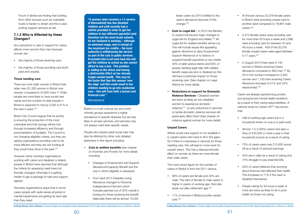- the majority of those receiving care;
- the majority of those providing care (both paid and unpaid).

<span id="page-30-0"></span>Forum in Bristol are finding that funding from other sources such as charitable trusts is harder to obtain and this is also putting support services at risk.

There are more older women in Bristol than older men (31,300 women in Bristol over seventy compared to 24,600 men).<sup>252</sup> Older people are more likely to have social care needs and the number of older people in Bristol is expected to rise by 3,200 or 6 % in the next  $5$  years.<sup>253</sup>

### **7.1.3 Who is Affected by these Changes?**

Bristol City Council argues that its priority is ensuring the protection of the most vulnerable and that savings will be met through increased efficiency and through personalisation of budgets. The Council is not changing eligibility criteria, but they are asking organisations providing care to be more efficient and they are not funding all they would have done in the past.<sup>254</sup>

Any reductions in care or support for carers affects more women than men because women are:

### **Those needing care**

fewer carers by 2015 entitled to the carer's allowance because of this change.<sup>255</sup>

However some voluntary organisations working with carers and disabled or elderly people in Bristol have reported that although the criteria for assessing need have not formally changed, informally it is getting harder to get a package of care and support agreed.

Voluntary organisations argue that in some cases people with quite severe physical or mental impairments are getting far less help than they need.

Bristol is a multi-cultural city and some minority groups experience a higher prevalence of specific illnesses but are less likely to access services, and services may not always meet their specific needs.

People who require adult social care may also be affected by other cuts detailed elsewhere in this report including:

- **• Cuts to welfare benefits** (see chapter on Incomes and Poverty for more detail) including:
	- Changes to Employment and Support Allowance/Incapacity Benefit and the way in which eligibility is assessed;
	- From April 2013 Disability Living Allowance changed to Personal Independence Payment which includes planned cut of 20% overall in funding for those receiving the benefit. Nationally there will be almost 10,000
- At the last census 23,078 female carers in Bristol were providing unpaid care to another adult compared to 16,891 male carers.<sup>260.</sup>
- 5,473 female carers were providing care for more than 50 hours a week and 2,986 were providing care for between 20 and 49 hours a week. 459 of the 20,316 female unpaid carers were aged between 5-17 years.261
- In August 2010 there were 2,740 women in Bristol receiving Carers Allowance compared to 900 men.<sup>262</sup> By 2014 this number increased to 3,320 women and 1,100 men receiving Carers Allowance (increase of 21% and 22% respectively).263

- Half of working age carers live in a household where no-one is in paid work.
- Almost 1 in 3 (30%) carers had seen a drop of £20,000 or more a year in their household income as a result of caring.
- 70% of carers were over £10,000 worse off as a result of reduced earnings.
- 54% are in debt as a result of caring and 74% struggle to pay essential bills.
- 53% of carers believed that worrying about finances had affected their health. This increases to 71% if the carer is disabled themselves.
- People caring for 50 hours a week or more are twice as likely to be in poor health as those not caring.
- **• Cuts to Legal Aid** In 2013 the Ministry of Justice introduced major changes to Legal Aid for England and Wales.<sup>256</sup> All Legal Aid for welfare benefits will be cut. This will include issues like appealing against decisions to deny Employment Support Allowance or to reduce or suspend benefit payments or tax credits. 30% of debt advice clients and 63% of people needing legal help with welfare benefit cases are sick or disabled so this will have a particular impact on those receiving care. (See chapter on Legal Advice for more detail).
- **• Reductions in support for Domestic Violence Services -** Disabled women are twice as likely as non-disabled women to experience domestic violence,<sup>257</sup> so any reductions in services to tackle domestic violence services will particularly affect them (See chapter on violence against women for more detail).

### **Unpaid Carers**

Where social care support is not available it is unpaid carers who have to fill in the gaps. So if there is a decrease in services for those needing care, this will lead to more work for unpaid carers. This has a disproportionate effect on women as there are more female than male carers.

The most recent figure for the number of carers in Bristol is from the 2011 census.

- 58% of carers are female and 42% are male. The ratio of female to male carers is higher in carers of working age; that ratio levels out after retirement age.<sup>258</sup>
- 11% of women in Bristol provide unpaid  $c$ are. $^{259}$

Carers are already experiencing poverty and physical and mental health problems as a result of their caring responsibilities. A national study by Carers UK264 has shown that:

**"A woman (who receives a 1:1 service at Womankind) has two disabled children and until recently had a vehicle provided in order to get her children to two different specialist (and therefore not the most local) schools. As her husband is working – although on minimum wage, and in receipt of the maximum tax credits – the local authority is withdrawing the service as part of the cuts in public services. At present she is not sure how she will get the children to school as she cannot afford to use a taxi. This problem is adding to the stress and having a detrimental effect on her already fragile mental health. This may be the factor that tips this woman 'over the edge' and this could result in her children needing to go into residential care – this will have both a human and financial cost."** 

### *Womankind*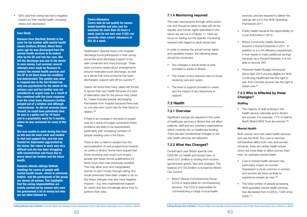

<span id="page-31-0"></span>• 92% said that caring has had a negative impact on their mental health, including stress and depression.

> Healthwatch Special Inquiry into Hospital discharge found participants in their survey would like post-discharge support to be well-connected and more thorough. There were concerns raised about arrangements around medication post-discharge, as well as a sense that once someone has been discharged, support tails off too quickly.265

Carers UK found that many carers felt forced to ignore their own health because of a lack of alternative care for the person they cared for. Cases included people discharging themselves from hospital because there was no one else who could care for their friend or relative.266

If there is an increase in the level of unpaid care as a result of budget constraints these problems are likely to be exacerbated, particularly with increasing numbers of people needing care in the future.

There is also a need to assess how the personalisation of care programmes impacts on carers in Bristol. Some have argued that those receiving care could now employ people with fewer formal qualifications for fewer hours than was previously possible. This may allow poor and marginalised women to earn money through caring who would previously have been unable to do so. But these changes may also have negative impacts – e.g. less organisational support for carers and less knowledge about how to perform their roles.

• Bristol Clinical Commissioning Group (CCG) is responsible for commissioning services. The CCG is responsible for commissioning a range of local health

### **7.1.4 Monitoring required**

- Public Health became the responsibility of Local Authorities in 2013.
- *•* Bristol Community Health Services became a Social Enterprise in 2011. In addition to a 4.5% efficiency requirement, it now needs to make additional savings because, as a Social Enterprise, it is not able to recover VAT.
- Personal Health Budget introduced. Since April 2014 anyone eligible for NHS Continuing Healthcare has the right to ask, from October anyone has the right to obtain one.267

The main mechanisms through which action can and should be taken to deal with all the equality and human rights described in this report are set out in Chapter 11. Here we focus on setting out the specific monitoring required with regard to adult social care.

In order to assess the actual human rights and equalities impact, the following areas should be monitored:

- Cuts in mental health services may particularly impact on women. Depression is more common in women and women are twice as likely to experience anxiety as men.<sup>269</sup>
- The total number of people accessing NHS specialist mental health services has decreased from 9,026 to 7,630 since 2009.270
- Any changes in actual levels of care provided to adults in Bristol.
- The impact of any reduced care on those receiving care and carers.
- The level of support provided to carers and the impact of any reductions in support.

### **7.2 Health**

### **7.2.1 Overview**

Significant savings are required in the costs of healthcare services in Bristol that will affect patients, staff and any voluntary organisations which currently rely on healthcare funding. There are also fundamental changes to the way health services are delivered.

### **7.2.2 What Has Changed?**

Overall each year Bristol spends over £200.9m on Health and Social Care, of which £47.3million is funding from income (government grants, fees and charges). The balance of £153.6million is funded by Bristol City Council.

services, and are required to deliver the savings set out in the NHS Operating Framework 2011.

# **7.2.3 Who is Affected by these Changes?**

### **Staffing**

• The majority of staff working in the health service nationally and in Bristol are women. For example, 77% of staff at North Bristol NHS Trust are women.<sup>268</sup>

### **Mental Health**

Both women and men need health services and use the NHS. Any cuts to services will therefore affect both men and women. However, there are certain health issues which are more likely to affect women than men, for example mental health.

### **Case Study**

**Rossana from (Horfield, Bristol) is the carer for her brother with mental health issues (Cotham, Bristol). About three years ago he was discharged from the mental health services to be looked after by his GP, and into her care. She felt the discharge was due to the desire to save money. Last summer, several attempts were made by Rossana to contact the mental health services and the GP to let them know his condition had deteriorated. The system was slow to respond due to the fact Bristol has only one psychiatrist for the whole of the primary care and her brother was not considered an urgent case. As a result of this combined with the slack response from the crisis team, Rossana's brother jumped out of a window and although -miraculously- he did not severely injure himself, he could have potentially died. He was in a police cell for 10 hours and in a psychiatric ward for 4 months, where he was sectioned for most of this time.**

**She was unable to work during this time as she was his main carer and needed to visit and support him, and she was treated for depression aggravated by the stress. Her return to work was very difficult and she has been struggling with concentration and focus due to worry about her brother and his future health.**

**Rossana attends siblings Rethink meetings for carers of people with mental health issues -which is extremely helpful- and the participants of the group are almost all women. This highlights that the caring responsibilities are mainly carried out by women who save the government a lot of money but who are not often listened to.**

### **Carers Allowance**

**Carers who do not qualify for means tested benefits and who care for someone for more than 35 hours a week (and do not earn over £102) can currently claim carers' allowance of £61.35 a week.**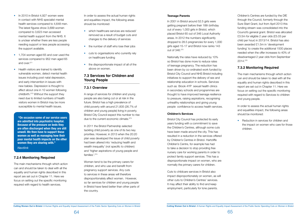

- <span id="page-32-0"></span>• In 2010 in Bristol 4,927 women were in contact with NHS specialist mental health services compared to 4,648 men. The latest figures show 3,699 women compared to 3,623 men accessed mental health support from the NHS. It is unclear whether there are less people needing support or less people accessing the support available.
- 1,704 women aged 65 and over used the services compared to 952 men aged 65 and over.271
- Health visitors are trained to identify vulnerable women, detect mental health issues including post natal depression, and early intervention in issues with new babies. Depression is thought to affect about one in 10 women following childbirth.272 Without the support they need due to limited numbers of health visitors women in Bristol may be more susceptible to mental health issues.
- which healthcare services are reduced/ removed as a result of budget cuts and changes to the delivery of services
- the number of staff who lose their jobs
- cuts to organisations who currently rely on healthcare funding
- the disproportionate impact of all of the above on women.

A range of services for children and young people are also being cut or at risk in the future. Bristol has a high prevalence of child poverty with around 21,835 (26.7% of children and young people) living in poverty. Bristol City Council expect this number to rise due to the current economic climate.<sup>273</sup>

### **7.2.4 Monitoring Required**

The main mechanisms through which action can and should be taken to deal with all the equality and human rights described in this report are set out in Chapter 11. Here we focus on setting out the specific monitoring required with regard to health services.

In order to assess the actual human rights and equalities impact, the following areas should be monitored:

# **7.3 Services for Children and Young People**

### **7.3.1 Overview**

In 2011 the Bristol Partnership selected tackling child poverty as one of its two key priorities. However, in 2013 when the 20:20 plan was developed the issue of child poverty had been altered into 'reducing health and wealth inequality' (not specific to children) and 'higher aspirations of young people and families'.274

Women tend to be the primary carers for children, and who use and benefit from pregnancy support services. Any cuts to services in these areas will therefore disproportionately affect women. However, so far services for children and young people in Bristol have fared better than other parts of the country.

• Reduction in services for children and the impact on women who care for those children.

### **Teenage Parents**

In 2001 in Bristol around 52.5 girls were getting pregnant before their 18th birthday out of every 1,000 girls in Bristol, which placed Bristol 65 out of 346 Local Authority areas. In 2012 the numbers significantly dropped to 28.5 pregnancies for every 1,000 girls aged 15-17 and Bristol now ranks 143 out of 346.275

Nationally the rates have reduced by 10% so Bristol has done more to reduce rates of teenage pregnancy. The reduction has been driven by co-ordinated work funded by Bristol City Council and NHS Bristol including initiatives to support the delivery of sex and relationship education in schools. Services such as Brook 4YP sexual health clinics in secondary schools and programmes are thought to have improved teenage resilience to pressure, raising aspirations, recognising unhealthy relationships and giving young people confidence to access health services.

### **Children's Services**

Bristol City Council has protected its early years funding with a commitment to save the Children's Centres, although some cuts have been made around the city. This has resulted in a reduction in the services offered by Children's Centres in Bristol. Hartcliffe Children's Centre, for example has had to take a decision to stop providing free nursery care for working parents in order to protect family support services. This has a disproportionate impact on women, who are normally the primary carers for children.

Cuts to childcare services in Bristol also impact disproportionately on women, as will other cuts to Children's Centres' services. It may affect their ability to find and keep employment, particularly for lone parents.

Children's Centres are funded by the DfE through the Council, formerly through the Sure Start Grant, but from April 2013 this funding stream was consolidated into the Council's general grant. Bristol was allocated £3.5m for eligible 2 year olds (£5.03 per child per hour) in 2013/14. Bristol has also been awarded £1.5m in 'development funding' to create the additional 1500 places needed when the offer increases to 40% of disadvantaged 2 year olds from September 2014.276

# **7.3.2 Monitoring Required**

The main mechanisms through which action can and should be taken to deal with all the equality and human rights described in this report are set out in Chapter 11. Here we focus on setting out the specific monitoring required with regard to Services to children and young people.

In order to assess the actual human rights and equalities impact, the following areas should be monitored:

 **"On occasion some of our service users are admitted into psychiatric hospital. Because of the pressure on beds they are often discharged when they are still unwell. We then have to support these women as well as managing how their poor mental health impacts on the other women they are sharing with."**  *Nextlink*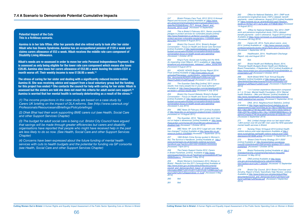### <span id="page-33-0"></span>**Potential Impact of the Cuts This is a fictitious scenario.**

**Aamina is in her late fifties. After her parents died she retired early to look after her sister Hibah who has Downs Syndrome. Aamina has an occupational pension of £120 a week and claims carers allowance of £53 a week. Hibah receives the middle rate care component of Disability Living Allowance.**

**Hibah's needs are re-assessed in order to move her onto Personal Independence Payment. She is assessed as only being eligible for the lower rate care component which means she loses £28.85. Aamina also loses her carers allowance of £53.90 a week leaving the sisters £331 a month worse off. Their weekly income is now £138.95 a week.(1)**

**The stress of caring for her sister and dealing with a significantly reduced income makes Aamina ill. She was receiving advice and support from a local voluntary group but the funding for this project has ended.(2) She contacts the council for help with caring for her sister. Hibah is assessed but the sisters are told she does not meet the criteria for adult social care support.(3) Aamina is worried that her mental health is seriously deteriorating as a result of the stress.(4)**

*(1) The income projections in this case study are based on a case study by Carers UK briefing on the impact of DLA reforms. See [\(http://www.carersuk.org/](http://www.carersuk.org/Professionals/ResourcesandBriefings/Policybriefings) [Professionals/ResourcesandBriefings/Policybriefings](http://www.carersuk.org/Professionals/ResourcesandBriefings/Policybriefings))*

*(2) Dhek Bhal had their work supporting BME carers cut (see Health, Social Care and other Support Services Chapter)*

251 ADASS 'ADASS Budget Survey Report 2014: Final' [online] Available at *http://www.adass.org.uk/* uploadedFiles/adass\_content/policy\_networks/resources/ Key\_documents/ADASS%20Budget%20Survey%20 *Report%202014%20Final.pdf (Accessed 4 July 2014)*

252 The Guardian Data Blog [online] '2011 census results: how many people live in your local authority?' *Available at: http://www.theguardian.com/uk/datablog/2012/ jul/16/2011-census-results-data (Accessed 4 July 2014)*

*(3) The budget for adult social care is being cut. Bristol City Council have argued that savings will be made through greater efficiencies but carers and disability organisations have reported that people who might have received help in the past are less likely to do so now. (See Health, Social Care and other Support Services Chapter)*

*(4) Concerns have been expressed about the future funding of mental health services with cuts to health budgets and the potential for funding via GP consortia (see Health, Social Care and other Support Services Chapter)*

255 The Guardian, 2013, 'Take care you don't miss out on helper's allowances' [online] Available at: *http://www. theguardian.com/money/2013/oct/26/care-allowances-illdisabled-help (Accessed 1 October 2014)*

Report and Accounts' [online] Available at: *https://www.* gov.uk/government/uploads/system/uploads/attachment\_ data/file/253946/Bristol\_PCT\_Annual\_Report\_and Accounts\_2012-13.pdf *(Accessed 15 September)*

*248 This is Bristol 3 February 2011, Senior councillor pledges to protect services for vulnerable people [online] http://www.thisisbristol.co.uk/Senior-councillor-pledgesprotect-services-vulnerable-people/story-11255836-detail/ story.html [Accessed 9 August 2011]*

262 Office for National Statistics, 2011. DWP work and pensions longitudinal study (100%) dataset: benefit payments - carer's allowance. August 2010 [online] Available *at:* https://nmweb.dur.ac.uk/articles/553.aspx?Session\_ GUID={c1f57be1-bf11-4a7e-a0a1-57f79636160d} *[Accessed 14 August 2011]*

249 Bristol City Council, 2014, 'Bristol's Budget Conversation – Focus on Health and Social Care Services' *[online] Available at http://askbristoldebates.com/results/ budget-conversation/budget-conversation/bristols-budgetconversation-focus-on-health-social-care-spending/ (Accessed 1 October 2014)*

Carers UK. 2014. Facts about carers. June *2014. [online] Available at: v http://www.carersuk.org/forprofessionals/policy/policy-library/facts-about-carers-2014 [Accessed 1 September 2014]*

250 King's Fund, Social care funding and the NHS, *An impending crisis?(March, 2011) available at http://www.* kingsfund.org.uk/press/press\_releases/1\_billion\_social.html *[Accessed 9 August 2011]*

> 268 North Bristol NHS Trust 'Annual Equality Statistics' [online] Available at *http://www.nbt.nhs.uk/* sites/default/files/attachments/Annual%20Equality%20 *Statistics%20Report%202012.pdf [Accessed 2 September 2014]*

253 Bristol City Council Website 'Bristol's Budget Conversation – Focus on Health and Social Care Services' *[online] Available at: http://askbristoldebates.com/results/ budget-conversation/budget-conversation/bristols-budgetconversation-focus-on-health-social-care-spending/ (Accessed 4 July 2014)* 

*254 BBC News 23 February 2011 [online] Available at http://www.bbc.co.uk/news/uk-england-bristol-12549410 [Accessed on 14 August 2011]*

> 276 Bristol City Council, 2013 'Bristol Overview and Scrutiny, Report of Early Years/Early Help Review', [online] *Available at* http://www.bristol.gov.uk/sites/default/files/ documents/council\_and\_democracy/Early%20Years%20 *Early%20Help%20Review.pdf (Accessed 2 September 2014)*

*256 BBC News 18th* June 2013 'Legal aid cuts: What has changed?' [online] Available at *http://www.bbc.co.uk/ news/uk-politics-22936684 (Accessed 1 September 2014)*

257 1995 British Crime Survey quoted in Women's Aid, The Survivor's Handbook. [online] Available at: *http:// www.womensaid.org.uk/domestic-violence-survivorshandbook.asp?section=000100010008000100350003 [Accessed 7 April 2011]*

*258 The Carers Support Centre 2012, Carers in Bristol Factsheet, [online] Available at http://www. carerssupportcentre.org.uk/?wpdmact=process&did=MTIua* G90bGluaw==. *[Accessed 5 May 2014]*

259 Bristol Women's Commission 2013, Women in *Bristol : Results from the 2011 Census[online] Available at:*  http://www.bristol.gov.uk/sites/default/files/documents/ council\_and\_democracy/lord\_mayor\_of\_bristol/mayoral *information/BWC%2014%2011%2013%20-%20Minutes%20* plus%202%20x%20appendices\_0\_0.pdf *[Accessed 5 May 2014]*

*260 Ibid*

*261 Ibid*

263 Office for National Statistics, Nov 2013. DWP *work and pensions longitudinal study (100%) dataset:*  benefit payments - carer's allowance. August 2010 [online] *Available at https://www.nomisweb.co.uk/articles/820.aspx (Accessed 5th Aug 2014)*

265 Healthwatch, 2014, 'Healthwatch Discharge Report: July and August 2014'

*266 Ibid.* 

*267 Bristol Health and Wellbeing Board, 2014,*  'Personal Health Budgets Bristol Health and Wellbeing Board Presentation, 4 September 2014' [online] Available at: https://www.bristol.gov.uk/committee/2014/ot/ot049/0904\_9\_ *presentation.pdf (Accessed 4 October 2014)*

*269 1 in 4 women experience depression compared*  to 1 in 10 men. Mental Health Foundation, 2014 'Mental health Statistics – Men and Women' [online] Available at *http://www.mentalhealth.org.uk/help-information/mentalhealth-statistics/men-women/ (Accessed 2 September 2014)* 

*270 ONS, 2012, Neighbourhood Statistics. [online] Available at http://www.neighbourhood.statistics.gov.uk/ dissemination/LeadTrendView.do?a=7&b=276834&c=bristo l&d=13&e=6&f=27461&g=398716&i=1001x1003x1004x10 05&l=2207&o=326&m=0&r=1&s=1409690386600&enc=1& adminCompId=27461&variableFamilyIds=8152&xW=1104 (Accessed 2 September 2014)*

*271 Ibid. Limited change since our last report when 1,804 women over 65 and 981 men used the NHS specialist mental health services in Bristol.* 

*272 Nursing Times 18 August 2010 [online] Health visitors reduce post-natal depression Available at http:// www.nursingtimes.net/health-visitors-reduce-post-nataldepression/5018385.article [Accessed 14 September 2011]*

273 'Bristol Child Poverty Strategy 2011-2020' *[online] Available at: http://bristolchildren.wordpress. com/2012/04/05/bristol-child-poverty-strategy-2011-2020 published/ [Accessed 1 October 2014]*

*274 Bristol Partnership [online] Available at: http:// bristolpartnership.org/partnership/reduce-inequality/ [Accessed 14 May 2014]*

*275 ONS [online] Available at http://www. ons.gov.uk/ons/publications/re-reference-tables. html?edition=tcm%3A77-345049 [Accessed 12 September 2014]*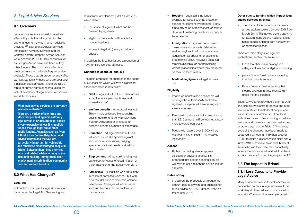

### **What legal advice services are currently available in Bristol?**

**There are a variety of law firms and other independent agencies offering legal advice in Bristol. But legal advice is very expensive unless it is publicly funded through legal aid or other public funding. Agencies such as Avon & Bristol Law Centre, Neighbourhood Advice centres and the CAB are particularly important for vulnerable and otherwise disadvantaged people in Bristol. Between them, they offer free legal and related advice in many areas including housing, immigration, debt, employment, discrimination, community care and welfare benefits.**

- People on benefits and pensioners will no longer be automatically entitled to legal aid. Everyone will have savings and assets assessed.
- People with a disposable income of more than £315 a month will be required to pay more towards legal costs.
- People with assets over £1000 will be required to pay at least £100 towards legal costs.

• Rather than being able to approach solicitors or advisors directly, it is proposed that people needing legal aid will have to call a telephone advice line for a referral.

• In addition the proposals will reduce the amount paid to lawyers and agencies for giving advice by 10%. Rates will then be frozen until 2015.

- **Housing**  Legal aid is no longer available for issues such as protection against harassment by landlords. It only funds advice on homelessness or serious disrepair threatening health, or for people facing eviction.
- **Immigration** Legal aid only covers cases where someone is detained or seeking asylum. It will no longer cover issues such as applying for citizenship or extending visas. However, Legal aid remains available for partners fleeing violent relationships where they are reliant on their partner's status.
- **Medical negligence**  Legal aid was cut.

• The Home Office cut advice for newly arrived asylum seekers by over 60% from March 2011. This advice covers applying for asylum, support and housing. It also helps people suffering from harassment or domestic violence.

- Prove that their claim belongs in a category of law that is eligible for funding.
- pass a "merits" test by demonstrating that their case is serious.
- Pass a "means" test assessing their income and capital (less than £2,657 gross monthly income).

### **Eligibility**

### **Access**

### **Rates of Pay**

### **Other cuts to funding which impact legal advice services in Bristol**

- the scope of legal aid (what can be covered by legal aid)
- eligibility criteria (who will be able to receive legal aid)
- access to legal aid (how you get legal advice).

There are three stages for legal aid applications, each applicant must:

Bristol City Council provided a grant to Avon and Bristol Law Centre to open a one-stop service in March to help local people who are victims of discrimination. Other local authorities have cut back funding for advice services and the move has been welcomed by advice agencies in Bristol.<sup>278</sup> However, since all the changes have been made to Legal Aid it will cost an individual around £1200 to make a discrimination claim and a further £1800 to make an appeal. Many of those who win their case may not actually receive the money in full, and will then have to take the case to court to gain payment.279

# **8.3 The Impact in Bristol**

# **8.3.1 Less Capacity to Provide Legal Advice**

Many advice services in Bristol fear they will be affected by cuts in legal aid, even if the work they do themselves is not covered by legal aid. Womankind for example raised

# <span id="page-34-0"></span>*8. Legal Advice Services*

# **8.1 Overview**

Legal advice services in Bristol have been affected by cuts to civil legal aid funding and changes to the way in which advice is provided.277 East Bristol Advice Services, Immigration Advisory Services and the Central Eastern European Advice Services were closed in 2010-11. Key services such as Refugee Action have also been cut by other funders. The cumulative effect is a great decrease in the level of expert advice available. These cuts disproportionately affect women, particularly those who are poor and otherwise disadvantaged. There are also a range of human rights concerns raised by lack of availability of legal advice in complex and difficult cases.

# **8.2 What Has Changed?**

### **Legal Aid**

In April 2013 changes to legal aid came into force under the Legal Aid, Sentencing and

Punishment of Offenders (LASPO) Act 2012 which altered:

In addition the MoJ has issued a reduction of 10% for fixed fee legal aid cases.

### **Changes to scope of legal aid**

The main proposals for changes to the scope of civil legal aid which will have a significant effect on women in Bristol are:

- **Debt** Legal aid will not fund debt advice except where a person's home is at 'immediate risk'.
- • **Welfare benefits** All legal aid was cut. This will include issues like appealing against decisions to deny Employment Support Allowance or to reduce or suspend benefit payments or tax credits.
- **Education** All legal aid was cut. This will cover issues like appeals against exclusions or admissions, bullying, special educational needs or disability discrimination.
- **Employment**  All legal aid funding was cut except for cases of discrimination or a contravention of the Equality Act 2010.
- **Family law** All legal aid was cut except in cases of domestic violence - but with a narrow definition of domestic violence (see below). Changes will cover issues such as divorce, child contact and/or maintenance.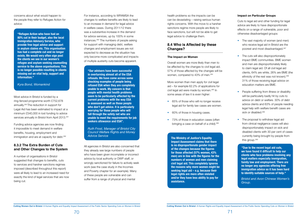Most advice in Bristol is funded by a ring-fenced programme worth £752,678 annually.280 The reduction in support for Legal Aid has been estimated to impact at a minimum £540,000 in lost funding to advice services annually in Bristol from April 2013.<sup>281</sup>

Funding advice agencies are now finding it impossible to meet demand in welfare benefits, housing, employment and immigration and are at capacity for debt.<sup>282</sup>

<span id="page-35-0"></span>concerns about what would happen to the people they refer to Refugee Action for advice:

# **8.3.2 The Extra Burden of Cuts and Other Changes to the System**

A number of organisations in Bristol suggested that changes to benefits, cuts to services and harsher sanctions regimes imposed (described throughout this report) were all likely to lead to an increased need for exactly the kind of legal services that are now being cut.

Overall women are more likely than men to be affected by the changes to civil legal aid. 57% of those affected by the changes will be women, compared to 43% of men.<sup>284</sup>

For instance, according to WRAMSA the changes to welfare benefits are likely to lead to an increase in demand for legal advice in welfare cases. During 2011/12 there was a substantive increase in the demand for advice services, up by 100% in some instances.283 The numbers of people asking for support with managing debt, welfare changes and employment issues are not expected to decrease as the situation has only become more complicated and impacts of multiple austerity cuts become apparent.

All agencies in Bristol are also concerned that they already see large numbers of people who have been given incomplete or incorrect advice by local authority or DWP staff, or wrongly sanctioned for failure to actively seek work (see the case study in the Incomes and Poverty chapter for an example). Many of these people are vulnerable and can suffer from a range of physical and mental

- The vast majority of women (and men) who receive legal aid in Bristol are the poorest and most disadvantaged.287
- The cuts will also disproportionately impact BME communities. BME women and men are disproportionately likely to claim legal aid. Of all civil legal aid clients, 64% are white, 26% are BME (the ethnicity of the rest was not known).<sup>288</sup> 31% of those receiving legal advice on education matters are BME.
- People suffering from illness or disability will be particularly badly hit by cuts to advice on debt or welfare. 30% of debt advice clients and 63% of people needing legal help with welfare benefit cases are sick or disabled.<sup>289</sup>
- The proposal to withdraw legal aid from clinical negligence cases will also disproportionately impact on sick and disabled clients with 30 per cent of cases currently being brought by people from this group.290

health problems so the impacts can be can be devastating – raising serious human rights concerns. With the move to a harsher sanctions regime more people are likely to face sanctions, but will not be able to get legal advice to challenge them.

# **8.4 Who is Affected by these Changes?**

### **The Impact on Women**

More women than men apply for civil legal aid – for example 62.2% of applications for civil legal aid were made by women.285 In some areas of law it is even higher:

- 65% of those who will no longer receive legal aid for family law cases are women.
- 60% of those in housing cases.
- 73% of those in education cases (often bringing a case on behalf of a child).<sup>286</sup>

### **Impact on Particular Groups**

Cuts to legal aid and other funding for legal advice are likely to have disproportionate effects on a range of vulnerable, poor and otherwise disadvantaged groups:

**"Our advisers have been successful in overturning almost all of the ESA refusals. We have come across some shocking examples of people being refused ESA when they are completely unable to work. My concern is that people with mental health problems seem to be particularly affected by the current problems with the way ESA is assessed as well as those people who don't get advice. It is particularly worrying for those people who will fall through the safety net who are unable to meet the requirements for job seekers allowance and ESA".** 

*Ruth Frost, Manager of Bristol City Council Welfare Rights and Money Advice Service*

**"Refugee Action who have had an 80% cut in their budget, also the local Immigration Advisory Service, who provide free legal advice and support in asylum claims etc. This organisation has had a complete cut and no longer exists. We would very often sign post the clients we see in our women's refugee and asylum seeking counselling service to the above organisations. This is no longer possible resulting in clients missing out on vital help, support and information."** 

### *Kyra Bond, Womankind*

**The Ministry of Justice's Equality Impact Assessment claims that there is no disproportionate gender impact of the changes because the figures for those affected (57% women, 43% men) are in line with the figures for the numbers of women and men claiming civil legal aid. This completely ignores the reasons why more women might be seeking legal aid – e.g. because their legal rights are more often violated and/or they have less ability to pay for assistance.**

**"Due to the recent legal aid cuts, we have found it difficult to help our clients who face problems involving any legal matters especially immigration, family law and employment. There are no longer any agencies offering free immigration advice so it has been hard to identify suitable sources of help."** 

*Bristol and Avon Chinese Women's Group.*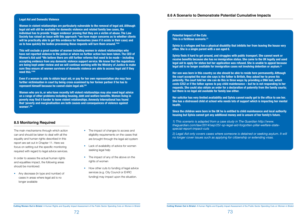# **8.5 Monitoring Required**

• Any decrease (in type and number) of cases in areas where legal aid is no longer available

The main mechanisms through which action can and should be taken to deal with all the equality and human rights described in this report are set out in Chapter 11. Here we focus on setting out the specific monitoring required with regard to legal advice services.

- The impact of changes to access and eligibility requirements on the cases that are brought through the legal aid system
- Lack of availability of advice for women seeking legal help
- The impact of any of the above on the rights of women
- How other cuts to funding of legal advice services (e.g. City Council or EHRC funding) may impact upon the situation.

In order to assess the actual human rights and equalities impact, the following areas should be monitored:

### <span id="page-36-0"></span>**Legal Aid and Domestic Violence**

**Women in violent relationships are particularly vulnerable to the removal of legal aid. Although legal aid will still be available for domestic violence and related family law cases, the individual has to provide 'trigger evidence' proving that they are a victim of abuse. The Law Society has raised an issue with this approach: "we have major concerns as to whether clients will be practically able to get this evidence for themselves (even if it exists in their case) and as to how quickly the bodies processing these requests will turn them around."291**

**This will exclude a great number of women including women in violent relationships who have not reported violence to the police or where no further action has been taken. The CEO of Women's Aid said "We believe there are still further reforms that need to be made – including accepting evidence from any domestic violence support service. We know that the regulations are being kept under review and we will continue working with the Ministry of Justice to make sure they ensure all women survivors of domestic violence are able to access legal aid if they need this."292**

**Even if a woman is able to obtain legal aid, or pay for her own representation she may face further victimisation in court by being cross examined by her former partner if he has to represent himself because he cannot claim legal aid.293**

**Women who are in, or who have recently left violent relationships may also need legal advice on a range of other problems including housing, debt and welfare benefits. Women living in poverty may find it harder to leave violent relationships. Amnesty International has found that 'poverty and marginalisation are both causes and consequences of violence against women'.294**

**Potential Impact of the Cuts This is a fictitious scenario.(1)** 

**Sylvia is a refugee and has a physical disability that inhibits her from leaving the house very often. She is a single parent with a son aged 8.** 

**Sylvia finds it hard to get around, and struggles with public transport. She cannot work or receive benefits because she has no immigration status. She came to the UK legally and used legal aid to apply for status but her application was refused. She is unable to appeal because legal aid is no longer available for immigration cases not involving detention or asylum.(2)**

**Her son was born in this country so she should be able to reside here permanently. Although the court accepted the man she says is the father is British, they asked her to prove his paternity. The court told her she can do this in three ways: by providing a DNA test, which costs £252 or if the father agrees to pay child maintenance – but he is not responding to her requests. She could also obtain an order for a declaration of paternity from the family courts; but there is no legal aid available for family law either.** 

**Her solicitor has very limited availability and Sylvia cannot easily get to the office to see her. She has a distressed child at school who needs lots of support which is impacting her mental health.**

**Since the children were born in the UK he is entitled to child maintenance and local authority housing but Sylvia cannot get any additional money and is unsure of her family's future.** 

*1) This scenario is adapted from a case study in The Guardian [http://www.](http://www.theguardian.com/law/2014/sep/25) [theguardian.com/law/2014/sep/25](http://www.theguardian.com/law/2014/sep/25)/-sp-legal-aid-forgotten-pillar-welfare-statespecial-report-impact-cuts* 

*2) Legal Aid only covers cases where someone is detained or seeking asylum. It will no longer cover issues such as applying for citizenship or extending visas.*

### **8.6 A Scenario to Demonstrate Potential Cumulative Impacts**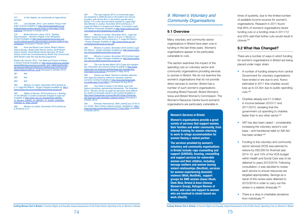278 Law Gazette, 2013, 'Law centres: living on the edge' [online] Available at: *http://www.lawgazette.co.uk/ analysis/features/law-centres-living-on-the-edge/71033. fullarticle (Accessed 2 October 2014)*

<span id="page-37-0"></span>*277 In this chapter, we concentrate on legal advice services* 

279 Bristol Women's Voice, 2014,' Tackling Discrimination – Women's Rights in the Workplace' *[online] Available at http://www.bristolwomensvoice.org. uk/2014/09/24/tackling-discrimination-womens-rights-in-theworkplace/ (Accessed 2 October 2014)* 

*284 Ministry of Justice, November 2010 [online] at p.11 Legal Aid Reform : Scope Changes Available at: http://* www.justice.gov.uk/consultations/docs

285 Rights of Women, 2010 [online] at p.1 Briefing *on the Ministry of Justice proposed changes to legal aid available at* http://www.row.org.uk/pdfs/Policy/Rights\_ of Women briefing on Ministry of Justice proposed changes to legal aid.pdf

*280 Avon and Bristol Law Centre, Bristol Citizens Advice Bureau, Bristol Debt Advice Centre, North Bristol Advice Centre, South Bristol Advice Services, St Pauls Advice Centre are commissioned by Bristol City Council and NHS Bristol under the ring-fenced programme.* 

Bristol City Council, 2012, 'The State and Future of Advice in Bristol' [online] Available at: *http://www.bristol.gov.uk/sites/* default/files/documents/community\_and\_safety/community\_ *development/Bristol%20Advice%20Agencies%20The%20* State%20and%20Futu\_0.pdf *(Accessed 2 October 2014)*

| 281 | <b>Ibid</b>     |
|-----|-----------------|
| 282 | <b>Ibid</b>     |
| 283 | <b>Ibid</b>     |
| 001 | $Ministri \sim$ |

*286 Ministry of Justice, November 2010 [online] at p.46 Above (n.4)* 

*287 "The vast majority (97%) of community legal aid recipients in 2008-09 were in the bottom two income quintiles, with almost 80% in the bottom quintile and a further 17% in the second bottom quintile for Legal Help" See Ministry of Justice, November 2010 [online] at p.11 Legal Aid Reform in England and Wales, Cumulative Legal Aid Reform Proposals available at http://www.justice.gov.uk/ consultations/docs/legalaidiacumulative.pdf* 

*288 Ministry of Justice, November 2010. Legal Aid Reform: Scope Changes. Above (n.9) at p.11 Ministry of Justice, November 2010 [online] at p.11 Legal Aid Reform : Scope Changes Available at: http://www.justice.gov.uk/ consultations/docs/eia-scope.pdf*

*289 Ministry of Justice, November 2010 [online] Legal Aid Reform : Scope Changes Available at: http://www.justice. gov.uk/consultations/docs/eia-scope.pdf*

*290 Ministry of Justice, November 2010 [online] Legal Aid Reform : Scope Changes Available at: http://www.justice. gov.uk/consultations/docs/eia-scope.pdf*

*291 The Law Society March 2013 Legal aid changes: key information and advice [online] Available at http://www. lawsociety.org.uk/advice/articles/legal-aid-changes-keyinformation-and-advice/ [Accessed 21 May 2014]*

292 Family Law Week 'Women's charities welcome *new legal aid evidence criteria for domestic violence*  survivors' [online] Available at *http://www.familylawweek. co.uk/site.aspx?i=ed128677 (Accessed 29 Aug 2014)*

*293 Two-thirds of cases in the family court now*  feature somebody representing themselves. The Guardian, 2014, ''Women will die' as legal aid becomes more difficult for victims of domestic abuse to get' [online] Available at: *http://www.theguardian.com/society/2014/sep/10/womendie-legal-aid-rules-domestic-violence-victims (Accessed 2 October 2014)*

294 Amnesty International, 2004. [online] at p.15 It's in *our hands. Stop violence against women. Available at http:// www.amnesty.org/en/library/info/ACT77/001/2004 (Accessed 2 October 2014)*

# 9. Women's Voluntary and *Community Organisations*

# **9.1 Overview**

Many voluntary and community sector organisations in Bristol have seen cuts in funding in the last three years. Women's organisations appear to be particularly vulnerable to cuts.

This section examines the impact of the spending cuts on voluntary sector and community organisations providing services to women in Bristol. We do not examine the women's organisations that do not provide direct services to women. Bristol has a number of such women's organisations including Bristol Fawcett, Bristol Women's Voice and Bristol Women's Commission. The Women's Resource Centre found women's organisations are particularly vulnerable in

times of austerity, due to the limited number of available income sources for women's organisations. Research in 2011 found that 95% of women's organisations faced funding cuts or a funding crisis in 2011/12 and 25% said that further cuts would result in closure.295

# **9.2 What Has Changed?**

There are a number of ways in which funding for women's organisations in Bristol are being placed under major strain:

- A number of funding streams from central Government for voluntary organisations have ended or are due to end. Acevo estimated in 2011 that charities would lose up to £4.5bn due to public spending cuts.<sup>296</sup>
- Charities already lost £1.3 billion in income between 2010/11 and 2011/2012, revealing that the government cut spending to charities faster than in any other sector.<sup>297</sup>
- VAT has also been raised considerably increasing the voluntary sector's cost base – and transitional relief on Gift Aid has been ended.<sup>298</sup>
- Funding to the voluntary and community sector services (VCS) was planned to reduce by £60,000 for financial year 2014-15, and 10% of the VCS budget within Health and Social Care was to be deferred to years 2015/2016. Following consultation, it was decided to review each service to ensure resources are targeted appropriately. Savings as a result of this review were deferred to 2015/2016 in order to carry out this review in a realistic timescale.299
- There is a drop in charitable donations from individuals.<sup>300</sup>

### **Women's Services in Bristol**

**Women's organisations provide a great variety of services that support women, their families and wider community, from internet training for women returning to work to refuge accommodation for women fleeing a violent partner.**

**The services provided by women's voluntary and community organisations in Bristol include: rape counselling and support (SARSAS), housing, counselling and support services for vulnerable women and their children, including teenage mothers and women leaving violent relationships (Nextlink), services for women experiencing domestic violence (Wish, Nextlink), support groups for BME women (Awaz Utoah, Dhek Bhal, Bristol & Avon Chinese Women's Group), Refugee Women of Bristol, and care and support to women who are involved in street-based sex work (One25).**

Cutting Women Out in Bristol: A Human Rights and Equality Impact Assessment of the Public Sector Spending Cuts on Women in Bristol Cutting Women Out in Bristol: A Human Rights and Equality Impact Assessment of the Public S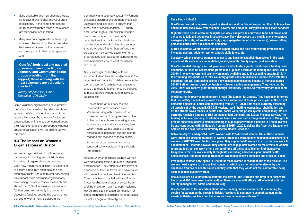- 
- 
- 
- 
- 
- 
- 
- 
- 
- 
- <span id="page-38-0"></span>• Many charitable and non-charitable trusts are receiving an increasing level of grant applications. At the same time a falling return on investments means the success rate for applications is falling.
- Many voluntary organisations are facing increased demand from the communities they serve as a result of the recession and the impact of other public spending cuts.

Some voluntary organisations have praised the Council for avoiding the 'slash and burn' approach of Councils in other parts of the country. However, the majority of voluntary organisations in Bristol are concerned about their future funding and are doubtful whether smaller organisations will be able to survive this model.

# **9.3 The Impact on Women's Organisations in Bristol**

Women's organisations do not only face problems with funding from public bodies. A number of organisations commented upon how much more difficult it is becoming to secure funds from charitable and noncharitable trusts. The cuts to statutory finding have meant more and more organisations are chasing the same money. Research has shown that 70% of women's organisations felt that being women-only is a barrier to accessing funding, despite the documented benefits of women-only services in the

community and voluntary sector.302 Women's charitable organisations are more financially vulnerable and less likely to survive than other, similar service charities.303 Equality and Human Rights Commission research has shown concern from women's organisations that continued applications to commission funding is limiting the services that are on offer. Rather than defining the services for their service users, women's organisations are required to respond to the commissioner's view of what the service should be.

Not surprisingly the funding cuts are expected to lead to a similar decrease in the organisations' capacity to deliver services to women. Women's voluntary organisations argue that there is little or no spare capacity to make savings without cutting services. Nextlink said,

"The demand on our services has increased as other services are cut. We are working with women with an increasing range of complex needs; due to the budget cuts we increasingly have to advertise posts at a lower salary level which means we are unable to attract and secure experienced support staff to manage and respond to these needs.

A number of our services are being tendered so forward planning is virtually impossible."

Refugee Women of Bristol support women with challenges around language, childcare and transport. They often have low levels of education or low skill levels, and have issues with unemployment and health inequalities. The charity has struggled with a shift from 3 year funding to a shorter one year basis, and the move from grant to commissioning. RWOB also cite increased competition for funds, managing sustainable funds as issues, as well as negative stereotypes.304

**"Cuts [by] both local and national government are impacting on Voluntary and Community Sector groups providing front line support; those working with the most vulnerable are particularly affected."**

*Wendy Stephenson, Chief Executive, VOSCUR301*

### **Case Study 1: One25**

**One25 reaches out to women trapped in street sex work in Bristol, supporting them to break free and build new lives away from violence, poverty and addiction. They provide four main services:**

**Night Outreach sends a van out 5 nights per week and provides nutritious food, hot drinks and a chance to talk and get advice in a safe space. They give access to a mobile phone to contact emergency hostels, information on 'ugly mugs' (perpetrators of street violence), warm clothes, personal alarms, first aid, condoms and more.**

**A drop-in service where women can gain expert advice and help from visiting professionals including doctors, addiction workers, basic skills tutors, etc.**

**Casework which supports women on a one to one basis to establish themselves in the basic aspects of life such as accommodation, health, benefits, family support and education.**

**One25 is funded through a mix of government and voluntary grants, local council funding, and donations. In 2009/10, Government grants made up over a third of the funding for One25 but in 2010/11 no new government grants were made available due to the spending cuts. In 2013/14 their funding was made up of 69% voluntary grants and commissioned income, 22% voluntary donations and 8% fundraising events. They expect commissioned income to increase during 2014/15 either through direct contracts or sub-contracting arrangements. They hope that by 2016 One25 will receive grant funding though Bristol City Council. Currently they are reliant on voluntary grants.** 

**One25 currently receives funding from Bristol City Council for 2 posts. They have been informed that Bristol City Council will provide a direct award for one of these posts as part of the Bristol domestic and sexual abuse commissioning from 2015 - 2020. This role is currently exceeding all targets set by the council. CEO Gill Nowland said "Getting women into rehabilitation and off the streets saves money in health care, social work, the prison system and policing. We are currently receiving funding to trial an Independent Domestic and Sexual Violence Adviser. The funding is for one year only. In addition we have a sub contract arrangement with St Mungo's to provide specific support to women residing in high support women's hostels in Bristol. We will be sub-contracting with St Mungo's from April 2015 - 2020 to deliver the Assertive Engagement Service for the new Bristol Community Mental Health Services."**

**Between May'13 and April'14 One25 worked with 285 different women. 169 of these women were street sex working. Numbers of women street sex working have remained consistent (171 women in 2012/13) over the last two years. They supported 45 women to exit street sex work for a minimum of 6 months however they continually engage new women on the streets or women returning to street sex work after a period of time off the streets. Women find themselves trapped in street sex work mostly through life controlling addictions, poor mental health, homelessness, and relationship breakdown which may involve domestic and or sexual abuse.** 

**Providing a 'women only' space in Bristol for these women is essential due to their issues. The women need a space to discuss their concerns, which are often related to attacks by men, childhood traumas or health issues and they state that they would not feel comfortable being seen by a male support worker.** 

**One25 is reliant on volunteers to continue the service. The Outreach and Drop In service work has around 100 volunteers, and in addition there are around 8 office staff who deal with the charity management, admin and fundraising.**

**One25 continue to feel uncertain about future funding but are committed to continuing the service for women on the streets in Bristol. "We have to continue to support women on the streets in Bristol; we have no choice, so we have to do more with less."** 

Cutting Women Out in Bristol: A Human Rights and Equality Impact Assessment of the Public Sector Spending Cuts on Women in Bristol Cutting Women Out in Bristol: A Human Rights and Equality Impact Assessment of the Public S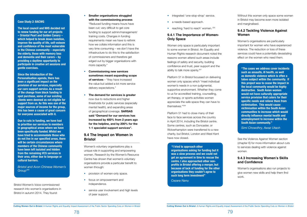### <span id="page-39-0"></span>**Case Study 2: BACWG**

**The local council and NHS decided not to renew funding for our art projects – Oriental Pearl and Golden Canary – which helped to break down isolation, improve the quality of life, self-esteem and confidence of the most vulnerable in the Chinese community – especially the elderly, those with memory loss and dementia and their carers – by providing a daytime opportunity to participate in creative art sessions and gentle exercises.**

**Since the introduction of the Personalisation agenda, there has been a significant impact on the provision of our services, especially our care support service. As a result of the change from block funding to spot purchase, some of our existing clients were deemed as not eligible for support from us. As this was one of the major sources of income for the group, this has been a cause of great concern for everyone associated with it.**

**Due to cuts in funding, we have had to prioritise our services to members in geographical areas where we have been specifically funded. Whilst we have tried to accommodate those who do not live in our specified areas, there will be certain circumstances where members of the Chinese community have been left isolated and hidden from the remaining VCS services in their area, either due to language or cultural barriers.**

- provision of women-only space.
- focus on empowerment and independence.
- service user involvement and high levels of peer support.
- integrated 'one-stop-shop' service.
- a needs-based approach.
- reaching 'hard to reach' women. 305

*Bristol and Avon Chinese Women's Group305*

Women only space is particularly important to some women in Bristol. An Equality and Human Rights research document noted the reasons women attend such areas include feelings of safety and security, building confidence and trust, peer support and the ability to talk more openly.<sup>307</sup>

Bristol Women's Voice commissioned research into women's organisations in Bristol in autumn 2014. They found:

### • **Smaller organisations struggled with the commissioning process**

"Reduced funding means hours have been cut; very difficult to get core funding to support admin/management/ training costs. Changes in funding requirements mean we have to rethink how we collate information and this is very time consuming – we don't have the infrastructure to do this to the satisfaction of commissioners and therefore get edged out by bigger organisations with more capacity."

- **Commissioning new services sometimes meant expanding scope of services** – "they have increased the value but added a lot more service delivery expectations."
- **The demand for services is greater** now due to reductions and higher thresholds for public services (especially mental health), and expanding areas of geographical coverage. **SARSAS said "Demand for our services has increased by 400% from 2 years ago for the helpline, and by 200% for the 1-1 specialist support services".**

# **9.4 The Impact on Women in Bristol**

Women's voluntary organisations play a unique role in supporting and empowering women. Research by the Women's Resource Centre has shown that women's voluntary organisations provide a particular benefit to women through:

### **9.4.1 The Importance of Women-Only Space**

Platform 51 in Bristol focussed on delivering women only spaces which "meet individual women's needs in a non-judgmental, supportive environment. Whether they come to us for accredited training, counselling, art therapy, or sports activities women appreciate the safe space they can have to themselves."308

Platform 51 had to close many of their face to face services across the country in April 2014, including the Bristol centre. Some centres, such as Doncaster, or Wolverhampton were transferred to a new charity, but Bristol, London and West Kent have now closed.

Without this women only space some women in Bristol may become even more isolated and marginalised.

# **9.4.2 Tackling Violence Against Women**

Women's organisations are particularly important for women who have experienced violence. The reduction or loss of these services could have a potentially devastating effect on the women who need them.

See the Violence Against Women section (chapter 6) for more information about cuts to services dealing with violence against women.

# **9.4.3 Increasing Women's Skills and Confidence**

Women's organisations also run projects to give women new skills and help them find work.

### **"I tried to approach other**

**organisations asking for funding but it was a slow process and we could not get an agreement in time to rescue the centre. I also approached other nonprofits in Bristol offering a merger, but because of lack of funding for the other organisations they couldn't agree to such long term investment"**

*Cezara Nanu*

**"The cases we address cover incidents such as assaults, ill health, as well as domestic violence which is often a taboo subject within the community. If this project was to cease the impact in the local community would be highly destructive. South Asian women would not have culturally appropriate service provision that caters for their specific needs and relieve them from victimisation. This would cause victimisation within the South Asian communities to increase which would directly influence mental health and unemployment to increase within the South Asian community."**

*Simi Chowdhry, Awaz Utaoh*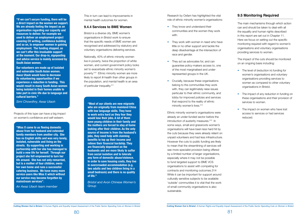**"Miss X came to us fleeing domestic abuse from her husband and extended family members from another city. She has no English skills and was very lonely, isolated, vulnerable and living on the streets. By supporting and working in partnership with her she has managed to build a new life for herself. Through our project she felt empowered to turn her life around. She has not only remarried, but is a mother of four children, owns her own home and runs a successful catering business. We have many more service users like Miss X which without our service may become forgotten by mainstream services".** 

*An Awaz Utaoh team member*

Projects of this type can have a big impact on women's confidence and self-esteem.

**"Most of our clients are new migrants who are originally from mainland China with low language skills. They have to work extra hard as they fear they would lose their jobs. A lot of them have young children in their family and the mothers are forced to stay at home looking after their children. As the only source of income is from the husband's jobs, they need help with claiming benefits to top up their income and relieve their financial hardship. They are financially dependent on the husbands and are more likely to suffer from social isolation and to tolerate any form of domestic abuse/violence. In order to save housing costs, they live in overcrowded accommodation (e.g. two adults and two children living in a small bedroom) and there is no quality of life."** 

*Bristol and Avon Chinese Women's Group*

<span id="page-40-0"></span>**"If we can't secure funding, there will be a direct impact on the women we support. We are already feeling the impact as an organisation regarding our capacity and resources to deliver. For example we used to deliver an employment project covering CV writing, confidence building and so on, to empower women in gaining employment. The funding stopped, so we can't offer this invaluable support at the moment. Our drop-in, signposting and advice service is mainly accessed by South Asian women.** 

**Our volunteers are made up of isolated and vulnerable South Asian women. Awaz Utaoh would have to decrease its volunteering opportunities if we experience a reduction in funding. This would result in many South Asian women being isolated in their homes unable to take part in civic life due to language and cultural barriers."** 

*Simi Chowdhry, Awaz Utaoh*

This in turn can lead to improvements in mental health outcomes for women.

### **9.4.4 Services to BME Women**

- The level of (reduction in) funding for women's organisations and voluntary organisations providing services to women as compared to other voluntary organisations in Bristol.
- The impact of any reduction in funding on these organisations and their provision of services to women.
- The impact on women who have lost access to services or had services reduced.

Bristol is a diverse city. BME women's organisations in Bristol work to ensure that the specific needs of BME women are recognised and addressed by statutory and voluntary organisations delivering services.

Nationally, 40% of ethnic minority women live in poverty, twice the proportion of white women, and current government policy looks set to exacerbate ethnic minority women's poverty.310 Ethnic minority women are more likely to report ill-health than other groups in the population, and mental health is an area of particular inequality.311

Research by Oxfam has highlighted the vital role of ethnic minority women's organisations:

- They know and understand their communities and the women they work with.
- They work with women in need who have little or no other support and tackle the deep disadvantage at the intersection of race and gender.
- They act as advocates for, and can guarantee policy-makers access to, one of the most marginalised and underrepresented groups in the UK.
- Crucially, because these organisations belong to the communities they work with, they can legitimately raise issues particular to their ethnic community, and lobby for improved policies and services that respond to the reality of ethnic minority women's lives.<sup>312</sup>

Ethnic minority women's organisations were already an under-funded sector before the introduction of austerity measures.<sup>313</sup> In some ways, small and grassroots women's organisations will have been less hard hit by the cuts because they were already reliant on unpaid volunteers and had less infrastructure. However the cuts to public funding are likely to mean that the streamlining of services will see more specialist provision being offered by a limited number of larger organisations, especially where it may not be possible to fund targeted support to BME VCS organisations to assist with competing for contracts and monitoring outcomes.314 While it can be important for support around culturally sensitive subjects to be available 'outside' communities it is vital that the work of small community organisations is also sustainable.

# **9.5 Monitoring Required**

The main mechanisms through which action can and should be taken to deal with all the equality and human rights described in this report are set out in Chapter 11. Here we focus on setting out the specific monitoring required with regard to women's organisations and voluntary organisations providing services to women.

The impact of the cuts should be monitored on an ongoing basis including: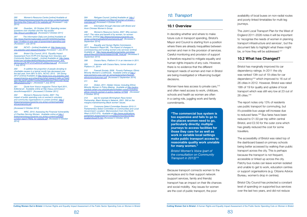

<span id="page-41-0"></span>295 Women's Resource Centre *Ionline* Lavailable at *http://thewomensresourcecentre.org.uk/wp-content/uploads/ Surviving-the-Crisis-pdf-3-for-website.pdf (Accessed 1 July 2014)* 

296 Guardian, 20 October 2010, Spending review: questions over charities and the 'big society' *http://tinyurl.com/66b7p4j [Accessed 2 October 2011]*

299 Bristol City Council, 2013, 'Equality Impact *Assessment Form R-PP-015 Savings from Voluntary and*  Community Sector budget' – [online] Available at: *http://www.* bristol.gov.uk/sites/default/files/documents/council\_and\_ *democracy/R-PP-015%20VCS%20Savings.pdf (Accessed 1 July 2014)*

*297 The Information<Daily.com>[online] Available at: http://www.theinformationdaily.com/2014/04/04/charitieslose-13-billion-in-one-year-of-government-spending-cuts (Accessed 1 July 2014)* 

*298 NCVO – [online] Available at: http://www.ncvo. org.uk/policy-and-research/funding (Accessed 1 July 2014)*

*300 In addition the proportion of people donating to charitable causes in a typical month has decreased over*  the last year, from 58% to 55%. NCVO, 2012. 'UK Giving 2012' [online] Available at *http://www.ncvo.org.uk/policy-andresearch/giving-and-philantropy/what-research-tells-us?highl* ight=WyJjaGFyaXRhYmxlIiwiZ2l2aW5nIiwiY2hhcml0YWJsZ SBnaXZpbmciXQ*== [Accessed 1 July 2014]* 

301 Quote from Voscur magazine Thrive! April 2011, *Editorial p4. Available online at http://issuu.com/voscur/ docs/thriveapril2011 [Accessed 2 October 2011]*

302 Women's Resource Centre, 2007. The impact of public spending cuts on women's voluntary *and community organisations in London [online] http:// thewomensresourcecentre.org.uk/wp-content/uploads/ whywomenonly.pdf* 

*[Accessed 2 October 2014]*

*303 WRC, 2010. Assessing the Financial Vulnerability of Charities Serving Women. Available online at http:// thewomensresourcecentre.org.uk/wp-content/uploads/ London-report-FINAL-for-website.pdf [Accessed 3 October 2014]*

*304 Refugee Council, [online] Available at: http://* refugeecouncil.typepad.com/files/ref-women-of-bristol-- *overview.pdf (Accessed 4 October 2014)*

*305 Information through interview with Bristol and*  Avon Chinese Women's Group.

306 Women's Resource Centre, 2007. Why womenonly?: The value and benefit of by women, for women *services. [online] http://thewomensresourcecentre.org. uk/wp-content/uploads/whywomenonly.pdf [Accessed 5 September 2014]*

> Women have less access to private cars. 315 and often need access to work, childcare, schools and health as women are often in a caring role, juggling work and family commitments.

The Joint Local Transport Plan for the West of England 2011-2026 notes it will be important to 'recognise the needs of women in planning transport infrastructure and services', but the document fails to highlight what these might be, or how they will be addressed.<sup>317</sup>

*307 Equality and Human Rights Commission,*  2012, Research Report 86, 'The impact of changes in commissioning and funding women-only services' [online] *Available at: http://www.equalityhumanrights.com/sites/* default/files/documents/research/rr86\_final.pdf *(Accessed 5 September 2014)*

> Bristol has marginally improved its car dependency ratings. In 2011 the city was ranked 13th out of 19 cities for car dependency<sup>318</sup> which improved to 16 out of 26 cities in 2012. However, Bristol was rated 18th of 19 for quality and uptake of local transport which was still very low at 23 out of 26 cities.<sup>319</sup>

*308 Cezara Nanu, Platform 51 in an interview in 2011.* 

*309 Interview with Cezara Nanu, former director of Platform 51, 2014*

*310 Fawcett Society, 2009. Poverty Pathways: Ethnic*  Minority Women's Livelihoods. Available online at *http://* www.womens.cusu.cam.ac.uk/campaigns/bem/fawcett\_ *ethnicminoritywomen.pdf [Accessed 5 September 2014]*

*311 Ibid.*

*312 Oxfam, 2011. Hidden Voices: Including Ethnic Minority Women in Policy-Making. Available at http://policypractice.oxfam.org.uk/publications/hidden-voices-includingethnic-minority-women-in-policy-making-127935 [Accessed 3 October 2014]*

*313 see for example Birmingham Race Action*  Partnership, Black Women's Network, 2001. Still on the margins:mainstreaming Black women' issues.

*314 Commons Select Committee Session 2010-11. Parliamentary Select Committee on Communities and Local*  Government: Localism: Memorandum from One North *West (LOCO 075). Available at http://www.publications. parliament.uk/pa/cm201011/cmselect/cmcomloc/writev/ localism/loco075.htm [Accessed 3 October 2014]*

**"The commercial bus system is too expensive and fails to go to the places women need to go, particularly directly; multiple journeys to access facilities for those they care for as well as work in variable local settings make public transport access to reasonable quality work unviable for many women."**

*Bristol Women's Voice (part of the consultation on Community Transport in 2013)316*

# *10. Transport*

### **10.1 Overview**

In deciding whether and where to make future cuts in transport spending, Bristol's Mayor and Council is starting from a position where there are already inequalities between women and men in the provision of services. Careful monitoring and provision of support is therefore required to mitigate equality and human rights impacts of any cuts. However, there is no evidence that the different transport needs of women and men in Bristol are being investigated or influencing budget decisions.

Because transport connects women to the workplace and to their support network (support services, family and friends) transport has an impact on their life chances and social mobility. Key issues for women are the cost of public transport, the poor

availability of local buses on non-radial routes and poorly-linked timetables for multi-leg journeys.

# **10.2 What has Changed?**

The report notes only 13% of residents use public transport for commuting, but it's possible bus usage will increase due to reduced fares.<sup>320</sup> Bus fares have been reduced to £1.50 per trip within central Bristol, and £2.50 for the outer zone which has greatly reduced the cost for some travellers.

The accessibility of Bristol was rated top of the dashboard based on primary schools being better accessed by walking than public transport across the city. This is perhaps because the transport is not frequent, accessible or linked up across the city. Patchy bus routes can leave women isolated and unable to get to work, education centres or support organisations (e.g. Citizens Advice Bureau, women's drop in centres).

Bristol City Council has protected a constant level of spending on supported bus services over the last two years, and did not reduce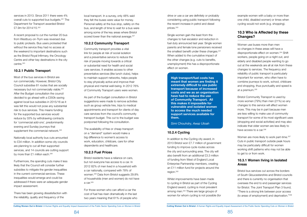<span id="page-42-0"></span>services in 2013. Since 2011 there were 4% overall cuts to supported bus budgets.321 The Department for Transport awarded Bristol £7.9m for 2014/15.322

Most of the bus services in Bristol are run commercially. However, Bristol City Council subsidise 81 routes that are socially necessary but not commercially viable.<sup>324</sup> After the Budget consultation the council decided to go ahead with a £350k saving against local bus subsidies in 2015/16 as it was felt this would not pose any substantial risk to bus services. This means funding for the supported bus services would reduce by 33% by withdrawing contracts for 'commercial add-ons', predominantly evening and Sunday journeys that supplement the commercial network.<sup>325</sup>

A recent proposal to cut the number 20 bus from Westbury-on-Trym was reversed due to public protests. Bus users protested that without the service they had no access at the weekend to important destinations such as the Bristol Royal Infirmary, the Oncology Centre and other key destinations in the city centre.323

Nationally local authority bus cuts amounted to £34 million. In addition some city councils are planning to cut all their supported services, and 14 councils are cutting support by more than £1 million each.<sup>326</sup>

# **10.2.1 Public Transport**

local transport. In a survey, only 48% said they felt the buses were value for money. Personal safety at the bus stop, safety on the bus, and length of time to wait for a bus were among some of the key areas where Bristol scored lower than the national average.<sup>327</sup>

Furthermore, the spending cuts make it less likely that the Council will consider further subsidies to mitigate the gender inequalities in the current commercial services. These inequalities would emerge and could be addressed if there were an adequate gender impact assessment.

There has been growing dissatisfaction with the reliability, quality and frequency of the

# **10.2.2 Community Transport**

Community transport provides a vital link for people at risk of social isolation and a preventative service to reduce the risk of people moving towards a critical or substantial need for health and social care services. It enables access to other preventative services (like lunch clubs), helps to maintain support networks, helps people to stay physically active and improve their physical and mental well-being. In 2012 76% of Community Transport users were women.

As part of the budget consultation in Bristol suggestions were made to remove activities such as group vehicle hire, trips to medical appointments and transport for clients of day care services from the council's community transport budget. This cut to the budget was postponed following the consultation.

Bristol Community Transport is used by more women (79%) than men (21%) so any changes to this service will affect women more. This may be in part because men are less willing to make use of community transport for some of its most significant uses (shopping and social activities) and may also indicate that older women are less likely to have access to a car.<sup>336</sup>

The availability of free or cheap transport on a "demand" system would make a big difference to women's access to work, education, childcare, care for other dependents and healthcare.

Women are more likely to work part-time.<sup>337</sup> Cuts in public transport outside peak hours may be particularly difficult for women working shift patterns who may not be able to get to or from work.

# **10.2.3 Fuel Prices**

Bristol residents have a reliance on cars, but not everyone has access to a car. In 2012 82% of men lived in a household with a car nationally, compared with 78% of women.328 Data from Bristol suggests 29.8% of households (men and women) do not have a car.329

For those women who can afford a car the cost of fuel has risen dramatically in the last two years meaning that 61% of people who **High transport/fuel costs has meant that women are finding it extremely difficult to use public transport because of increased costs and we as an organisation have had to reduce the use of Community Transport. All this makes it impossible for vulnerable and isolated women to access the much needed support services available for them.**

*Simi Chouhdry, Awaz Utoah*

drive or use a car are definitely or probably considering using public transport following the recent increase in petrol and diesel prices.330

Single women gain the least from the changes to fuel escalator and reduction in fuel duty announced last year. Single women parents and female lone pensioners received the smallest benefit under these changes. 331 When added to the cumulative impact of the other changes (e.g. cuts to benefits, unemployment) this has a disproportionate effect on women.

# **10.2.4 Cycling**

In addition to the Cycling city award, in 2013 Bristol won £7.7 million of government funding to improve cycle routes across the city and surrounding area. The city will also benefit from an additional £3.3 million of funding from West of England Local Enterprise Partnership members, creating an £11 million fund for projects around the region.332

Whilst improvements have been made to cycling in Bristol as part of the Cycling England award, cycling is most prevalent among men.<sup>333</sup> There are large groups of women for whom cycling is not possible (for example women with a baby or more than one child, disabled women) or times when cycling would not work (e.g. shopping).

# **10.3 Who is Affected by these Changes?**

Women use buses more than men so changes in these areas will have a disproportionate effect on women.334 Shift workers, people going on a night out, and elderly and disabled people wanting to go out at the weekends are all at risk from these changes to services. The frequency and reliability of public transport is particularly important for women, who often have to combine journeys to work, school, childcare and shopping, thus punctuality and speed is at a premium.335

# **10.3.1 Women living in Isolated Areas**

Bristol bus services cut across the borders of South Gloucestershire and Bristol councils and there is currently no organisation that oversees the end to end passenger services for Bristol. The Joint Transport Plan 3 found, "There is a strong link between poor access (to areas of employment) and deprivation."338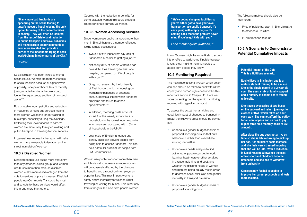Social isolation has been linked to mental health issues. Women are more vulnerable to social isolation because of higher levels of poverty, lone parenthood, lack of mobility (being unable to drive or to own a car), longer life expectancy, and fear of going out alone.339

Bus timetable incompatibility and reduction in frequency of night bus services means more women will spend longer waiting at bus stops, especially during the evenings. Reflecting their lower access to cars, 340 women are more likely to rely on walking and public transport in travelling to local services.

In general less money for transport will make women more vulnerable to isolation and to street intimidation/violence.

### **10.3.2 Disabled Women**

Disabled people use buses more frequently than any other equalities group, and women use buses more than men, so disabled women will be more disadvantaged from the cuts to services or price increases. Disabled people use Community Transport the most and so cuts to these services would affect this group more than others.

Coupled with the reduction in benefits for some disabled women this could create a disproportionate cumulative impact.

### **10.3.3. Women Accessing Services**

Since women use public transport more than men in Bristol there are a number of issues facing female passengers:

- Two out of five jobseekers say lack of transport is a barrier to getting a job.<sup>341</sup>
- Nationally 31% of people without a car have difficulties travelling to their local hospital, compared to 17% of people with a car.<sup>342</sup>
- On-going research by the University of East London, which is focusing on women's experiences of antenatal care, suggests a link between transport problems and failure to attend appointments.343
- In addition, motoring costs account for 24% of the weekly expenditure of households in the lowest income quintile who have cars, compared with 15% for all households in the UK.344
- Low levels of English language and literacy skills can prevent people from being able to access transport. This can be a particular problem for people from BME communities.

Women use public transport more than men and this is set to increase as more women will be adversely affected by the changes to benefits and a reduction in employment opportunities. This may impact women's safety and vulnerability to violence whilst travelling or waiting for buses. This is not only from strangers, but also from people women

<span id="page-43-0"></span>**"Many more bad landlords are appearing on the scene leading to unsafe insecure housing being the only option for many of the poorer families in society. They will often be isolated from the rest of Bristol and reduction in public transport and travel subsidies will make certain poorer communities even more isolated and provide a barrier to the inhabitants trying to seek work/training in other parts of the City."**

### *Shelter*

**"We've got no shopping facilities so you've either got to have your own transport or use public transport. It's easy going with empty bags – it's coming back that's the problem never mind if you've got kids with you"**

*Lone mother quote (National)345*

**Potential Impact of the Cuts This is a fictitious scenario.**

**Rachel lives in Brislington and is a mature student training to be a nurse. She is the single parent of a 2 year old son. She uses a mix of family support and a nursery to enable her to attend university.** 

**She travels by a series of two buses on the outward and return journeys to classes at UWE which takes an hour each way. She cannot afford the outlay for an annual pass and so has to pay higher fares on a monthly basis of £56 a month.** 

**After class the bus does not arrive on time so she is late returning to pick up her son. Her childcare costs increase and she feels very stressed knowing that she will be late. With a reduction in Local Housing Allowance the cost of transport and childcare become untenable and she has to withdraw from university.** 

**Consequently Rachel is unable to improve her career prospects and feels more isolated.**

know. Women might be more likely to accept lifts or offers to walk home if public transport is restricted; making them vulnerable to attack from people they know.

# **10.4 Monitoring Required**

The main mechanisms through which action can and should be taken to deal with all the equality and human rights described in this report are set out in Chapter 11. Here we focus on setting out the specific monitoring required with regard to transport.

To assess the actual human rights and equalities impact of changes to transport in Bristol the following areas should be carried out:

- Undertake a gender budget analysis of proposed spending cuts so that cuts balance out rather than exacerbate existing inequalities.
- Undertake a needs analysis to find out whether people can get to work, learning, health care or other activities in a reasonable time and cost, and whether the differing needs of women and men are being equally met in order to decrease social exclusion and gender inequality in transport provision.
- Undertake a gender budget analysis of proposed spending cuts.

The following metrics should also be monitored:

- Price of public transport in Bristol relative to other core UK cities.
- Public transport take up.

# **10.5 A Scenario to Demonstrate Potential Cumulative Impacts**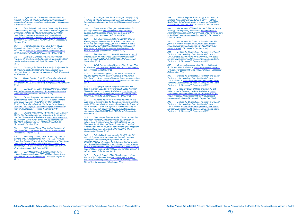

*315 Department for Transport inclusion checklist [online] Available at: http://www2.dft.gov.uk/pgr/inclusion/ women/public-transport-and-women/checklist.pdf [Accessed 5 September 2011]*

316 Bristol City Council, 2013 'Community Transport *Commissioning Strategy – Consultation Report – Appendix*  3' [online] Available at: *http://www.bristol.gov.uk/sites/* default/files/documents/transport\_and\_streets/public transport/community\_transport/CTC%20Consultation%20 *Summary%20Report%20APPENDICES.PDF (Accessed 3 October 2014)*

317 West of England Partnership, 2011, 'West of England Joint Local Transport Plan 3 2O11 — 2O26', *Available at: http://www.travelplus.org.uk/media/205985/ jltp3%20march%202011.pdf (Accessed 4 October 2014)*

*318 2010 Car Dependency Scorecard [online] Available at:* http://www.bettertransport.org.uk/system/files/ car-dependency-scorecard\_1.pdf *[Accessed 31 August 2011]* 

*319 Campaign for Better Transport [online] Available at:* http://www.bettertransport.org.uk/sites/default/files/ research-files/car\_dependency\_scorecard\_2.pdf *[Accessed 28 March 2014]*

Bristol city council, 2013, 'Bristol City Council *Equality Impact Assessment Form R-PL- 028 - Reduce*  Local Bus Service (Subsidy)' [online] Available at *http://www.* bristol.gov.uk/sites/default/files/documents/council\_and\_ *democracy/R-PL-028%20-%20BusServices700k.pw%20* v3\_0.pdf *(Accessed 4 October 2014)* 

*320 Bristol Evening Post, 2013 [online] Available at: http://www.bristolpost.co.uk/Bus-introduces-lower-fares-Bristol/story-20029704-detail/story.html (Accessed 3 October 2014)*

*321 Campaign for Better Transport [online] Available at http://www.bettertransport.org.uk/campaigns/save-ourbuses/bus-cuts [Accessed 28 March 2014]* 

*322 Covers integrated transport and maintenance,*  slight increase from £6.6m in 2013/14. 'West of England *Joint Local Transport Plan 3 Delivery Plan 2012/13 -*  2014/15', [online] Available at: *http://www.travelplus.org.* uk/media/245864/jltp3%20delivery%20plan%20final%20 *march%202012.pdf (Accessed 4 October 2014)*

331 WBG The Impact on Women of the Budget 2011 *Available at:* http://wbg.org.uk/RRB\_Reports\_7\_282363355. *pdf [Accessed 6 September 2011]*

332 Bristol Evening Post, £11 million promised to improve cycling routes' [online] Available at *http://www. bristolpost.co.uk/pound-11-million-promised-improve-cyclingroutes/story-19645830-detail/story.html (Accessed 4 October 2014)*

*323 Bristol Evening Post, 4 September 2014, [online]*  'Bristol City Council announce replacement for scrapped number 20 bus service' Available at: *http://www.bristolpost. co.uk/Bristol-City-Council-announce-replacement/story-*22878679-detail/story.html#1Y1f35Qg2Pua0AJ5.99 *(Accessed 3 October 2014)*

*324 BBC News 27 May 2011 [online] Available at: http://www.bbc.co.uk/news/uk-england-bristol-13568322 [Accessed 31 August 2011]*

*326 Daily Mail [online] Available at: http://www. dailymail.co.uk/news/article-1353160/Budget-cuts-leave*parts-UK-NO-public-transport.html *[Accessed August 29 2011]*

*327 Passenger focus Bus Passenger survey [online] Available at: http://www.passengerfocus.org.uk/research/ bus-and-coach/content.asp?dsid=4548 [Accessed 31 August 2011]*

*328 Department for Transport inclusion checklist [online] Available at: https://www.gov.uk/government/* uploads/system/uploads/attachment\_data/file/243957/ *nts2012-01.pdf [Accessed 4 October 2014)*

329 Bristol city council, 2013, 'Bristol City Council *Equality Impact Assessment Form R-PL- 028 - Reduce*  Local Bus Service (Subsidy)', [online] Available at *http://* www.bristol.gov.uk/sites/default/files/documents/council\_ and\_democracy/R-PL-028%20-%20BusServices700k. pw%20v3\_0.pdf *(Accessed 4 October 2014)* 

> 344 Feasibility Study of Road pricing in the UK: *a Report to the Secretary of State Available at: http:// webarchive.nationalarchives.gov.uk/+/http:/www.dft.gov. uk/pgr/roads/roadpricing/feasibilitystudy/studyreport/ annexesocialinclusion [Accessed 5 September 2011]*

330 The Guardian 31 July 2008 Available at: *http:// www.guardian.co.uk/business/2008/jul/31/petrol.diesel.* publictransport?INTCMP=ILCNETTXT3487 *[Accessed 5 September 2011]*

*333 23 trips per person per year compared with 9*  trips by women Department for Transport, 2013, 'National Travel Survey: 2012' [online] Available at *https://www.gov.* uk/government/uploads/system/uploads/attachment\_data/ file/243957/nts2012-01.pdf *(Accessed 4 October 2014)*

*334 Females made 4% more trips than males, this difference is highest in the 40-49 age group where females make 18% more trips than males. Department for Transport,*  2013, 'National Travel Survey: 2012' [online] Available at *https://www.gov.uk/government/uploads/system/uploads/* attachment\_data/file/243957/nts2012-01.pdf *(Accessed 4 October 2014)*

*335 On average, females made 17% more shopping trips each year than, and females also took children to school more times per year than males Department for*  Transport, 2013, 'National Travel Survey: 2012' [online] *Available at https://www.gov.uk/government/uploads/system/* <u>uploads/attachment\_data/file/243957/nts2012-01.pdi</u> *(Accessed 4 October 2014)*

336 Bristol City Council website, 2013,'Bristol City *Council Equality Impact Assessment Form Community Transport Commissioning Project DRAFT – FOR*  CONSULTATION v9' [online] Available at: *http://www.bristol.* gov.uk/sites/default/files/documents/transport\_and\_streets/ public\_transport/community\_transport/draft%20equality%20 impact%20assessment%20-%20community%20transport\_0. *pdf (Accessed 5 September 2014)*

337 Fawcett Society, 2014 'The Changing Labour Market 2' [online] Available at *http://www.fawcettsociety. org.uk/wp-content/uploads/2013/02/The-Changing-Labour-Market-2.pdf (Accessed 1 September 2014)*

338 West of England Partnership, 2011, 'West of England Joint Local Transport Plan 3 2O11 — 2O26', *Available at: http://www.travelplus.org.uk/media/205985/ jltp3%20march%202011.pdf (Accessed 4 October 2014)*

339 Department of Health's Women's Mental Health *Strategy (2003) [online] Available at http://webarchive. nationalarchives.gov.uk/20130107105354/http://www.dh.gov.* uk/en/Healthcare/Mentalhealth/DH\_4002408 *(Accessed 4 October 2014)*

*340 Department for Transport inclusion checklist [online] Available at: https://www.gov.uk/government/* uploads/system/uploads/attachment\_data/file/243957/ *nts2012-01.pdf [Accessed 4 October 2014)*

*341 Making the Connections: Transport and Social*  Exclusion, Interim findings from the Social Exclusion Unit Available at: *http://www.developbromley.com/public/ HomeandNeighbourhood/Evidence/Transport.and.Social. Exclusion.pdf [Accessed 5 September 2011]*

342 Greener Journeys [online]'Accessibility and Social Inclusion' Available at: *http://www.greenerjourneys.* com/benefits/accessibility-and-social-inclusion/ *[Accessed 5 September 2014]*

*343 Making the Connections: Transport and Social*  Exclusion, Interim findings from the Social Exclusion Unit Available at: *http://www.developbromley.com/public/ HomeandNeighbourhood/Evidence/Transport.and.Social. Exclusion.pdf [Accessed 5 September 2011]* 

*345 Making the Connections: Transport and Social*  Exclusion, Interim findings from the Social Exclusion Unit Available at: *http://www.developbromley.com/public/ HomeandNeighbourhood/Evidence/Transport.and.Social. Exclusion.pdf [Accessed 5 September 2011]*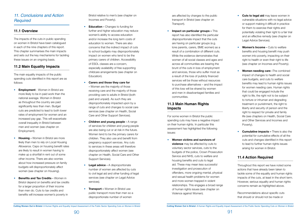90 91

# <span id="page-45-0"></span>*11. Conclusions and Action Required*

# **11.1 Overview**

The impacts of the cuts in public spending on women in Bristol have been catalogued in each of the nine chapters of this report. This chapter summarises the main impacts and sets out the key mechanisms for tackling these issues on an ongoing basis.

# **11.2 Main Equality Impacts**

The main equality impacts of the public spending cuts identified in this report are as follows:

- **Employment** Women in Bristol are more likely to be in paid work than the national average. Women in Bristol as throughout the country are paid significantly less than men. Budget cuts are predicted to lead to both lower rates of employment for women and an increased pay gap. This will exacerbate overall inequality in Bristol between men and women (see chapter on Employment).
- **Housing Women in Bristol are more** likely than men to rely on Local Housing Allowance. Caps on housing benefit rates are likely to result in women having to make up a shortfall in rent out of some other income. There are also worries about how increased pressure on family budgets will disproportionately affect women (see chapter on Housing).
- **Benefits and Tax Credits Women in** Bristol depend on benefits and tax credits for a larger proportion of their income than men do. Cuts to tax credits and benefits will increase women's poverty in

Bristol relative to men's (see chapter on Incomes and Poverty).

• **Education -** Changes to funding for further and higher education may reduce women's ability to access education and/or increase the long term costs of education to women. There are also concerns that the indirect impact of cuts to school budgets may disproportionately impact on women who tend to be the primary carers of children. Accessibility of ESOL classes are a concern, especially availability of free supporting childcare arrangements (see chapter on Education).

### • **Carers and those they care for**

**-** Women are the majority of those receiving care and the majority of those providing care to adults in Bristol (both paid and unpaid). As such they are disproportionately impacted upon by a range of cuts and changes to social care services (see chapter on Health, Social Care and Other Support Services).

- **Children and young people** A range of services for children and young people are also being cut or at risk in the future. Women tend to be the primary carers for children. They also use and benefit from pregnancy support services. Any cuts to services in these areas will therefore disproportionately affect women (see chapter on Health, Social Care and Other Support Services).
- **Legal advice** A disproportionate number of women are affected by cuts to civil legal aid and other funding of legal services (see chapter on Legal Advice services).
- • **Transport –** Women in Bristol use public transport more than men so a disproportionate number of women

are affected by changes to the public transport in Bristol (see chapter on Transport).

• **Impact on particular groups –** This report has also identified the particular disproportionate impact that the cuts are having on particular groups (e.g. lone parents, carers, BME women) as a result of a combination of different cuts. While the evidence demonstrates that women of all social classes and ages and across all communities are bearing the brunt of the cuts in loss of employment and services, those who suffer most as a result of the loss of publicly financed services will be those without resources to purchase alternatives – and the impact of this loss will be shared by women and men in disadvantaged families and communities.

# **11.3 Main Human Rights Impacts**

For some women in Bristol the public spending cuts may have a negative impact on their human rights. In particular this assessment has highlighted the following issues:

• **Women victims and survivors of violence** may be affected by cuts to voluntary sector services, cuts to the budgets of the police, Crown Prosecution Service and NHS, cuts to welfare and housing benefits and cuts to legal aid. These may mean less successful investigation and prosecution of offenders, more ongoing mental, physical and sexual health problems for women and more women trapped in violent relationships. This engages a broad range of human rights issues (see chapter on Violence against Women).

- **• Cuts to legal aid** may leave women in vulnerable situations with no legal advice or support making it difficult in practice for them to exercise their rights and potentially violating their right to a fair trial and an effective remedy (see chapter on Legal Advice Services).
- **Women's Income Cuts to welfare** benefits and housing benefit may push women into poverty, impacting on their right to health or even their right to life (see chapter on Incomes and Poverty).
- **Women needing care -**The combined impact of changes to health and social care budgets, and cuts to welfare benefits may lead to human rights issues for women needing care. Human rights that could be engaged include the right to life, the right not to be subject to torture or inhuman and degrading treatment or punishment, the right to liberty and security of person and the right to respect for private and family life (see chapters on Health, Social Care and Other Services and Incomes and Poverty).
- • **Cumulative impacts –** There is also the potential for cumulative effects of all the cuts and changes identified in this report to lead to further human rights issues arising for women in Bristol.

# **11.4 Action Required**

Throughout this report we have noted some actions that have already been taken to tackle some of the equality and human rights impacts of the cuts, at least in the short term. However, serious equality and human rights concerns remain as highlighted above.

Recommendations about specific cuts that should or should not be made or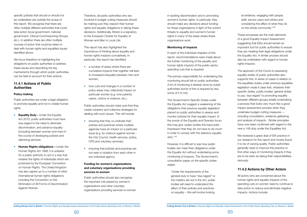

<span id="page-46-0"></span>specific policies that should or should not be undertaken are outside the scope of this report. We recognise that there are often multiple different authorities that could take action (local government, national government, Clinical Commissioning Groups etc.). In addition there are often multiple courses of action that could be taken to deal with human rights and equalities issues identified above.

Public authorities are under a legal obligation to promote equality and not to violate human rights.

We focus therefore on highlighting the obligations on public authorities to address these issues and describing the key mechanisms through which public authorities can be held to account for their actions.

# **11.4.1 Actions of Public Authorities**

### **Policy making**

- a number of areas where there are cumulative impacts that together will lead to increased inequality between men and women;
- how cuts and changes in a number of policy areas may collectively impact on particular women (e.g. lone parents, carers, victims of violence, etc.).

- **Equality Duty -** Under the Equality Act 2010, public authorities must have due regard to the need to eliminate discrimination, and advance equality (including between women and men) in the course of developing policies and delivering services.
- • **Human Rights obligations –** Under the Human Rights Act 1998, it is unlawful for a public authority to act in a way that violates the rights of individuals which are protected by the European Convention on Human Rights. The United Kingdom has also signed up to a number of other international human rights obligations including the Convention on the Elimination of All Forms of Discrimination Against Women.
- ensuring that they co-ordinate their policies and practices where multiple agencies have an impact on a particular issue (e.g. for violence against women the City Council, health services, police, CPS and voluntary services);
- ensuring that policies and practices are not seen in isolation from each other in any individual agency.

Therefore, all public authorities who are involved in budget cutting measures should be making sure they respect their human rights and equality obligations in taking these decisions. Additionally, Bristol is a signatory to the European Charter for Equality of Women and Men in Local Life.

This report has also highlighted the importance of thinking about equality and human rights impacts cumulatively. In particular, this report has identified:

Public authorities should make sure that they create coherent and collective strategies for dealing with such issues. This will include:

### **Funding for women's organisations and voluntary organisations providing services to women**

Public authorities should also recognise the important role played by women's organisations and other voluntary organisations providing services to women in tackling discrimination and in promoting women's human rights. In particular, they should make any decisions about funding for these organisations in light of the current threats to equality and women's human rights in many of the areas where these organisations work.

### **Monitoring of impacts**

In each of the individual chapters of this report, recommendations were made about the further monitoring of the equality and human rights impacts of the public sector spending cuts that is required.

The primary responsibility for undertaking this monitoring should fall on public authorities. A lot of monitoring is already done by public authorities (some of this is required by law, some of it is not).

The Government's Specific Duties under the Equality Act suggest a weakening of the obligations that previous equality legislation placed on public authorities to assess and monitor policies for their equality impact. In the words of the Equality and Diversity forum this may give 'public bodies the inaccurate impression that they do not have to do much in order to comply with the statutory equality duty'.345

However, it is difficult to see how public bodies can meet their obligations under the Equality Act without undertaking some monitoring of impacts. The Government's consultation paper on the specific duties states:

"Under the requirements of the general duty to have "due regard" to the matters set out in the Act, public bodies will need to understand the effect of their policies and practices on equality – this will involve looking

at evidence, engaging with people, staff, service users and others and considering the effect of what they do on the whole community."346

These processes are the main elements of a good Equality Impact Assessment, suggesting that EIAs should remain an important tool for public authorities to ensure they are meeting their legal obligations under the Equality Act. A similar process should also be undertaken with regard to human rights impacts.

The approach of the Courts to assessing equality duties of public authorities also supports this. A series of cases in relation to the equalities duties under previous equalities legislation made it clear that, whatever their specific duties, public bodies' general duties to pay 'due regard' to promoting equality between different groups entails undertaking a process that looks very much like a good impact assessment process when they undertake budget-cutting measures including consultation, evidence-gathering and analysis of impacts. Similar principles have now been confirmed with regard to the new s.149 duty under the Equalities Act.

We reviewed a great deal of EIA practice in our research for this report and mostly found it to be of varying quality. Public authorities generally need to improve this practice or find other ways of monitoring impacts if they are to be seen as taking their responsibilities seriously.

# **11.4.2 Actions by Other Actors**

All actors who are concerned about the human rights and equality impacts of the spending cuts on women need to continue to take action to reduce and eliminate negative impacts. Actions include: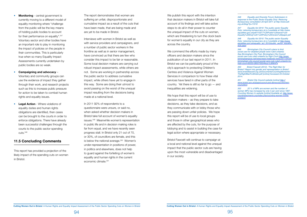

- <span id="page-47-0"></span>• **Monitoring** - central government is currently moving to a different model of equality monitoring where "challenge from the public will be the key means of holding public bodies to account for their performance on equality". 347 Voluntary sector and other bodies have an important role to play in monitoring the impact of policies on the people in their communities. This is particularly true when so many Equality Impact Assessments currently undertaken by public bodies are so weak.
- **Campaigning and advocacy** Voluntary and community groups can use the evidence of impact they gather through their work, and research projects such as this to increase public pressure for action to be taken to combat human rights and equality issues.
- **Legal Action** Where violations of equality duties and human rights obligations are identified, then cases can be brought to the courts in order to enforce obligations. There have already been successful challenges through the courts to the public sector spending cuts.348

In 2011 92% of respondents to a questionnaire were unsure, or said no, when asked whether decision makers in Bristol take full account of women's equality issues.349 Meanwhile women's representation in public life and in decision making roles is far from equal, and we have recently seen progress stall. In Bristol only 21 out of 70, or 30%, of councillors are female, and this is below the national average.350 Women's under-representation in positions of power, in politics and elsewhere, does not help to guard against the forfeiting of women's equality and human rights in the current economic climate 351

# **11.5 Concluding Comments**

This report has provided a projection of the likely impact of the spending cuts on women in Bristol.

The report demonstrates that women are suffering an unfair, disproportionate and cumulative impact as a result of the cuts that have been made, that are being made and are yet to be made in Bristol.

We publish this report with the intention that decision makers in Bristol will take full account of its findings and will take active steps to do all in their power to counter the unequal impact of the cuts on women, which are threatening to turn the clock back for women's equality in our city as they are across the country.

We commend the efforts made by many officers and decision makers since the publication of our last report in 2011. In Bristol we can be particularly proud of the city's approach to protecting Children's Centres and Violence Against Women Services in comparison to how these vital services have fared in other parts of the country. Yet there is still so far to go  $-$  and inequalities are widening.

Interviews with women in Bristol as well as with service providers and campaigners, and a number of public sector workers in the frontline as well as in senior management, have convinced us that there are few who consider this impact to be fair or reasonable. Some local decision makers are carrying out robust impact assessments, while others are not. Some are working in partnership across the public sector to address cumulative impact, while others have yet to engage in this way. Some are doing their utmost to avoid passing on the worst of the unequal impact resulting from the decisions being made at a national level.

We hope that this report will be of use to decision makers – as they prepare to take decisions, as they take decisions, and as they communicate with or lobby those who are passing down unfair policies. We hope this report will be of use to local groups and those in other geographical areas who are affected by the cuts, for the purpose of lobbying and to assist in building the case for legal action where appropriate or necessary.

Bristol Fawcett will continue to campaign at a local and national level against the unequal impact that the public sector cuts are having upon the most vulnerable and disadvantaged in our society.

*346 Equality and Diversity Forum Submission in response to the Public Sector Equality Duty: Reducing Bureaucracy consultation 20 April 2011 at [http://www.edf.](http://www.edf.org.uk/blog/?p=11010) [org.uk/blog/?p=11010](http://www.edf.org.uk/blog/?p=11010)*

*347 Equality Act 2010: The public sector Equality Duty: reducing bureaucracy at p.4 available at [http://www.](http://www.equalities.gov.uk/pdf/110317) [equalities.gov.uk/pdf/110317%](http://www.equalities.gov.uk/pdf/110317)20Public%20sector%20 Equality%20Duty%20-%20Policy%20review[%20paper.pdf](20paper.pdf)*

*348 Equality Act 2010: The public sector Equality Duty: reducing bureaucracy at p.4 available at [http://www.](http://www.equalities.gov.uk/equality_act_2010/public_sector_equality_duty.aspx)* equalities.gov.uk/equality\_act\_2010/public\_sector\_equality *[duty.aspx](http://www.equalities.gov.uk/equality_act_2010/public_sector_equality_duty.aspx)*

349 Birmingham City Council's plans to limit *social care for disabled people were ruled unlawful. See Birmingham City Post, Birmingham City Council social care cuts ruled unlawful by High Court [http://www.](http://www.birminghampost.net/news/west-midlands-news/2011/04/20/birmingham-city-council-social-care-cuts-ruled-unlawful-by-high-court-65233-28557053/#ixzz1L6tNhiPx) [birminghampost.net/news/west-midlands-news/2011/04/20/](http://www.birminghampost.net/news/west-midlands-news/2011/04/20/birmingham-city-council-social-care-cuts-ruled-unlawful-by-high-court-65233-28557053/#ixzz1L6tNhiPx) [birmingham-city-council-social-care-cuts-ruled-unlawful-by](http://www.birminghampost.net/news/west-midlands-news/2011/04/20/birmingham-city-council-social-care-cuts-ruled-unlawful-by-high-court-65233-28557053/#ixzz1L6tNhiPx)[high-court-65233-28557053/#ixzz1L6tNhiPx](http://www.birminghampost.net/news/west-midlands-news/2011/04/20/birmingham-city-council-social-care-cuts-ruled-unlawful-by-high-court-65233-28557053/#ixzz1L6tNhiPx)*

350 Bristol Fawcett (2012). 'The Right Man for Bristol? Report into gender and representation in Bristol'. *[www.bristolfawcett.org.uk/Documents/CountingWomenIn/](www.bristolfawcett.org.uk/Documents/CountingWomenIn/TheRightManForBristol.pdf) [TheRightManForBristol.pdf](www.bristolfawcett.org.uk/Documents/CountingWomenIn/TheRightManForBristol.pdf) [online] Accessed 23 October 2014.*

*351 Bristol City Council website [online] [http://](http://www.bristol.gov.uk/page/council-and-democracy/women-councillors) [www.bristol.gov.uk/page/council-and-democracy/women](http://www.bristol.gov.uk/page/council-and-democracy/women-councillors)[councillors](http://www.bristol.gov.uk/page/council-and-democracy/women-councillors)*

*352 22 % of MPs are women and the number of women MPs has increased by only 4 per cent since 1997. Counting Women In website [online] Available at; [http://www.](http://www.countingwomenin.org/index.php/counting-women-in/the-problem/) [countingwomenin.org/index.php/counting-women-in/the](http://www.countingwomenin.org/index.php/counting-women-in/the-problem/)[problem/](http://www.countingwomenin.org/index.php/counting-women-in/the-problem/)*